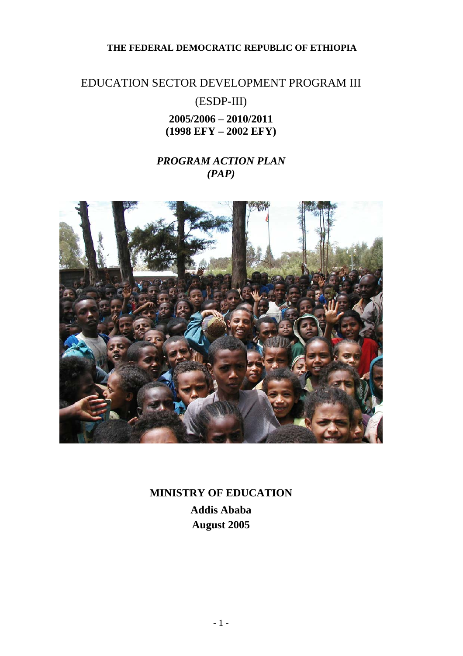## **THE FEDERAL DEMOCRATIC REPUBLIC OF ETHIOPIA**

# EDUCATION SECTOR DEVELOPMENT PROGRAM III (ESDP-III) **2005/2006 – 2010/2011 (1998 EFY – 2002 EFY)**

## *PROGRAM ACTION PLAN (PAP)*



**MINISTRY OF EDUCATION Addis Ababa August 2005**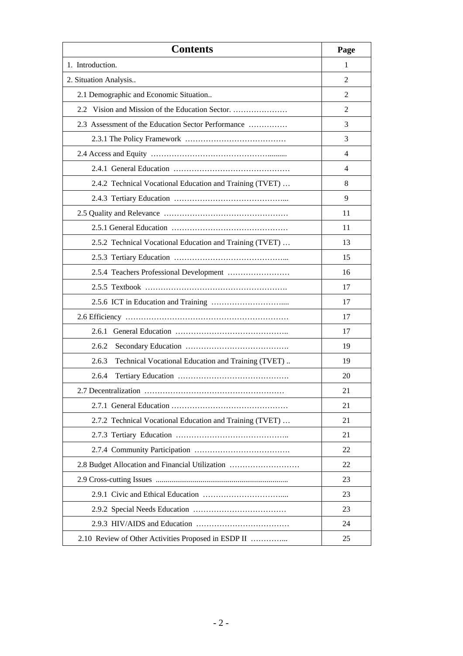| <b>Contents</b>                                             | Page |
|-------------------------------------------------------------|------|
| 1. Introduction.                                            | 1    |
| 2. Situation Analysis                                       | 2    |
| 2.1 Demographic and Economic Situation                      | 2    |
| 2.2                                                         | 2    |
| 2.3 Assessment of the Education Sector Performance          | 3    |
|                                                             | 3    |
|                                                             | 4    |
|                                                             | 4    |
| 2.4.2 Technical Vocational Education and Training (TVET)    | 8    |
|                                                             | 9    |
|                                                             | 11   |
|                                                             | 11   |
| 2.5.2 Technical Vocational Education and Training (TVET)    | 13   |
|                                                             | 15   |
| 2.5.4 Teachers Professional Development                     | 16   |
|                                                             | 17   |
|                                                             | 17   |
|                                                             | 17   |
| 2.6.1                                                       | 17   |
| 2.6.2                                                       | 19   |
| 2.6.3<br>Technical Vocational Education and Training (TVET) | 19   |
| 2.6.4                                                       | 20   |
|                                                             | 21   |
|                                                             | 21   |
| 2.7.2 Technical Vocational Education and Training (TVET)    | 21   |
|                                                             | 21   |
|                                                             | 22   |
| 2.8 Budget Allocation and Financial Utilization             | 22   |
|                                                             | 23   |
|                                                             | 23   |
|                                                             | 23   |
|                                                             | 24   |
| 2.10 Review of Other Activities Proposed in ESDP II         | 25   |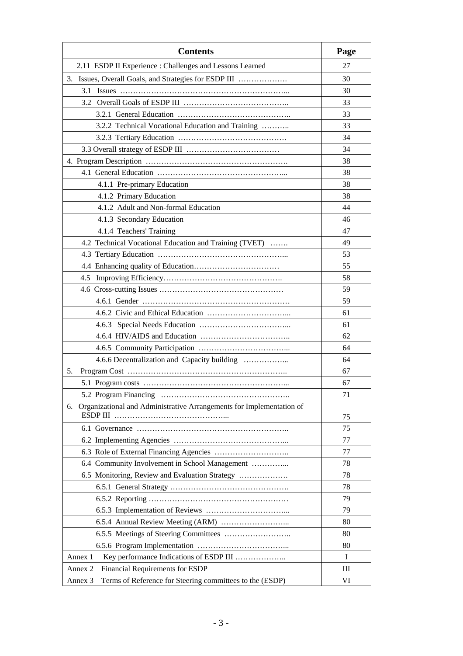| <b>Contents</b>                                                                | Page |
|--------------------------------------------------------------------------------|------|
| 2.11 ESDP II Experience : Challenges and Lessons Learned                       | 27   |
| 3. Issues, Overall Goals, and Strategies for ESDP III                          | 30   |
| 3.1                                                                            | 30   |
|                                                                                | 33   |
|                                                                                | 33   |
| 3.2.2 Technical Vocational Education and Training                              | 33   |
|                                                                                | 34   |
|                                                                                | 34   |
|                                                                                | 38   |
|                                                                                | 38   |
| 4.1.1 Pre-primary Education                                                    | 38   |
| 4.1.2 Primary Education                                                        | 38   |
| 4.1.2 Adult and Non-formal Education                                           | 44   |
| 4.1.3 Secondary Education                                                      | 46   |
| 4.1.4 Teachers' Training                                                       | 47   |
| 4.2 Technical Vocational Education and Training (TVET)                         | 49   |
|                                                                                | 53   |
|                                                                                | 55   |
| 4.5                                                                            | 58   |
|                                                                                | 59   |
|                                                                                | 59   |
|                                                                                | 61   |
|                                                                                | 61   |
|                                                                                | 62   |
|                                                                                | 64   |
|                                                                                | 64   |
| 5.                                                                             | 67   |
|                                                                                | 67   |
|                                                                                | 71   |
| Organizational and Administrative Arrangements for Implementation of<br>6.     |      |
| ESDP III                                                                       | 75   |
|                                                                                | 75   |
|                                                                                | 77   |
|                                                                                | 77   |
| 6.4 Community Involvement in School Management                                 | 78   |
| 6.5 Monitoring, Review and Evaluation Strategy                                 | 78   |
|                                                                                | 78   |
|                                                                                | 79   |
|                                                                                | 79   |
|                                                                                | 80   |
|                                                                                | 80   |
|                                                                                | 80   |
| Key performance Indications of ESDP III<br>Annex 1                             | I    |
| Financial Requirements for ESDP<br>Annex 2                                     | Ш    |
| Terms of Reference for Steering committees to the (ESDP)<br>Annex <sub>3</sub> | VI   |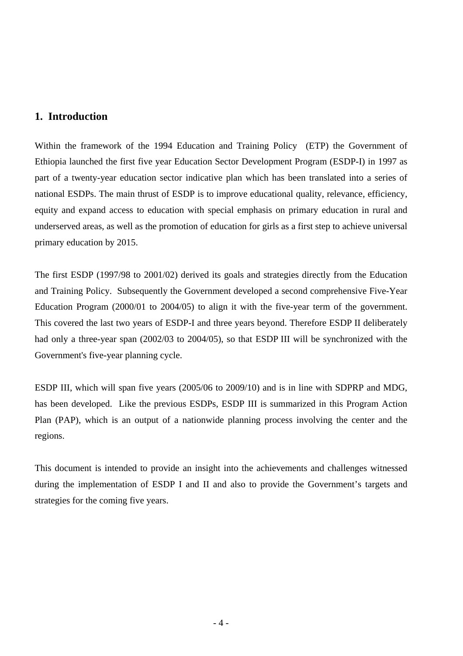## **1. Introduction**

Within the framework of the 1994 Education and Training Policy (ETP) the Government of Ethiopia launched the first five year Education Sector Development Program (ESDP-I) in 1997 as part of a twenty-year education sector indicative plan which has been translated into a series of national ESDPs. The main thrust of ESDP is to improve educational quality, relevance, efficiency, equity and expand access to education with special emphasis on primary education in rural and underserved areas, as well as the promotion of education for girls as a first step to achieve universal primary education by 2015.

The first ESDP (1997/98 to 2001/02) derived its goals and strategies directly from the Education and Training Policy. Subsequently the Government developed a second comprehensive Five-Year Education Program (2000/01 to 2004/05) to align it with the five-year term of the government. This covered the last two years of ESDP-I and three years beyond. Therefore ESDP II deliberately had only a three-year span (2002/03 to 2004/05), so that ESDP III will be synchronized with the Government's five-year planning cycle.

ESDP III, which will span five years (2005/06 to 2009/10) and is in line with SDPRP and MDG, has been developed. Like the previous ESDPs, ESDP III is summarized in this Program Action Plan (PAP), which is an output of a nationwide planning process involving the center and the regions.

This document is intended to provide an insight into the achievements and challenges witnessed during the implementation of ESDP I and II and also to provide the Government's targets and strategies for the coming five years.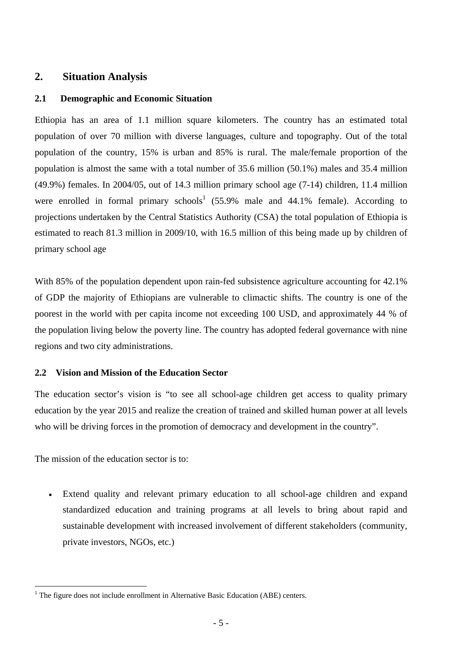## **2. Situation Analysis**

## **2.1 Demographic and Economic Situation**

Ethiopia has an area of 1.1 million square kilometers. The country has an estimated total population of over 70 million with diverse languages, culture and topography. Out of the total population of the country, 15% is urban and 85% is rural. The male/female proportion of the population is almost the same with a total number of 35.6 million (50.1%) males and 35.4 million (49.9%) females. In 2004/05, out of 14.3 million primary school age (7-14) children, 11.4 million were enrolled in formal primary schools<sup>1</sup> (55.9% male and 44.1% female). According to projections undertaken by the Central Statistics Authority (CSA) the total population of Ethiopia is estimated to reach 81.3 million in 2009/10, with 16.5 million of this being made up by children of primary school age

With 85% of the population dependent upon rain-fed subsistence agriculture accounting for 42.1% of GDP the majority of Ethiopians are vulnerable to climactic shifts. The country is one of the poorest in the world with per capita income not exceeding 100 USD, and approximately 44 % of the population living below the poverty line. The country has adopted federal governance with nine regions and two city administrations.

#### **2.2 Vision and Mission of the Education Sector**

The education sector's vision is "to see all school-age children get access to quality primary education by the year 2015 and realize the creation of trained and skilled human power at all levels who will be driving forces in the promotion of democracy and development in the country".

The mission of the education sector is to:

 $\overline{a}$ 

Extend quality and relevant primary education to all school-age children and expand standardized education and training programs at all levels to bring about rapid and sustainable development with increased involvement of different stakeholders (community, private investors, NGOs, etc.)

 $1$  The figure does not include enrollment in Alternative Basic Education (ABE) centers.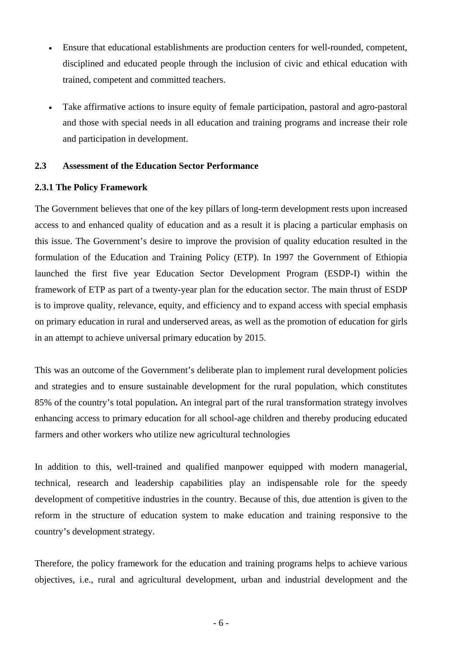- Ensure that educational establishments are production centers for well-rounded, competent, disciplined and educated people through the inclusion of civic and ethical education with trained, competent and committed teachers.
- Take affirmative actions to insure equity of female participation, pastoral and agro-pastoral and those with special needs in all education and training programs and increase their role and participation in development.

#### **2.3 Assessment of the Education Sector Performance**

#### **2.3.1 The Policy Framework**

The Government believes that one of the key pillars of long-term development rests upon increased access to and enhanced quality of education and as a result it is placing a particular emphasis on this issue. The Government's desire to improve the provision of quality education resulted in the formulation of the Education and Training Policy (ETP). In 1997 the Government of Ethiopia launched the first five year Education Sector Development Program (ESDP-I) within the framework of ETP as part of a twenty-year plan for the education sector. The main thrust of ESDP is to improve quality, relevance, equity, and efficiency and to expand access with special emphasis on primary education in rural and underserved areas, as well as the promotion of education for girls in an attempt to achieve universal primary education by 2015.

This was an outcome of the Government's deliberate plan to implement rural development policies and strategies and to ensure sustainable development for the rural population, which constitutes 85% of the country's total population**.** An integral part of the rural transformation strategy involves enhancing access to primary education for all school-age children and thereby producing educated farmers and other workers who utilize new agricultural technologies

In addition to this, well-trained and qualified manpower equipped with modern managerial, technical, research and leadership capabilities play an indispensable role for the speedy development of competitive industries in the country. Because of this, due attention is given to the reform in the structure of education system to make education and training responsive to the country's development strategy.

Therefore, the policy framework for the education and training programs helps to achieve various objectives, i.e., rural and agricultural development, urban and industrial development and the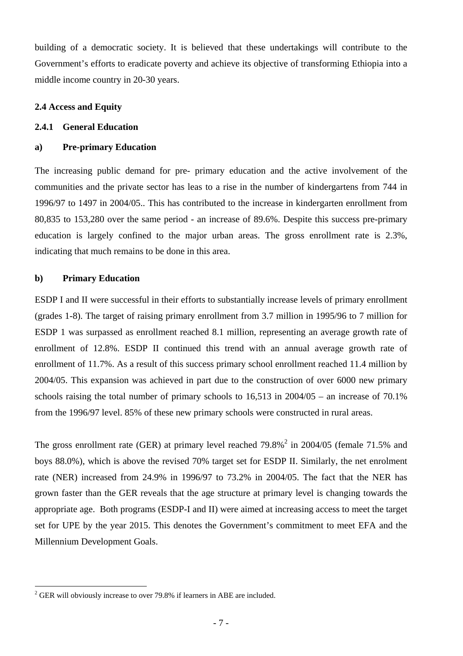building of a democratic society. It is believed that these undertakings will contribute to the Government's efforts to eradicate poverty and achieve its objective of transforming Ethiopia into a middle income country in 20-30 years.

#### **2.4 Access and Equity**

#### **2.4.1 General Education**

#### **a) Pre-primary Education**

The increasing public demand for pre- primary education and the active involvement of the communities and the private sector has leas to a rise in the number of kindergartens from 744 in 1996/97 to 1497 in 2004/05.. This has contributed to the increase in kindergarten enrollment from 80,835 to 153,280 over the same period - an increase of 89.6%. Despite this success pre-primary education is largely confined to the major urban areas. The gross enrollment rate is 2.3%, indicating that much remains to be done in this area.

#### **b) Primary Education**

 $\overline{a}$ 

ESDP I and II were successful in their efforts to substantially increase levels of primary enrollment (grades 1-8). The target of raising primary enrollment from 3.7 million in 1995/96 to 7 million for ESDP 1 was surpassed as enrollment reached 8.1 million, representing an average growth rate of enrollment of 12.8%. ESDP II continued this trend with an annual average growth rate of enrollment of 11.7%. As a result of this success primary school enrollment reached 11.4 million by 2004/05. This expansion was achieved in part due to the construction of over 6000 new primary schools raising the total number of primary schools to 16,513 in 2004/05 – an increase of 70.1% from the 1996/97 level. 85% of these new primary schools were constructed in rural areas.

The gross enrollment rate (GER) at primary level reached  $79.8\%$ <sup>2</sup> in 2004/05 (female 71.5% and boys 88.0%), which is above the revised 70% target set for ESDP II. Similarly, the net enrolment rate (NER) increased from 24.9% in 1996/97 to 73.2% in 2004/05. The fact that the NER has grown faster than the GER reveals that the age structure at primary level is changing towards the appropriate age. Both programs (ESDP-I and II) were aimed at increasing access to meet the target set for UPE by the year 2015. This denotes the Government's commitment to meet EFA and the Millennium Development Goals.

 $2^2$  GER will obviously increase to over 79.8% if learners in ABE are included.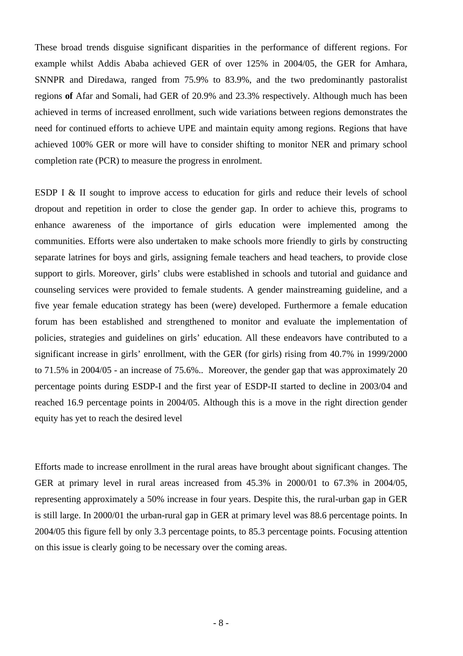These broad trends disguise significant disparities in the performance of different regions. For example whilst Addis Ababa achieved GER of over 125% in 2004/05, the GER for Amhara, SNNPR and Diredawa, ranged from 75.9% to 83.9%, and the two predominantly pastoralist regions **of** Afar and Somali, had GER of 20.9% and 23.3% respectively. Although much has been achieved in terms of increased enrollment, such wide variations between regions demonstrates the need for continued efforts to achieve UPE and maintain equity among regions. Regions that have achieved 100% GER or more will have to consider shifting to monitor NER and primary school completion rate (PCR) to measure the progress in enrolment.

ESDP I & II sought to improve access to education for girls and reduce their levels of school dropout and repetition in order to close the gender gap. In order to achieve this, programs to enhance awareness of the importance of girls education were implemented among the communities. Efforts were also undertaken to make schools more friendly to girls by constructing separate latrines for boys and girls, assigning female teachers and head teachers, to provide close support to girls. Moreover, girls' clubs were established in schools and tutorial and guidance and counseling services were provided to female students. A gender mainstreaming guideline, and a five year female education strategy has been (were) developed. Furthermore a female education forum has been established and strengthened to monitor and evaluate the implementation of policies, strategies and guidelines on girls' education. All these endeavors have contributed to a significant increase in girls' enrollment, with the GER (for girls) rising from 40.7% in 1999/2000 to 71.5% in 2004/05 - an increase of 75.6%.. Moreover, the gender gap that was approximately 20 percentage points during ESDP-I and the first year of ESDP-II started to decline in 2003/04 and reached 16.9 percentage points in 2004/05. Although this is a move in the right direction gender equity has yet to reach the desired level

Efforts made to increase enrollment in the rural areas have brought about significant changes. The GER at primary level in rural areas increased from 45.3% in 2000/01 to 67.3% in 2004/05, representing approximately a 50% increase in four years. Despite this, the rural-urban gap in GER is still large. In 2000/01 the urban-rural gap in GER at primary level was 88.6 percentage points. In 2004/05 this figure fell by only 3.3 percentage points, to 85.3 percentage points. Focusing attention on this issue is clearly going to be necessary over the coming areas.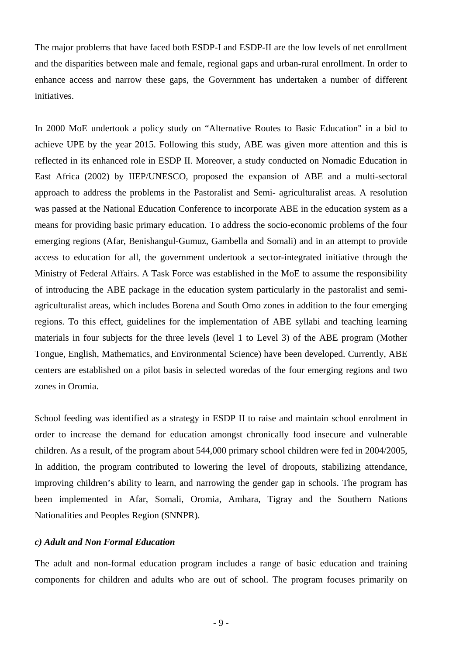The major problems that have faced both ESDP-I and ESDP-II are the low levels of net enrollment and the disparities between male and female, regional gaps and urban-rural enrollment. In order to enhance access and narrow these gaps, the Government has undertaken a number of different initiatives.

In 2000 MoE undertook a policy study on "Alternative Routes to Basic Education" in a bid to achieve UPE by the year 2015. Following this study, ABE was given more attention and this is reflected in its enhanced role in ESDP II. Moreover, a study conducted on Nomadic Education in East Africa (2002) by IIEP/UNESCO, proposed the expansion of ABE and a multi-sectoral approach to address the problems in the Pastoralist and Semi- agriculturalist areas. A resolution was passed at the National Education Conference to incorporate ABE in the education system as a means for providing basic primary education. To address the socio-economic problems of the four emerging regions (Afar, Benishangul-Gumuz, Gambella and Somali) and in an attempt to provide access to education for all, the government undertook a sector-integrated initiative through the Ministry of Federal Affairs. A Task Force was established in the MoE to assume the responsibility of introducing the ABE package in the education system particularly in the pastoralist and semiagriculturalist areas, which includes Borena and South Omo zones in addition to the four emerging regions. To this effect, guidelines for the implementation of ABE syllabi and teaching learning materials in four subjects for the three levels (level 1 to Level 3) of the ABE program (Mother Tongue, English, Mathematics, and Environmental Science) have been developed. Currently, ABE centers are established on a pilot basis in selected woredas of the four emerging regions and two zones in Oromia.

School feeding was identified as a strategy in ESDP II to raise and maintain school enrolment in order to increase the demand for education amongst chronically food insecure and vulnerable children. As a result, of the program about 544,000 primary school children were fed in 2004/2005, In addition, the program contributed to lowering the level of dropouts, stabilizing attendance, improving children's ability to learn, and narrowing the gender gap in schools. The program has been implemented in Afar, Somali, Oromia, Amhara, Tigray and the Southern Nations Nationalities and Peoples Region (SNNPR).

#### *c) Adult and Non Formal Education*

The adult and non-formal education program includes a range of basic education and training components for children and adults who are out of school. The program focuses primarily on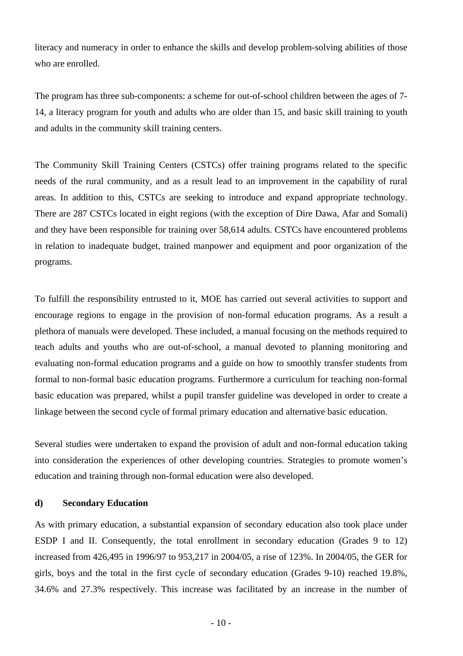literacy and numeracy in order to enhance the skills and develop problem-solving abilities of those who are enrolled.

The program has three sub-components: a scheme for out-of-school children between the ages of 7- 14, a literacy program for youth and adults who are older than 15, and basic skill training to youth and adults in the community skill training centers.

The Community Skill Training Centers (CSTCs) offer training programs related to the specific needs of the rural community, and as a result lead to an improvement in the capability of rural areas. In addition to this, CSTCs are seeking to introduce and expand appropriate technology. There are 287 CSTCs located in eight regions (with the exception of Dire Dawa, Afar and Somali) and they have been responsible for training over 58,614 adults. CSTCs have encountered problems in relation to inadequate budget, trained manpower and equipment and poor organization of the programs.

To fulfill the responsibility entrusted to it, MOE has carried out several activities to support and encourage regions to engage in the provision of non-formal education programs. As a result a plethora of manuals were developed. These included, a manual focusing on the methods required to teach adults and youths who are out-of-school, a manual devoted to planning monitoring and evaluating non-formal education programs and a guide on how to smoothly transfer students from formal to non-formal basic education programs. Furthermore a curriculum for teaching non-formal basic education was prepared, whilst a pupil transfer guideline was developed in order to create a linkage between the second cycle of formal primary education and alternative basic education.

Several studies were undertaken to expand the provision of adult and non-formal education taking into consideration the experiences of other developing countries. Strategies to promote women's education and training through non-formal education were also developed.

#### **d) Secondary Education**

As with primary education, a substantial expansion of secondary education also took place under ESDP I and II. Consequently, the total enrollment in secondary education (Grades 9 to 12) increased from 426,495 in 1996/97 to 953,217 in 2004/05, a rise of 123%. In 2004/05, the GER for girls, boys and the total in the first cycle of secondary education (Grades 9-10) reached 19.8%, 34.6% and 27.3% respectively. This increase was facilitated by an increase in the number of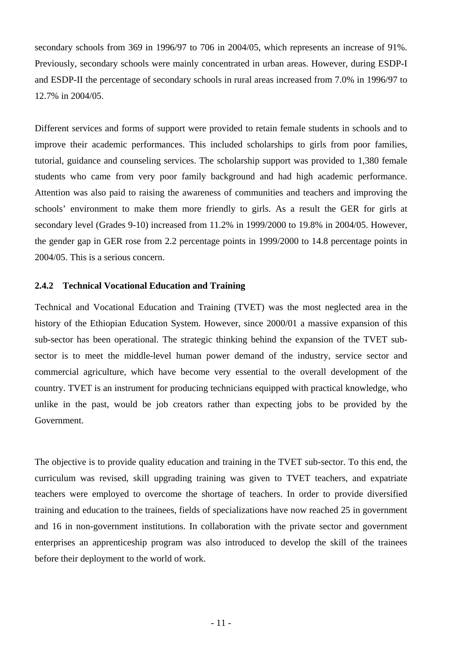secondary schools from 369 in 1996/97 to 706 in 2004/05, which represents an increase of 91%. Previously, secondary schools were mainly concentrated in urban areas. However, during ESDP-I and ESDP-II the percentage of secondary schools in rural areas increased from 7.0% in 1996/97 to 12.7% in 2004/05.

Different services and forms of support were provided to retain female students in schools and to improve their academic performances. This included scholarships to girls from poor families, tutorial, guidance and counseling services. The scholarship support was provided to 1,380 female students who came from very poor family background and had high academic performance. Attention was also paid to raising the awareness of communities and teachers and improving the schools' environment to make them more friendly to girls. As a result the GER for girls at secondary level (Grades 9-10) increased from 11.2% in 1999/2000 to 19.8% in 2004/05. However, the gender gap in GER rose from 2.2 percentage points in 1999/2000 to 14.8 percentage points in 2004/05. This is a serious concern.

#### **2.4.2 Technical Vocational Education and Training**

Technical and Vocational Education and Training (TVET) was the most neglected area in the history of the Ethiopian Education System. However, since 2000/01 a massive expansion of this sub-sector has been operational. The strategic thinking behind the expansion of the TVET subsector is to meet the middle-level human power demand of the industry, service sector and commercial agriculture, which have become very essential to the overall development of the country. TVET is an instrument for producing technicians equipped with practical knowledge, who unlike in the past, would be job creators rather than expecting jobs to be provided by the Government.

The objective is to provide quality education and training in the TVET sub-sector. To this end, the curriculum was revised, skill upgrading training was given to TVET teachers, and expatriate teachers were employed to overcome the shortage of teachers. In order to provide diversified training and education to the trainees, fields of specializations have now reached 25 in government and 16 in non-government institutions. In collaboration with the private sector and government enterprises an apprenticeship program was also introduced to develop the skill of the trainees before their deployment to the world of work.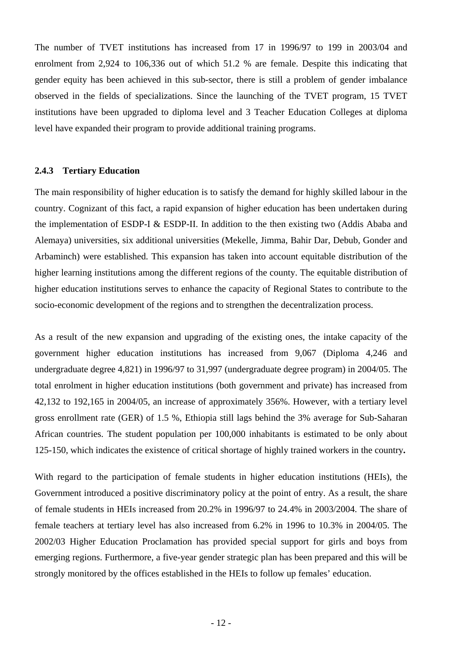The number of TVET institutions has increased from 17 in 1996/97 to 199 in 2003/04 and enrolment from 2,924 to 106,336 out of which 51.2 % are female. Despite this indicating that gender equity has been achieved in this sub-sector, there is still a problem of gender imbalance observed in the fields of specializations. Since the launching of the TVET program, 15 TVET institutions have been upgraded to diploma level and 3 Teacher Education Colleges at diploma level have expanded their program to provide additional training programs.

#### **2.4.3 Tertiary Education**

The main responsibility of higher education is to satisfy the demand for highly skilled labour in the country. Cognizant of this fact, a rapid expansion of higher education has been undertaken during the implementation of ESDP-I & ESDP-II. In addition to the then existing two (Addis Ababa and Alemaya) universities, six additional universities (Mekelle, Jimma, Bahir Dar, Debub, Gonder and Arbaminch) were established. This expansion has taken into account equitable distribution of the higher learning institutions among the different regions of the county. The equitable distribution of higher education institutions serves to enhance the capacity of Regional States to contribute to the socio-economic development of the regions and to strengthen the decentralization process.

As a result of the new expansion and upgrading of the existing ones, the intake capacity of the government higher education institutions has increased from 9,067 (Diploma 4,246 and undergraduate degree 4,821) in 1996/97 to 31,997 (undergraduate degree program) in 2004/05. The total enrolment in higher education institutions (both government and private) has increased from 42,132 to 192,165 in 2004/05, an increase of approximately 356%. However, with a tertiary level gross enrollment rate (GER) of 1.5 %, Ethiopia still lags behind the 3% average for Sub-Saharan African countries. The student population per 100,000 inhabitants is estimated to be only about 125-150, which indicates the existence of critical shortage of highly trained workers in the country**.** 

With regard to the participation of female students in higher education institutions (HEIs), the Government introduced a positive discriminatory policy at the point of entry. As a result, the share of female students in HEIs increased from 20.2% in 1996/97 to 24.4% in 2003/2004. The share of female teachers at tertiary level has also increased from 6.2% in 1996 to 10.3% in 2004/05. The 2002/03 Higher Education Proclamation has provided special support for girls and boys from emerging regions. Furthermore, a five-year gender strategic plan has been prepared and this will be strongly monitored by the offices established in the HEIs to follow up females' education.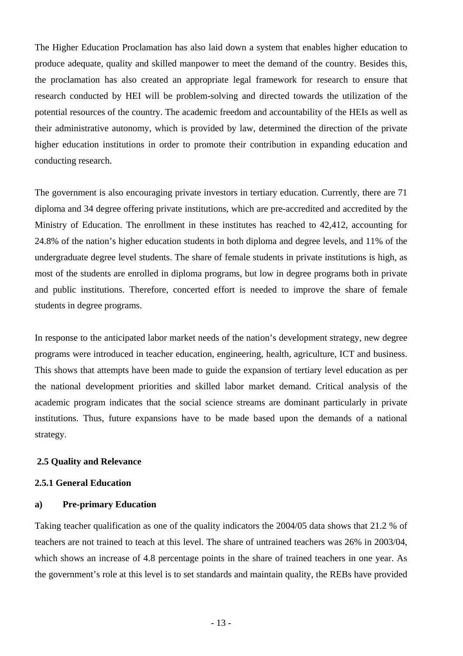The Higher Education Proclamation has also laid down a system that enables higher education to produce adequate, quality and skilled manpower to meet the demand of the country. Besides this, the proclamation has also created an appropriate legal framework for research to ensure that research conducted by HEI will be problem-solving and directed towards the utilization of the potential resources of the country. The academic freedom and accountability of the HEIs as well as their administrative autonomy, which is provided by law, determined the direction of the private higher education institutions in order to promote their contribution in expanding education and conducting research.

The government is also encouraging private investors in tertiary education. Currently, there are 71 diploma and 34 degree offering private institutions, which are pre-accredited and accredited by the Ministry of Education. The enrollment in these institutes has reached to 42,412, accounting for 24.8% of the nation's higher education students in both diploma and degree levels, and 11% of the undergraduate degree level students. The share of female students in private institutions is high, as most of the students are enrolled in diploma programs, but low in degree programs both in private and public institutions. Therefore, concerted effort is needed to improve the share of female students in degree programs.

In response to the anticipated labor market needs of the nation's development strategy, new degree programs were introduced in teacher education, engineering, health, agriculture, ICT and business. This shows that attempts have been made to guide the expansion of tertiary level education as per the national development priorities and skilled labor market demand. Critical analysis of the academic program indicates that the social science streams are dominant particularly in private institutions. Thus, future expansions have to be made based upon the demands of a national strategy.

#### **2.5 Quality and Relevance**

#### **2.5.1 General Education**

#### **a) Pre-primary Education**

Taking teacher qualification as one of the quality indicators the 2004/05 data shows that 21.2 % of teachers are not trained to teach at this level. The share of untrained teachers was 26% in 2003/04, which shows an increase of 4.8 percentage points in the share of trained teachers in one year. As the government's role at this level is to set standards and maintain quality, the REBs have provided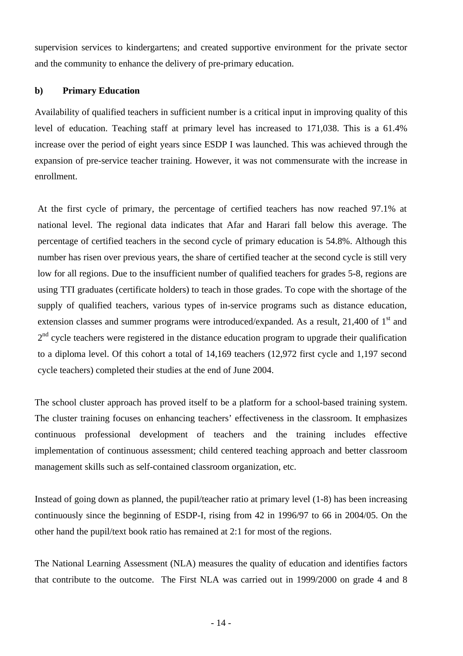supervision services to kindergartens; and created supportive environment for the private sector and the community to enhance the delivery of pre-primary education.

#### **b) Primary Education**

Availability of qualified teachers in sufficient number is a critical input in improving quality of this level of education. Teaching staff at primary level has increased to 171,038. This is a 61.4% increase over the period of eight years since ESDP I was launched. This was achieved through the expansion of pre-service teacher training. However, it was not commensurate with the increase in enrollment.

At the first cycle of primary, the percentage of certified teachers has now reached 97.1% at national level. The regional data indicates that Afar and Harari fall below this average. The percentage of certified teachers in the second cycle of primary education is 54.8%. Although this number has risen over previous years, the share of certified teacher at the second cycle is still very low for all regions. Due to the insufficient number of qualified teachers for grades 5-8, regions are using TTI graduates (certificate holders) to teach in those grades. To cope with the shortage of the supply of qualified teachers, various types of in-service programs such as distance education, extension classes and summer programs were introduced/expanded. As a result, 21,400 of 1<sup>st</sup> and  $2<sup>nd</sup>$  cycle teachers were registered in the distance education program to upgrade their qualification to a diploma level. Of this cohort a total of 14,169 teachers (12,972 first cycle and 1,197 second cycle teachers) completed their studies at the end of June 2004.

The school cluster approach has proved itself to be a platform for a school-based training system. The cluster training focuses on enhancing teachers' effectiveness in the classroom. It emphasizes continuous professional development of teachers and the training includes effective implementation of continuous assessment; child centered teaching approach and better classroom management skills such as self-contained classroom organization, etc.

Instead of going down as planned, the pupil/teacher ratio at primary level (1-8) has been increasing continuously since the beginning of ESDP-I, rising from 42 in 1996/97 to 66 in 2004/05. On the other hand the pupil/text book ratio has remained at 2:1 for most of the regions.

The National Learning Assessment (NLA) measures the quality of education and identifies factors that contribute to the outcome. The First NLA was carried out in 1999/2000 on grade 4 and 8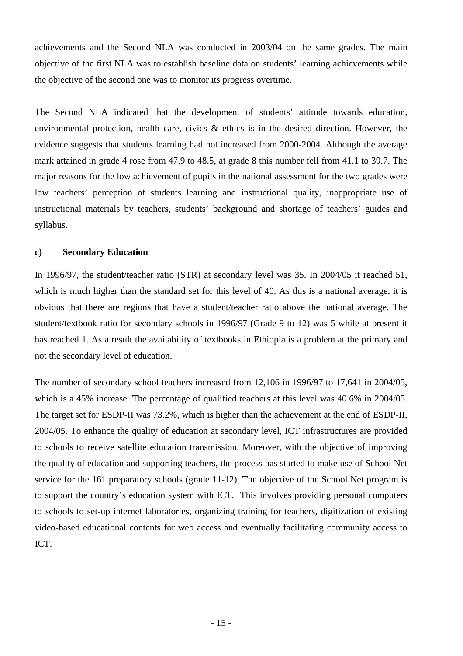achievements and the Second NLA was conducted in 2003/04 on the same grades. The main objective of the first NLA was to establish baseline data on students' learning achievements while the objective of the second one was to monitor its progress overtime.

The Second NLA indicated that the development of students' attitude towards education, environmental protection, health care, civics & ethics is in the desired direction. However, the evidence suggests that students learning had not increased from 2000-2004. Although the average mark attained in grade 4 rose from 47.9 to 48.5, at grade 8 this number fell from 41.1 to 39.7. The major reasons for the low achievement of pupils in the national assessment for the two grades were low teachers' perception of students learning and instructional quality, inappropriate use of instructional materials by teachers, students' background and shortage of teachers' guides and syllabus.

## **c) Secondary Education**

In 1996/97, the student/teacher ratio (STR) at secondary level was 35. In 2004/05 it reached 51, which is much higher than the standard set for this level of 40. As this is a national average, it is obvious that there are regions that have a student/teacher ratio above the national average. The student/textbook ratio for secondary schools in 1996/97 (Grade 9 to 12) was 5 while at present it has reached 1. As a result the availability of textbooks in Ethiopia is a problem at the primary and not the secondary level of education.

The number of secondary school teachers increased from 12,106 in 1996/97 to 17,641 in 2004/05, which is a 45% increase. The percentage of qualified teachers at this level was 40.6% in 2004/05. The target set for ESDP-II was 73.2%, which is higher than the achievement at the end of ESDP-II, 2004/05. To enhance the quality of education at secondary level, ICT infrastructures are provided to schools to receive satellite education transmission. Moreover, with the objective of improving the quality of education and supporting teachers, the process has started to make use of School Net service for the 161 preparatory schools (grade 11-12). The objective of the School Net program is to support the country's education system with ICT. This involves providing personal computers to schools to set-up internet laboratories, organizing training for teachers, digitization of existing video-based educational contents for web access and eventually facilitating community access to ICT.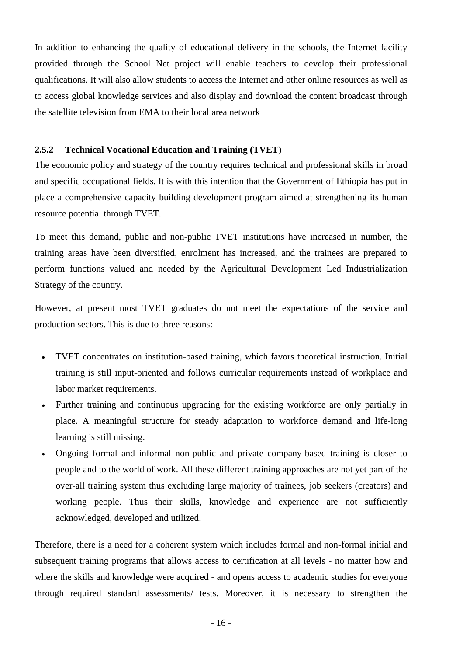In addition to enhancing the quality of educational delivery in the schools, the Internet facility provided through the School Net project will enable teachers to develop their professional qualifications. It will also allow students to access the Internet and other online resources as well as to access global knowledge services and also display and download the content broadcast through the satellite television from EMA to their local area network

#### **2.5.2 Technical Vocational Education and Training (TVET)**

The economic policy and strategy of the country requires technical and professional skills in broad and specific occupational fields. It is with this intention that the Government of Ethiopia has put in place a comprehensive capacity building development program aimed at strengthening its human resource potential through TVET.

To meet this demand, public and non-public TVET institutions have increased in number, the training areas have been diversified, enrolment has increased, and the trainees are prepared to perform functions valued and needed by the Agricultural Development Led Industrialization Strategy of the country.

However, at present most TVET graduates do not meet the expectations of the service and production sectors. This is due to three reasons:

- TVET concentrates on institution-based training, which favors theoretical instruction. Initial training is still input-oriented and follows curricular requirements instead of workplace and labor market requirements.
- Further training and continuous upgrading for the existing workforce are only partially in place. A meaningful structure for steady adaptation to workforce demand and life-long learning is still missing.
- Ongoing formal and informal non-public and private company-based training is closer to people and to the world of work. All these different training approaches are not yet part of the over-all training system thus excluding large majority of trainees, job seekers (creators) and working people. Thus their skills, knowledge and experience are not sufficiently acknowledged, developed and utilized.

Therefore, there is a need for a coherent system which includes formal and non-formal initial and subsequent training programs that allows access to certification at all levels - no matter how and where the skills and knowledge were acquired - and opens access to academic studies for everyone through required standard assessments/ tests. Moreover, it is necessary to strengthen the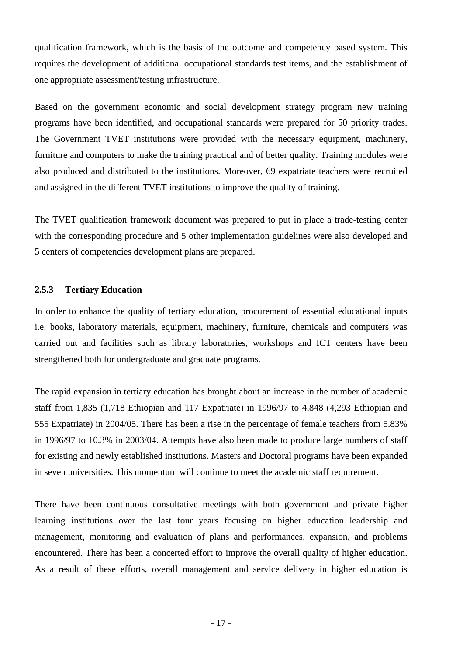qualification framework, which is the basis of the outcome and competency based system. This requires the development of additional occupational standards test items, and the establishment of one appropriate assessment/testing infrastructure.

Based on the government economic and social development strategy program new training programs have been identified, and occupational standards were prepared for 50 priority trades. The Government TVET institutions were provided with the necessary equipment, machinery, furniture and computers to make the training practical and of better quality. Training modules were also produced and distributed to the institutions. Moreover, 69 expatriate teachers were recruited and assigned in the different TVET institutions to improve the quality of training.

The TVET qualification framework document was prepared to put in place a trade-testing center with the corresponding procedure and 5 other implementation guidelines were also developed and 5 centers of competencies development plans are prepared.

#### **2.5.3 Tertiary Education**

In order to enhance the quality of tertiary education, procurement of essential educational inputs i.e. books, laboratory materials, equipment, machinery, furniture, chemicals and computers was carried out and facilities such as library laboratories, workshops and ICT centers have been strengthened both for undergraduate and graduate programs.

The rapid expansion in tertiary education has brought about an increase in the number of academic staff from 1,835 (1,718 Ethiopian and 117 Expatriate) in 1996/97 to 4,848 (4,293 Ethiopian and 555 Expatriate) in 2004/05. There has been a rise in the percentage of female teachers from 5.83% in 1996/97 to 10.3% in 2003/04. Attempts have also been made to produce large numbers of staff for existing and newly established institutions. Masters and Doctoral programs have been expanded in seven universities. This momentum will continue to meet the academic staff requirement.

There have been continuous consultative meetings with both government and private higher learning institutions over the last four years focusing on higher education leadership and management, monitoring and evaluation of plans and performances, expansion, and problems encountered. There has been a concerted effort to improve the overall quality of higher education. As a result of these efforts, overall management and service delivery in higher education is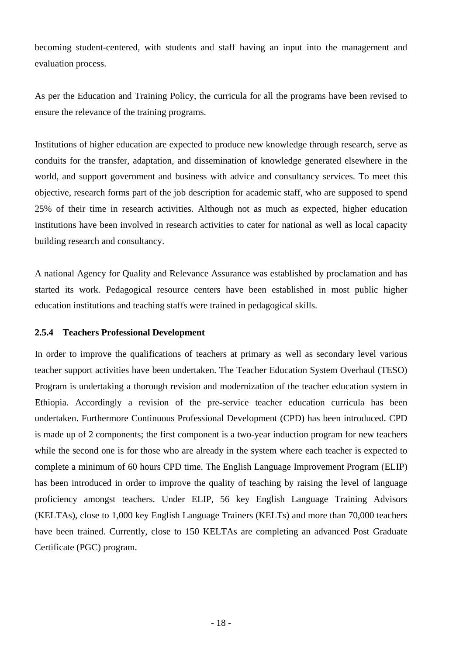becoming student-centered, with students and staff having an input into the management and evaluation process.

As per the Education and Training Policy, the curricula for all the programs have been revised to ensure the relevance of the training programs.

Institutions of higher education are expected to produce new knowledge through research, serve as conduits for the transfer, adaptation, and dissemination of knowledge generated elsewhere in the world, and support government and business with advice and consultancy services. To meet this objective, research forms part of the job description for academic staff, who are supposed to spend 25% of their time in research activities. Although not as much as expected, higher education institutions have been involved in research activities to cater for national as well as local capacity building research and consultancy.

A national Agency for Quality and Relevance Assurance was established by proclamation and has started its work. Pedagogical resource centers have been established in most public higher education institutions and teaching staffs were trained in pedagogical skills.

#### **2.5.4 Teachers Professional Development**

In order to improve the qualifications of teachers at primary as well as secondary level various teacher support activities have been undertaken. The Teacher Education System Overhaul (TESO) Program is undertaking a thorough revision and modernization of the teacher education system in Ethiopia. Accordingly a revision of the pre-service teacher education curricula has been undertaken. Furthermore Continuous Professional Development (CPD) has been introduced. CPD is made up of 2 components; the first component is a two-year induction program for new teachers while the second one is for those who are already in the system where each teacher is expected to complete a minimum of 60 hours CPD time. The English Language Improvement Program (ELIP) has been introduced in order to improve the quality of teaching by raising the level of language proficiency amongst teachers. Under ELIP, 56 key English Language Training Advisors (KELTAs), close to 1,000 key English Language Trainers (KELTs) and more than 70,000 teachers have been trained. Currently, close to 150 KELTAs are completing an advanced Post Graduate Certificate (PGC) program.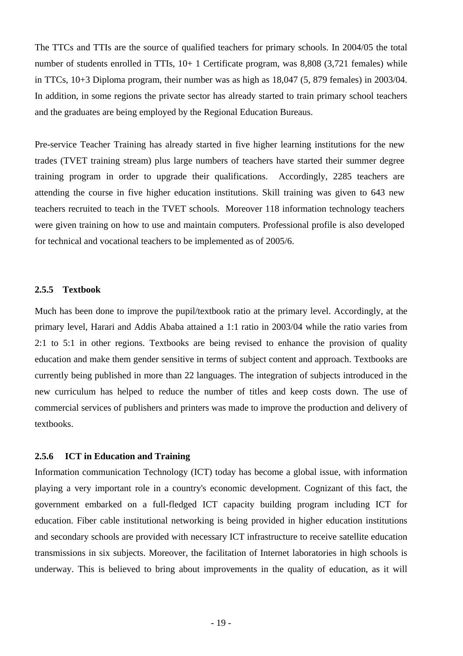The TTCs and TTIs are the source of qualified teachers for primary schools. In 2004/05 the total number of students enrolled in TTIs, 10+ 1 Certificate program, was 8,808 (3,721 females) while in TTCs, 10+3 Diploma program, their number was as high as 18,047 (5, 879 females) in 2003/04. In addition, in some regions the private sector has already started to train primary school teachers and the graduates are being employed by the Regional Education Bureaus.

Pre-service Teacher Training has already started in five higher learning institutions for the new trades (TVET training stream) plus large numbers of teachers have started their summer degree training program in order to upgrade their qualifications. Accordingly, 2285 teachers are attending the course in five higher education institutions. Skill training was given to 643 new teachers recruited to teach in the TVET schools. Moreover 118 information technology teachers were given training on how to use and maintain computers. Professional profile is also developed for technical and vocational teachers to be implemented as of 2005/6.

#### **2.5.5 Textbook**

Much has been done to improve the pupil/textbook ratio at the primary level. Accordingly, at the primary level, Harari and Addis Ababa attained a 1:1 ratio in 2003/04 while the ratio varies from 2:1 to 5:1 in other regions. Textbooks are being revised to enhance the provision of quality education and make them gender sensitive in terms of subject content and approach. Textbooks are currently being published in more than 22 languages. The integration of subjects introduced in the new curriculum has helped to reduce the number of titles and keep costs down. The use of commercial services of publishers and printers was made to improve the production and delivery of textbooks.

#### **2.5.6 ICT in Education and Training**

Information communication Technology (ICT) today has become a global issue, with information playing a very important role in a country's economic development. Cognizant of this fact, the government embarked on a full-fledged ICT capacity building program including ICT for education. Fiber cable institutional networking is being provided in higher education institutions and secondary schools are provided with necessary ICT infrastructure to receive satellite education transmissions in six subjects. Moreover, the facilitation of Internet laboratories in high schools is underway. This is believed to bring about improvements in the quality of education, as it will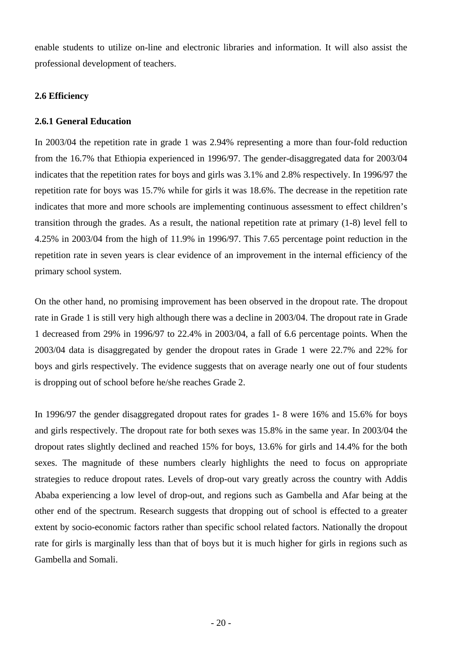enable students to utilize on-line and electronic libraries and information. It will also assist the professional development of teachers.

## **2.6 Efficiency**

## **2.6.1 General Education**

In 2003/04 the repetition rate in grade 1 was 2.94% representing a more than four-fold reduction from the 16.7% that Ethiopia experienced in 1996/97. The gender-disaggregated data for 2003/04 indicates that the repetition rates for boys and girls was 3.1% and 2.8% respectively. In 1996/97 the repetition rate for boys was 15.7% while for girls it was 18.6%. The decrease in the repetition rate indicates that more and more schools are implementing continuous assessment to effect children's transition through the grades. As a result, the national repetition rate at primary (1-8) level fell to 4.25% in 2003/04 from the high of 11.9% in 1996/97. This 7.65 percentage point reduction in the repetition rate in seven years is clear evidence of an improvement in the internal efficiency of the primary school system.

On the other hand, no promising improvement has been observed in the dropout rate. The dropout rate in Grade 1 is still very high although there was a decline in 2003/04. The dropout rate in Grade 1 decreased from 29% in 1996/97 to 22.4% in 2003/04, a fall of 6.6 percentage points. When the 2003/04 data is disaggregated by gender the dropout rates in Grade 1 were 22.7% and 22% for boys and girls respectively. The evidence suggests that on average nearly one out of four students is dropping out of school before he/she reaches Grade 2.

In 1996/97 the gender disaggregated dropout rates for grades 1- 8 were 16% and 15.6% for boys and girls respectively. The dropout rate for both sexes was 15.8% in the same year. In 2003/04 the dropout rates slightly declined and reached 15% for boys, 13.6% for girls and 14.4% for the both sexes. The magnitude of these numbers clearly highlights the need to focus on appropriate strategies to reduce dropout rates. Levels of drop-out vary greatly across the country with Addis Ababa experiencing a low level of drop-out, and regions such as Gambella and Afar being at the other end of the spectrum. Research suggests that dropping out of school is effected to a greater extent by socio-economic factors rather than specific school related factors. Nationally the dropout rate for girls is marginally less than that of boys but it is much higher for girls in regions such as Gambella and Somali.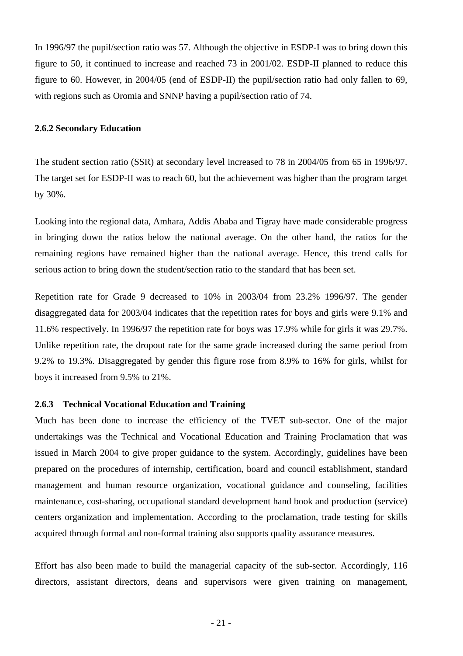In 1996/97 the pupil/section ratio was 57. Although the objective in ESDP-I was to bring down this figure to 50, it continued to increase and reached 73 in 2001/02. ESDP-II planned to reduce this figure to 60. However, in 2004/05 (end of ESDP-II) the pupil/section ratio had only fallen to 69, with regions such as Oromia and SNNP having a pupil/section ratio of 74.

#### **2.6.2 Secondary Education**

The student section ratio (SSR) at secondary level increased to 78 in 2004/05 from 65 in 1996/97. The target set for ESDP-II was to reach 60, but the achievement was higher than the program target by 30%.

Looking into the regional data, Amhara, Addis Ababa and Tigray have made considerable progress in bringing down the ratios below the national average. On the other hand, the ratios for the remaining regions have remained higher than the national average. Hence, this trend calls for serious action to bring down the student/section ratio to the standard that has been set.

Repetition rate for Grade 9 decreased to 10% in 2003/04 from 23.2% 1996/97. The gender disaggregated data for 2003/04 indicates that the repetition rates for boys and girls were 9.1% and 11.6% respectively. In 1996/97 the repetition rate for boys was 17.9% while for girls it was 29.7%. Unlike repetition rate, the dropout rate for the same grade increased during the same period from 9.2% to 19.3%. Disaggregated by gender this figure rose from 8.9% to 16% for girls, whilst for boys it increased from 9.5% to 21%.

#### **2.6.3 Technical Vocational Education and Training**

Much has been done to increase the efficiency of the TVET sub-sector. One of the major undertakings was the Technical and Vocational Education and Training Proclamation that was issued in March 2004 to give proper guidance to the system. Accordingly, guidelines have been prepared on the procedures of internship, certification, board and council establishment, standard management and human resource organization, vocational guidance and counseling, facilities maintenance, cost-sharing, occupational standard development hand book and production (service) centers organization and implementation. According to the proclamation, trade testing for skills acquired through formal and non-formal training also supports quality assurance measures.

Effort has also been made to build the managerial capacity of the sub-sector. Accordingly, 116 directors, assistant directors, deans and supervisors were given training on management,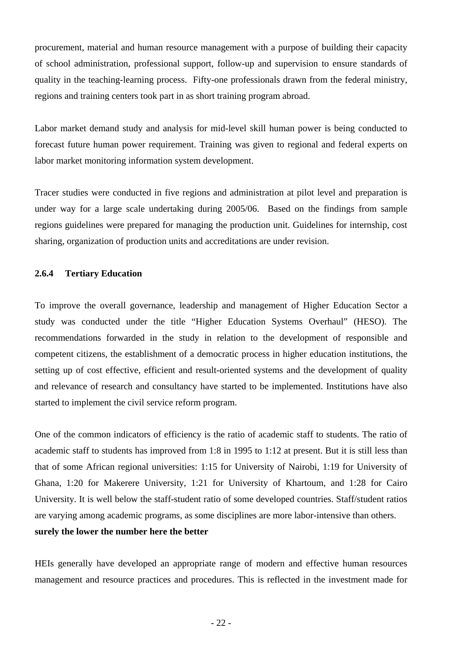procurement, material and human resource management with a purpose of building their capacity of school administration, professional support, follow-up and supervision to ensure standards of quality in the teaching-learning process. Fifty-one professionals drawn from the federal ministry, regions and training centers took part in as short training program abroad.

Labor market demand study and analysis for mid-level skill human power is being conducted to forecast future human power requirement. Training was given to regional and federal experts on labor market monitoring information system development.

Tracer studies were conducted in five regions and administration at pilot level and preparation is under way for a large scale undertaking during 2005/06. Based on the findings from sample regions guidelines were prepared for managing the production unit. Guidelines for internship, cost sharing, organization of production units and accreditations are under revision.

#### **2.6.4 Tertiary Education**

To improve the overall governance, leadership and management of Higher Education Sector a study was conducted under the title "Higher Education Systems Overhaul" (HESO). The recommendations forwarded in the study in relation to the development of responsible and competent citizens, the establishment of a democratic process in higher education institutions, the setting up of cost effective, efficient and result-oriented systems and the development of quality and relevance of research and consultancy have started to be implemented. Institutions have also started to implement the civil service reform program.

One of the common indicators of efficiency is the ratio of academic staff to students. The ratio of academic staff to students has improved from 1:8 in 1995 to 1:12 at present. But it is still less than that of some African regional universities: 1:15 for University of Nairobi, 1:19 for University of Ghana, 1:20 for Makerere University, 1:21 for University of Khartoum, and 1:28 for Cairo University. It is well below the staff-student ratio of some developed countries. Staff/student ratios are varying among academic programs, as some disciplines are more labor-intensive than others. **surely the lower the number here the better** 

HEIs generally have developed an appropriate range of modern and effective human resources management and resource practices and procedures. This is reflected in the investment made for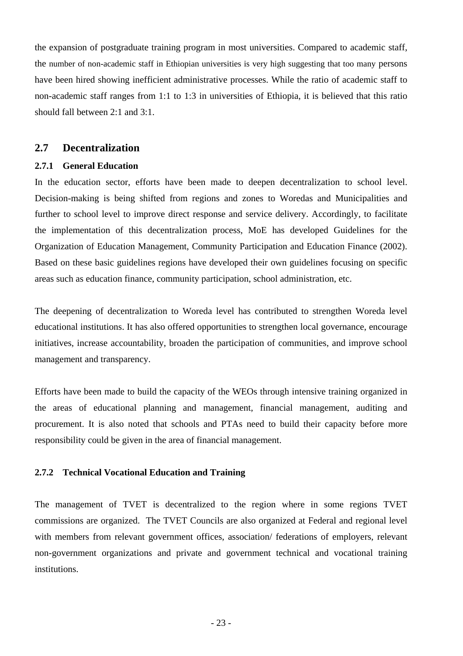the expansion of postgraduate training program in most universities. Compared to academic staff, the number of non-academic staff in Ethiopian universities is very high suggesting that too many persons have been hired showing inefficient administrative processes. While the ratio of academic staff to non-academic staff ranges from 1:1 to 1:3 in universities of Ethiopia, it is believed that this ratio should fall between 2:1 and 3:1.

## **2.7 Decentralization**

#### **2.7.1 General Education**

In the education sector, efforts have been made to deepen decentralization to school level. Decision-making is being shifted from regions and zones to Woredas and Municipalities and further to school level to improve direct response and service delivery. Accordingly, to facilitate the implementation of this decentralization process, MoE has developed Guidelines for the Organization of Education Management, Community Participation and Education Finance (2002). Based on these basic guidelines regions have developed their own guidelines focusing on specific areas such as education finance, community participation, school administration, etc.

The deepening of decentralization to Woreda level has contributed to strengthen Woreda level educational institutions. It has also offered opportunities to strengthen local governance, encourage initiatives, increase accountability, broaden the participation of communities, and improve school management and transparency.

Efforts have been made to build the capacity of the WEOs through intensive training organized in the areas of educational planning and management, financial management, auditing and procurement. It is also noted that schools and PTAs need to build their capacity before more responsibility could be given in the area of financial management.

#### **2.7.2 Technical Vocational Education and Training**

The management of TVET is decentralized to the region where in some regions TVET commissions are organized. The TVET Councils are also organized at Federal and regional level with members from relevant government offices, association/ federations of employers, relevant non-government organizations and private and government technical and vocational training institutions.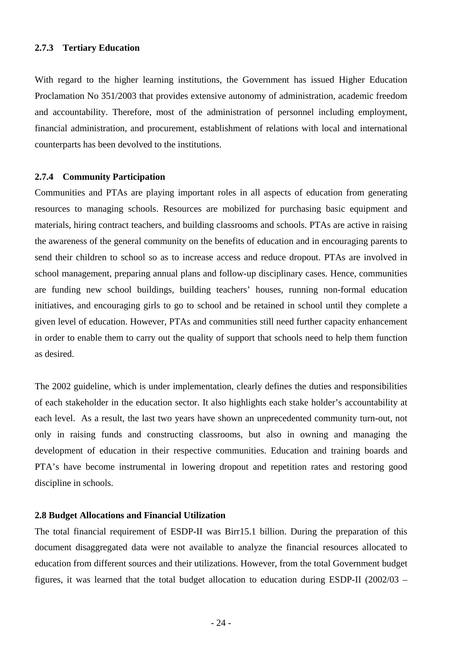#### **2.7.3 Tertiary Education**

With regard to the higher learning institutions, the Government has issued Higher Education Proclamation No 351/2003 that provides extensive autonomy of administration, academic freedom and accountability. Therefore, most of the administration of personnel including employment, financial administration, and procurement, establishment of relations with local and international counterparts has been devolved to the institutions.

#### **2.7.4 Community Participation**

Communities and PTAs are playing important roles in all aspects of education from generating resources to managing schools. Resources are mobilized for purchasing basic equipment and materials, hiring contract teachers, and building classrooms and schools. PTAs are active in raising the awareness of the general community on the benefits of education and in encouraging parents to send their children to school so as to increase access and reduce dropout. PTAs are involved in school management, preparing annual plans and follow-up disciplinary cases. Hence, communities are funding new school buildings, building teachers' houses, running non-formal education initiatives, and encouraging girls to go to school and be retained in school until they complete a given level of education. However, PTAs and communities still need further capacity enhancement in order to enable them to carry out the quality of support that schools need to help them function as desired.

The 2002 guideline, which is under implementation, clearly defines the duties and responsibilities of each stakeholder in the education sector. It also highlights each stake holder's accountability at each level. As a result, the last two years have shown an unprecedented community turn-out, not only in raising funds and constructing classrooms, but also in owning and managing the development of education in their respective communities. Education and training boards and PTA's have become instrumental in lowering dropout and repetition rates and restoring good discipline in schools.

#### **2.8 Budget Allocations and Financial Utilization**

The total financial requirement of ESDP-II was Birr15.1 billion. During the preparation of this document disaggregated data were not available to analyze the financial resources allocated to education from different sources and their utilizations. However, from the total Government budget figures, it was learned that the total budget allocation to education during ESDP-II (2002/03 –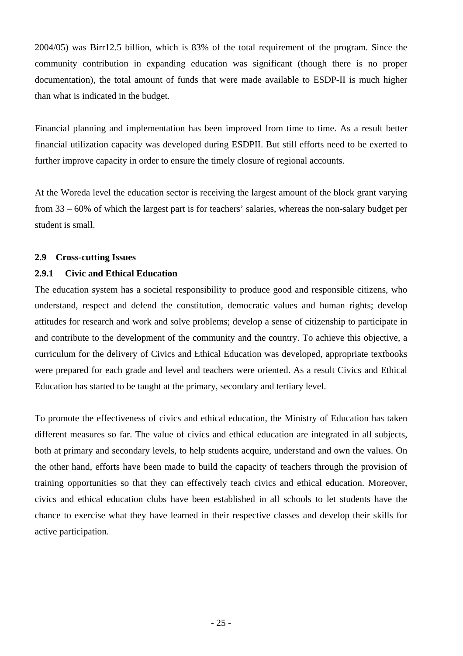2004/05) was Birr12.5 billion, which is 83% of the total requirement of the program. Since the community contribution in expanding education was significant (though there is no proper documentation), the total amount of funds that were made available to ESDP-II is much higher than what is indicated in the budget.

Financial planning and implementation has been improved from time to time. As a result better financial utilization capacity was developed during ESDPII. But still efforts need to be exerted to further improve capacity in order to ensure the timely closure of regional accounts.

At the Woreda level the education sector is receiving the largest amount of the block grant varying from 33 – 60% of which the largest part is for teachers' salaries, whereas the non-salary budget per student is small.

#### **2.9 Cross-cutting Issues**

#### **2.9.1 Civic and Ethical Education**

The education system has a societal responsibility to produce good and responsible citizens, who understand, respect and defend the constitution, democratic values and human rights; develop attitudes for research and work and solve problems; develop a sense of citizenship to participate in and contribute to the development of the community and the country. To achieve this objective, a curriculum for the delivery of Civics and Ethical Education was developed, appropriate textbooks were prepared for each grade and level and teachers were oriented. As a result Civics and Ethical Education has started to be taught at the primary, secondary and tertiary level.

To promote the effectiveness of civics and ethical education, the Ministry of Education has taken different measures so far. The value of civics and ethical education are integrated in all subjects, both at primary and secondary levels, to help students acquire, understand and own the values. On the other hand, efforts have been made to build the capacity of teachers through the provision of training opportunities so that they can effectively teach civics and ethical education. Moreover, civics and ethical education clubs have been established in all schools to let students have the chance to exercise what they have learned in their respective classes and develop their skills for active participation.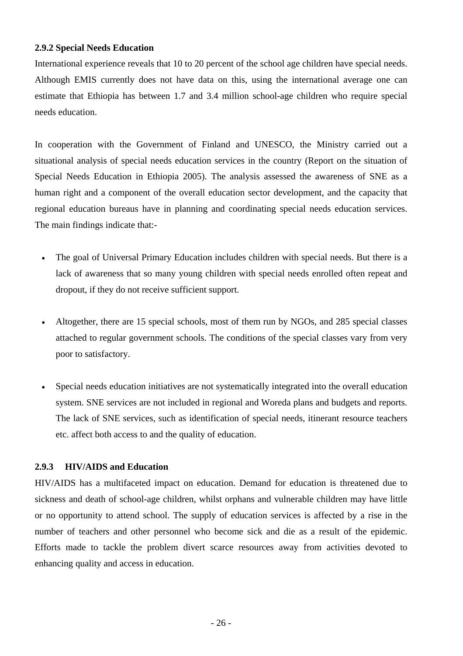#### **2.9.2 Special Needs Education**

International experience reveals that 10 to 20 percent of the school age children have special needs. Although EMIS currently does not have data on this, using the international average one can estimate that Ethiopia has between 1.7 and 3.4 million school-age children who require special needs education.

In cooperation with the Government of Finland and UNESCO, the Ministry carried out a situational analysis of special needs education services in the country (Report on the situation of Special Needs Education in Ethiopia 2005). The analysis assessed the awareness of SNE as a human right and a component of the overall education sector development, and the capacity that regional education bureaus have in planning and coordinating special needs education services. The main findings indicate that:-

- The goal of Universal Primary Education includes children with special needs. But there is a lack of awareness that so many young children with special needs enrolled often repeat and dropout, if they do not receive sufficient support.
- Altogether, there are 15 special schools, most of them run by NGOs, and 285 special classes attached to regular government schools. The conditions of the special classes vary from very poor to satisfactory.
- Special needs education initiatives are not systematically integrated into the overall education system. SNE services are not included in regional and Woreda plans and budgets and reports. The lack of SNE services, such as identification of special needs, itinerant resource teachers etc. affect both access to and the quality of education.

## **2.9.3 HIV/AIDS and Education**

HIV/AIDS has a multifaceted impact on education. Demand for education is threatened due to sickness and death of school-age children, whilst orphans and vulnerable children may have little or no opportunity to attend school. The supply of education services is affected by a rise in the number of teachers and other personnel who become sick and die as a result of the epidemic. Efforts made to tackle the problem divert scarce resources away from activities devoted to enhancing quality and access in education.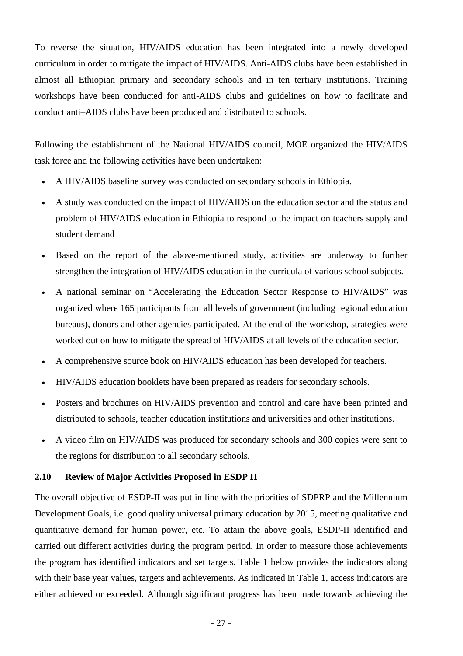To reverse the situation, HIV/AIDS education has been integrated into a newly developed curriculum in order to mitigate the impact of HIV/AIDS. Anti-AIDS clubs have been established in almost all Ethiopian primary and secondary schools and in ten tertiary institutions. Training workshops have been conducted for anti-AIDS clubs and guidelines on how to facilitate and conduct anti–AIDS clubs have been produced and distributed to schools.

Following the establishment of the National HIV/AIDS council, MOE organized the HIV/AIDS task force and the following activities have been undertaken:

- A HIV/AIDS baseline survey was conducted on secondary schools in Ethiopia.
- A study was conducted on the impact of HIV/AIDS on the education sector and the status and problem of HIV/AIDS education in Ethiopia to respond to the impact on teachers supply and student demand
- Based on the report of the above-mentioned study, activities are underway to further strengthen the integration of HIV/AIDS education in the curricula of various school subjects.
- A national seminar on "Accelerating the Education Sector Response to HIV/AIDS" was organized where 165 participants from all levels of government (including regional education bureaus), donors and other agencies participated. At the end of the workshop, strategies were worked out on how to mitigate the spread of HIV/AIDS at all levels of the education sector.
- A comprehensive source book on HIV/AIDS education has been developed for teachers.
- HIV/AIDS education booklets have been prepared as readers for secondary schools.
- Posters and brochures on HIV/AIDS prevention and control and care have been printed and distributed to schools, teacher education institutions and universities and other institutions.
- A video film on HIV/AIDS was produced for secondary schools and 300 copies were sent to the regions for distribution to all secondary schools.

#### **2.10 Review of Major Activities Proposed in ESDP II**

The overall objective of ESDP-II was put in line with the priorities of SDPRP and the Millennium Development Goals, i.e. good quality universal primary education by 2015, meeting qualitative and quantitative demand for human power, etc. To attain the above goals, ESDP-II identified and carried out different activities during the program period. In order to measure those achievements the program has identified indicators and set targets. Table 1 below provides the indicators along with their base year values, targets and achievements. As indicated in Table 1, access indicators are either achieved or exceeded. Although significant progress has been made towards achieving the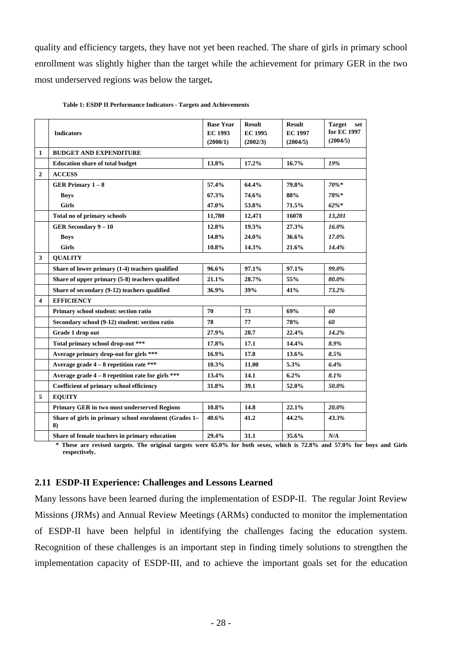quality and efficiency targets, they have not yet been reached. The share of girls in primary school enrollment was slightly higher than the target while the achievement for primary GER in the two most underserved regions was below the target**.** 

|                | <b>Indicators</b>                                           | <b>Base Year</b><br><b>EC 1993</b><br>(2000/1) | <b>Result</b><br><b>EC 1995</b><br>(2002/3) | <b>Result</b><br><b>EC 1997</b><br>(2004/5) | <b>Target</b><br>set<br>for EC 1997<br>(2004/5) |
|----------------|-------------------------------------------------------------|------------------------------------------------|---------------------------------------------|---------------------------------------------|-------------------------------------------------|
| 1              | <b>BUDGET AND EXPENDITURE</b>                               |                                                |                                             |                                             |                                                 |
|                | <b>Education share of total budget</b>                      | 13.8%                                          | 17.2%                                       | 16.7%                                       | 19%                                             |
| $\overline{2}$ | <b>ACCESS</b>                                               |                                                |                                             |                                             |                                                 |
|                | <b>GER Primary 1-8</b>                                      | 57.4%                                          | 64.4%                                       | 79.8%                                       | 70%*                                            |
|                | <b>Boys</b>                                                 | 67.3%                                          | 74.6%                                       | 88%                                         | 78%*                                            |
|                | <b>Girls</b>                                                | 47.0%                                          | 53.8%                                       | 71.5%                                       | $62\%$ *                                        |
|                | Total no of primary schools                                 | 11,780                                         | 12,471                                      | 16078                                       | 13,201                                          |
|                | <b>GER Secondary 9-10</b>                                   | 12.8%                                          | 19.3%                                       | 27.3%                                       | 16.0%                                           |
|                | <b>Boys</b>                                                 | 14.8%                                          | 24.0%                                       | 36.6%                                       | 17.0%                                           |
|                | <b>Girls</b>                                                | 10.8%                                          | 14.3%                                       | 21.6%                                       | 14.4%                                           |
| 3              | <b>OUALITY</b>                                              |                                                |                                             |                                             |                                                 |
|                | Share of lower primary (1-4) teachers qualified             | 96.6%                                          | 97.1%                                       | 97.1%                                       | 99.0%                                           |
|                | Share of upper primary (5-8) teachers qualified             | 21.1%                                          | 28.7%                                       | 55%                                         | 80.0%                                           |
|                | Share of secondary (9-12) teachers qualified                | 36.9%                                          | 39%                                         | 41%                                         | 73.2%                                           |
| 4              | <b>EFFICIENCY</b>                                           |                                                |                                             |                                             |                                                 |
|                | Primary school student: section ratio                       | 70                                             | 73                                          | 69%                                         | 60                                              |
|                | Secondary school (9-12) student: section ratio              | 78                                             | 77                                          | 78%                                         | 60                                              |
|                | Grade 1 drop out                                            | 27.9%                                          | 28.7                                        | 22.4%                                       | 14.2%                                           |
|                | Total primary school drop-out ***                           | 17.8%                                          | 17.1                                        | 14.4%                                       | 8.9%                                            |
|                | Average primary drop-out for girls ***                      | 16.9%                                          | 17.8                                        | 13.6%                                       | 8.5%                                            |
|                | Average grade $4-8$ repetition rate ***                     | 10.3%                                          | 11.00                                       | 5.3%                                        | 6.4%                                            |
|                | Average grade $4-8$ repetition rate for girls ***           | 13.4%                                          | 14.1                                        | 6.2%                                        | 8.1%                                            |
|                | Coefficient of primary school efficiency                    | 31.8%                                          | 39.1                                        | 52.0%                                       | 50.0%                                           |
| 5              | <b>EQUITY</b>                                               |                                                |                                             |                                             |                                                 |
|                | <b>Primary GER in two most underserved Regions</b>          | 10.8%                                          | 14.8                                        | 22.1%                                       | 20.0%                                           |
|                | Share of girls in primary school enrolment (Grades 1–<br>8) | 40.6%                                          | 41.2                                        | 44.2%                                       | 43.3%                                           |
|                | Share of female teachers in primary education               | 29.4%                                          | 31.1                                        | 35.6%                                       | N/A                                             |

#### **Table 1: ESDP II Performance Indicators - Targets and Achievements**

**\* These are revised targets. The original targets were 65.0% for both sexes, which is 72.8% and 57.0% for boys and Girls respectively.** 

#### **2.11 ESDP-II Experience: Challenges and Lessons Learned**

Many lessons have been learned during the implementation of ESDP-II. The regular Joint Review Missions (JRMs) and Annual Review Meetings (ARMs) conducted to monitor the implementation of ESDP-II have been helpful in identifying the challenges facing the education system. Recognition of these challenges is an important step in finding timely solutions to strengthen the implementation capacity of ESDP-III, and to achieve the important goals set for the education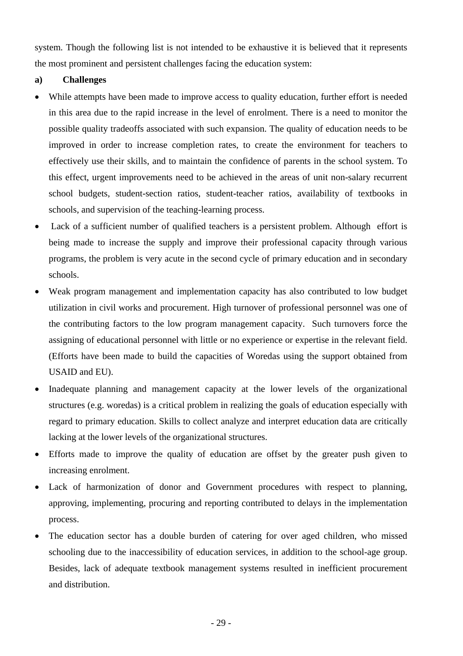system. Though the following list is not intended to be exhaustive it is believed that it represents the most prominent and persistent challenges facing the education system:

## **a) Challenges**

- While attempts have been made to improve access to quality education, further effort is needed in this area due to the rapid increase in the level of enrolment. There is a need to monitor the possible quality tradeoffs associated with such expansion. The quality of education needs to be improved in order to increase completion rates, to create the environment for teachers to effectively use their skills, and to maintain the confidence of parents in the school system. To this effect, urgent improvements need to be achieved in the areas of unit non-salary recurrent school budgets, student-section ratios, student-teacher ratios, availability of textbooks in schools, and supervision of the teaching-learning process.
- Lack of a sufficient number of qualified teachers is a persistent problem. Although effort is being made to increase the supply and improve their professional capacity through various programs, the problem is very acute in the second cycle of primary education and in secondary schools.
- Weak program management and implementation capacity has also contributed to low budget utilization in civil works and procurement. High turnover of professional personnel was one of the contributing factors to the low program management capacity. Such turnovers force the assigning of educational personnel with little or no experience or expertise in the relevant field. (Efforts have been made to build the capacities of Woredas using the support obtained from USAID and EU).
- Inadequate planning and management capacity at the lower levels of the organizational structures (e.g. woredas) is a critical problem in realizing the goals of education especially with regard to primary education. Skills to collect analyze and interpret education data are critically lacking at the lower levels of the organizational structures.
- Efforts made to improve the quality of education are offset by the greater push given to increasing enrolment.
- Lack of harmonization of donor and Government procedures with respect to planning, approving, implementing, procuring and reporting contributed to delays in the implementation process.
- The education sector has a double burden of catering for over aged children, who missed schooling due to the inaccessibility of education services, in addition to the school-age group. Besides, lack of adequate textbook management systems resulted in inefficient procurement and distribution.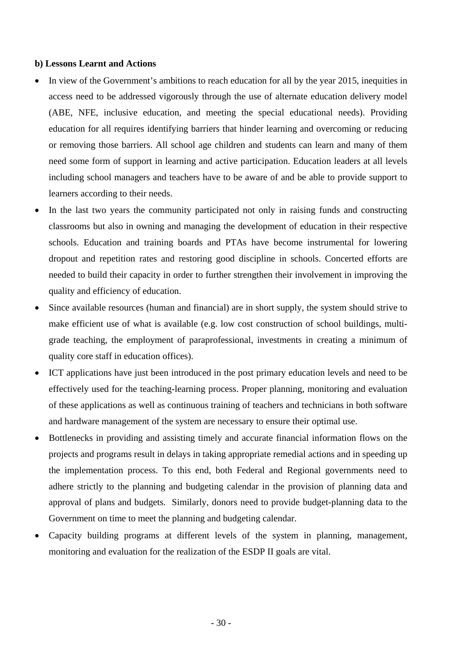#### **b) Lessons Learnt and Actions**

- In view of the Government's ambitions to reach education for all by the year 2015, inequities in access need to be addressed vigorously through the use of alternate education delivery model (ABE, NFE, inclusive education, and meeting the special educational needs). Providing education for all requires identifying barriers that hinder learning and overcoming or reducing or removing those barriers. All school age children and students can learn and many of them need some form of support in learning and active participation. Education leaders at all levels including school managers and teachers have to be aware of and be able to provide support to learners according to their needs.
- In the last two years the community participated not only in raising funds and constructing classrooms but also in owning and managing the development of education in their respective schools. Education and training boards and PTAs have become instrumental for lowering dropout and repetition rates and restoring good discipline in schools. Concerted efforts are needed to build their capacity in order to further strengthen their involvement in improving the quality and efficiency of education.
- Since available resources (human and financial) are in short supply, the system should strive to make efficient use of what is available (e.g. low cost construction of school buildings, multigrade teaching, the employment of paraprofessional, investments in creating a minimum of quality core staff in education offices).
- ICT applications have just been introduced in the post primary education levels and need to be effectively used for the teaching-learning process. Proper planning, monitoring and evaluation of these applications as well as continuous training of teachers and technicians in both software and hardware management of the system are necessary to ensure their optimal use.
- Bottlenecks in providing and assisting timely and accurate financial information flows on the projects and programs result in delays in taking appropriate remedial actions and in speeding up the implementation process. To this end, both Federal and Regional governments need to adhere strictly to the planning and budgeting calendar in the provision of planning data and approval of plans and budgets. Similarly, donors need to provide budget-planning data to the Government on time to meet the planning and budgeting calendar.
- Capacity building programs at different levels of the system in planning, management, monitoring and evaluation for the realization of the ESDP II goals are vital.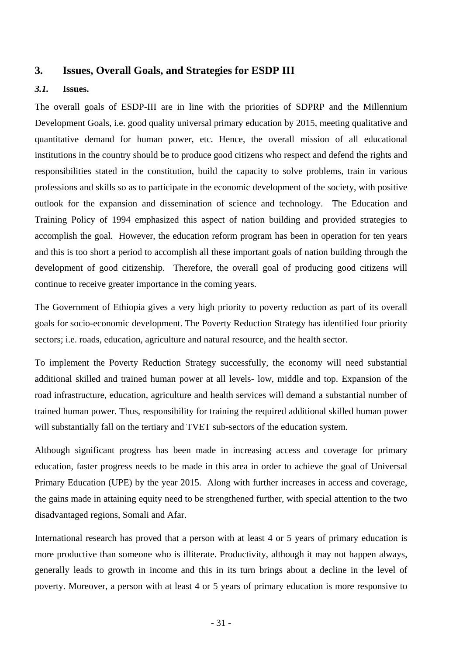## **3. Issues, Overall Goals, and Strategies for ESDP III**

#### *3.1.* **Issues.**

The overall goals of ESDP-III are in line with the priorities of SDPRP and the Millennium Development Goals, i.e. good quality universal primary education by 2015, meeting qualitative and quantitative demand for human power, etc. Hence, the overall mission of all educational institutions in the country should be to produce good citizens who respect and defend the rights and responsibilities stated in the constitution, build the capacity to solve problems, train in various professions and skills so as to participate in the economic development of the society, with positive outlook for the expansion and dissemination of science and technology. The Education and Training Policy of 1994 emphasized this aspect of nation building and provided strategies to accomplish the goal. However, the education reform program has been in operation for ten years and this is too short a period to accomplish all these important goals of nation building through the development of good citizenship. Therefore, the overall goal of producing good citizens will continue to receive greater importance in the coming years.

The Government of Ethiopia gives a very high priority to poverty reduction as part of its overall goals for socio-economic development. The Poverty Reduction Strategy has identified four priority sectors; i.e. roads, education, agriculture and natural resource, and the health sector.

To implement the Poverty Reduction Strategy successfully, the economy will need substantial additional skilled and trained human power at all levels- low, middle and top. Expansion of the road infrastructure, education, agriculture and health services will demand a substantial number of trained human power. Thus, responsibility for training the required additional skilled human power will substantially fall on the tertiary and TVET sub-sectors of the education system.

Although significant progress has been made in increasing access and coverage for primary education, faster progress needs to be made in this area in order to achieve the goal of Universal Primary Education (UPE) by the year 2015. Along with further increases in access and coverage, the gains made in attaining equity need to be strengthened further, with special attention to the two disadvantaged regions, Somali and Afar.

International research has proved that a person with at least 4 or 5 years of primary education is more productive than someone who is illiterate. Productivity, although it may not happen always, generally leads to growth in income and this in its turn brings about a decline in the level of poverty. Moreover, a person with at least 4 or 5 years of primary education is more responsive to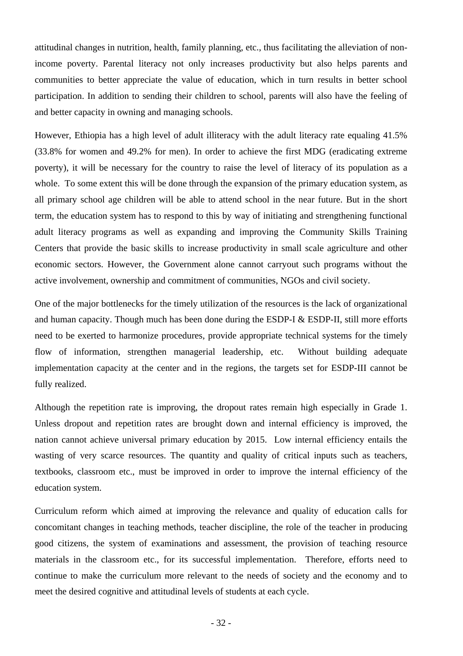attitudinal changes in nutrition, health, family planning, etc., thus facilitating the alleviation of nonincome poverty. Parental literacy not only increases productivity but also helps parents and communities to better appreciate the value of education, which in turn results in better school participation. In addition to sending their children to school, parents will also have the feeling of and better capacity in owning and managing schools.

However, Ethiopia has a high level of adult illiteracy with the adult literacy rate equaling 41.5% (33.8% for women and 49.2% for men). In order to achieve the first MDG (eradicating extreme poverty), it will be necessary for the country to raise the level of literacy of its population as a whole. To some extent this will be done through the expansion of the primary education system, as all primary school age children will be able to attend school in the near future. But in the short term, the education system has to respond to this by way of initiating and strengthening functional adult literacy programs as well as expanding and improving the Community Skills Training Centers that provide the basic skills to increase productivity in small scale agriculture and other economic sectors. However, the Government alone cannot carryout such programs without the active involvement, ownership and commitment of communities, NGOs and civil society.

One of the major bottlenecks for the timely utilization of the resources is the lack of organizational and human capacity. Though much has been done during the ESDP-I  $&$  ESDP-II, still more efforts need to be exerted to harmonize procedures, provide appropriate technical systems for the timely flow of information, strengthen managerial leadership, etc. Without building adequate implementation capacity at the center and in the regions, the targets set for ESDP-III cannot be fully realized.

Although the repetition rate is improving, the dropout rates remain high especially in Grade 1. Unless dropout and repetition rates are brought down and internal efficiency is improved, the nation cannot achieve universal primary education by 2015. Low internal efficiency entails the wasting of very scarce resources. The quantity and quality of critical inputs such as teachers, textbooks, classroom etc., must be improved in order to improve the internal efficiency of the education system.

Curriculum reform which aimed at improving the relevance and quality of education calls for concomitant changes in teaching methods, teacher discipline, the role of the teacher in producing good citizens, the system of examinations and assessment, the provision of teaching resource materials in the classroom etc., for its successful implementation. Therefore, efforts need to continue to make the curriculum more relevant to the needs of society and the economy and to meet the desired cognitive and attitudinal levels of students at each cycle.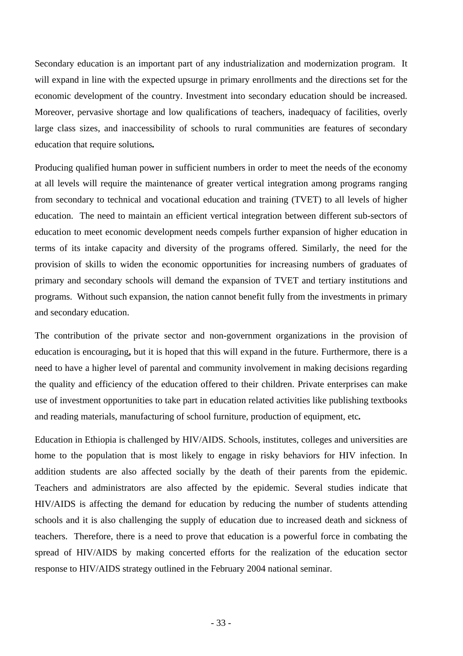Secondary education is an important part of any industrialization and modernization program. It will expand in line with the expected upsurge in primary enrollments and the directions set for the economic development of the country. Investment into secondary education should be increased. Moreover, pervasive shortage and low qualifications of teachers, inadequacy of facilities, overly large class sizes, and inaccessibility of schools to rural communities are features of secondary education that require solutions*.* 

Producing qualified human power in sufficient numbers in order to meet the needs of the economy at all levels will require the maintenance of greater vertical integration among programs ranging from secondary to technical and vocational education and training (TVET) to all levels of higher education. The need to maintain an efficient vertical integration between different sub-sectors of education to meet economic development needs compels further expansion of higher education in terms of its intake capacity and diversity of the programs offered. Similarly, the need for the provision of skills to widen the economic opportunities for increasing numbers of graduates of primary and secondary schools will demand the expansion of TVET and tertiary institutions and programs. Without such expansion, the nation cannot benefit fully from the investments in primary and secondary education.

The contribution of the private sector and non-government organizations in the provision of education is encouraging**,** but it is hoped that this will expand in the future. Furthermore, there is a need to have a higher level of parental and community involvement in making decisions regarding the quality and efficiency of the education offered to their children. Private enterprises can make use of investment opportunities to take part in education related activities like publishing textbooks and reading materials, manufacturing of school furniture, production of equipment, etc*.* 

Education in Ethiopia is challenged by HIV/AIDS. Schools, institutes, colleges and universities are home to the population that is most likely to engage in risky behaviors for HIV infection. In addition students are also affected socially by the death of their parents from the epidemic. Teachers and administrators are also affected by the epidemic. Several studies indicate that HIV/AIDS is affecting the demand for education by reducing the number of students attending schools and it is also challenging the supply of education due to increased death and sickness of teachers. Therefore, there is a need to prove that education is a powerful force in combating the spread of HIV/AIDS by making concerted efforts for the realization of the education sector response to HIV/AIDS strategy outlined in the February 2004 national seminar.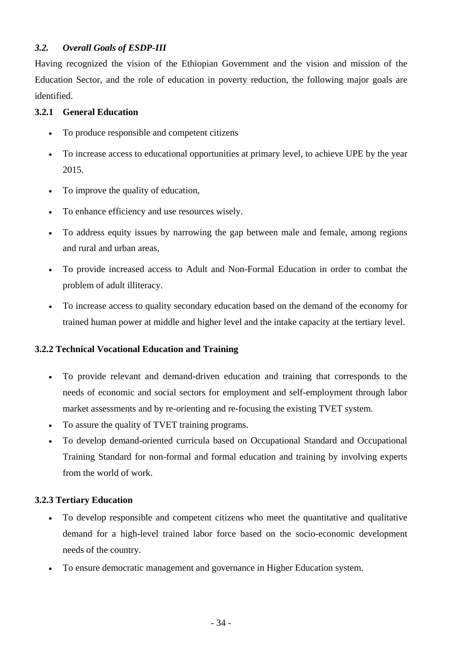## *3.2. Overall Goals of ESDP-III*

Having recognized the vision of the Ethiopian Government and the vision and mission of the Education Sector, and the role of education in poverty reduction, the following major goals are identified.

## **3.2.1 General Education**

- To produce responsible and competent citizens
- To increase access to educational opportunities at primary level, to achieve UPE by the year 2015.
- To improve the quality of education,
- To enhance efficiency and use resources wisely.
- To address equity issues by narrowing the gap between male and female, among regions and rural and urban areas,
- To provide increased access to Adult and Non-Formal Education in order to combat the problem of adult illiteracy.
- To increase access to quality secondary education based on the demand of the economy for trained human power at middle and higher level and the intake capacity at the tertiary level.

## **3.2.2 Technical Vocational Education and Training**

- To provide relevant and demand-driven education and training that corresponds to the needs of economic and social sectors for employment and self-employment through labor market assessments and by re-orienting and re-focusing the existing TVET system.
- To assure the quality of TVET training programs.
- To develop demand-oriented curricula based on Occupational Standard and Occupational Training Standard for non-formal and formal education and training by involving experts from the world of work.

## **3.2.3 Tertiary Education**

- To develop responsible and competent citizens who meet the quantitative and qualitative demand for a high-level trained labor force based on the socio-economic development needs of the country.
- To ensure democratic management and governance in Higher Education system.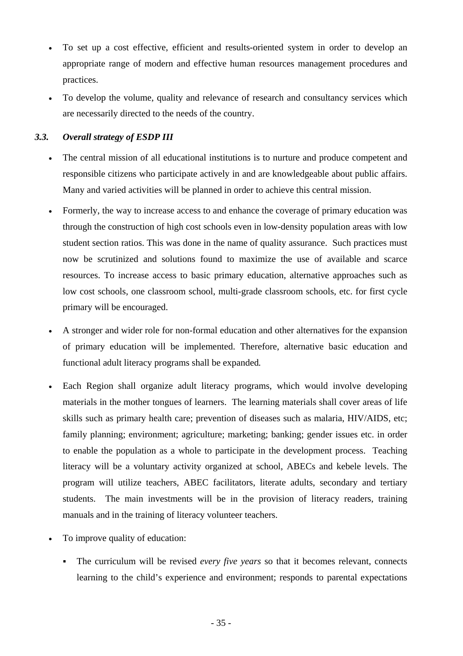- To set up a cost effective, efficient and results-oriented system in order to develop an appropriate range of modern and effective human resources management procedures and practices.
- To develop the volume, quality and relevance of research and consultancy services which are necessarily directed to the needs of the country.

## *3.3. Overall strategy of ESDP III*

- The central mission of all educational institutions is to nurture and produce competent and responsible citizens who participate actively in and are knowledgeable about public affairs. Many and varied activities will be planned in order to achieve this central mission.
- Formerly, the way to increase access to and enhance the coverage of primary education was through the construction of high cost schools even in low-density population areas with low student section ratios. This was done in the name of quality assurance. Such practices must now be scrutinized and solutions found to maximize the use of available and scarce resources. To increase access to basic primary education, alternative approaches such as low cost schools, one classroom school, multi-grade classroom schools, etc. for first cycle primary will be encouraged.
- A stronger and wider role for non-formal education and other alternatives for the expansion of primary education will be implemented. Therefore, alternative basic education and functional adult literacy programs shall be expanded*.*
- Each Region shall organize adult literacy programs, which would involve developing materials in the mother tongues of learners. The learning materials shall cover areas of life skills such as primary health care; prevention of diseases such as malaria, HIV/AIDS, etc; family planning; environment; agriculture; marketing; banking; gender issues etc. in order to enable the population as a whole to participate in the development process. Teaching literacy will be a voluntary activity organized at school, ABECs and kebele levels. The program will utilize teachers, ABEC facilitators, literate adults, secondary and tertiary students. The main investments will be in the provision of literacy readers, training manuals and in the training of literacy volunteer teachers.
- To improve quality of education:
	- The curriculum will be revised *every five years* so that it becomes relevant, connects learning to the child's experience and environment; responds to parental expectations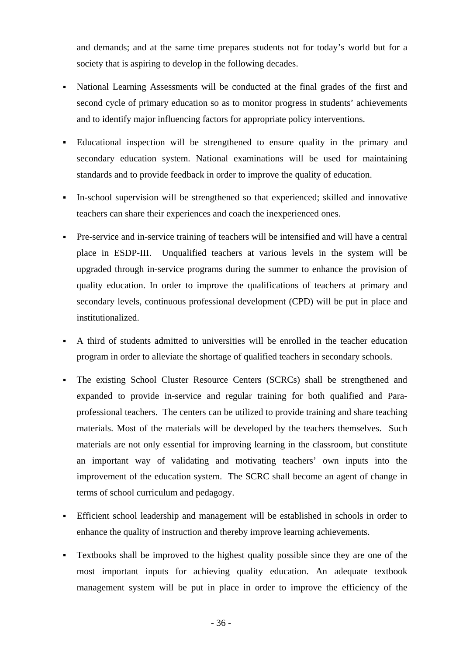and demands; and at the same time prepares students not for today's world but for a society that is aspiring to develop in the following decades.

- National Learning Assessments will be conducted at the final grades of the first and second cycle of primary education so as to monitor progress in students' achievements and to identify major influencing factors for appropriate policy interventions.
- Educational inspection will be strengthened to ensure quality in the primary and secondary education system. National examinations will be used for maintaining standards and to provide feedback in order to improve the quality of education.
- In-school supervision will be strengthened so that experienced; skilled and innovative teachers can share their experiences and coach the inexperienced ones.
- Pre-service and in-service training of teachers will be intensified and will have a central place in ESDP-III. Unqualified teachers at various levels in the system will be upgraded through in-service programs during the summer to enhance the provision of quality education. In order to improve the qualifications of teachers at primary and secondary levels, continuous professional development (CPD) will be put in place and institutionalized.
- A third of students admitted to universities will be enrolled in the teacher education program in order to alleviate the shortage of qualified teachers in secondary schools.
- The existing School Cluster Resource Centers (SCRCs) shall be strengthened and expanded to provide in-service and regular training for both qualified and Paraprofessional teachers. The centers can be utilized to provide training and share teaching materials. Most of the materials will be developed by the teachers themselves. Such materials are not only essential for improving learning in the classroom, but constitute an important way of validating and motivating teachers' own inputs into the improvement of the education system. The SCRC shall become an agent of change in terms of school curriculum and pedagogy.
- Efficient school leadership and management will be established in schools in order to enhance the quality of instruction and thereby improve learning achievements.
- Textbooks shall be improved to the highest quality possible since they are one of the most important inputs for achieving quality education. An adequate textbook management system will be put in place in order to improve the efficiency of the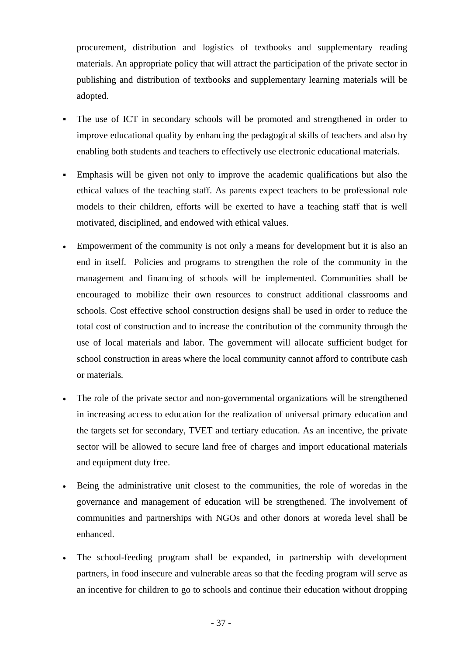procurement, distribution and logistics of textbooks and supplementary reading materials. An appropriate policy that will attract the participation of the private sector in publishing and distribution of textbooks and supplementary learning materials will be adopted.

- The use of ICT in secondary schools will be promoted and strengthened in order to improve educational quality by enhancing the pedagogical skills of teachers and also by enabling both students and teachers to effectively use electronic educational materials.
- Emphasis will be given not only to improve the academic qualifications but also the ethical values of the teaching staff. As parents expect teachers to be professional role models to their children, efforts will be exerted to have a teaching staff that is well motivated, disciplined, and endowed with ethical values.
- Empowerment of the community is not only a means for development but it is also an end in itself. Policies and programs to strengthen the role of the community in the management and financing of schools will be implemented. Communities shall be encouraged to mobilize their own resources to construct additional classrooms and schools. Cost effective school construction designs shall be used in order to reduce the total cost of construction and to increase the contribution of the community through the use of local materials and labor. The government will allocate sufficient budget for school construction in areas where the local community cannot afford to contribute cash or materials*.*
- The role of the private sector and non-governmental organizations will be strengthened in increasing access to education for the realization of universal primary education and the targets set for secondary, TVET and tertiary education. As an incentive, the private sector will be allowed to secure land free of charges and import educational materials and equipment duty free.
- Being the administrative unit closest to the communities, the role of woredas in the governance and management of education will be strengthened. The involvement of communities and partnerships with NGOs and other donors at woreda level shall be enhanced.
- The school-feeding program shall be expanded, in partnership with development partners, in food insecure and vulnerable areas so that the feeding program will serve as an incentive for children to go to schools and continue their education without dropping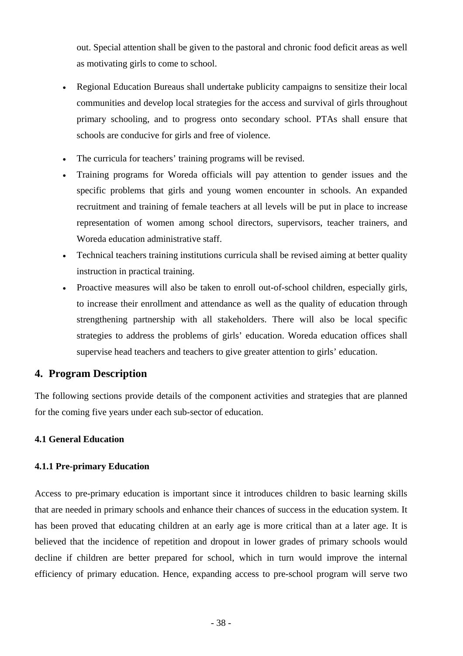out. Special attention shall be given to the pastoral and chronic food deficit areas as well as motivating girls to come to school.

- Regional Education Bureaus shall undertake publicity campaigns to sensitize their local communities and develop local strategies for the access and survival of girls throughout primary schooling, and to progress onto secondary school. PTAs shall ensure that schools are conducive for girls and free of violence.
- The curricula for teachers' training programs will be revised.
- Training programs for Woreda officials will pay attention to gender issues and the specific problems that girls and young women encounter in schools. An expanded recruitment and training of female teachers at all levels will be put in place to increase representation of women among school directors, supervisors, teacher trainers, and Woreda education administrative staff.
- Technical teachers training institutions curricula shall be revised aiming at better quality instruction in practical training.
- Proactive measures will also be taken to enroll out-of-school children, especially girls, to increase their enrollment and attendance as well as the quality of education through strengthening partnership with all stakeholders. There will also be local specific strategies to address the problems of girls' education. Woreda education offices shall supervise head teachers and teachers to give greater attention to girls' education.

# **4. Program Description**

The following sections provide details of the component activities and strategies that are planned for the coming five years under each sub-sector of education.

### **4.1 General Education**

### **4.1.1 Pre-primary Education**

Access to pre-primary education is important since it introduces children to basic learning skills that are needed in primary schools and enhance their chances of success in the education system. It has been proved that educating children at an early age is more critical than at a later age. It is believed that the incidence of repetition and dropout in lower grades of primary schools would decline if children are better prepared for school, which in turn would improve the internal efficiency of primary education. Hence, expanding access to pre-school program will serve two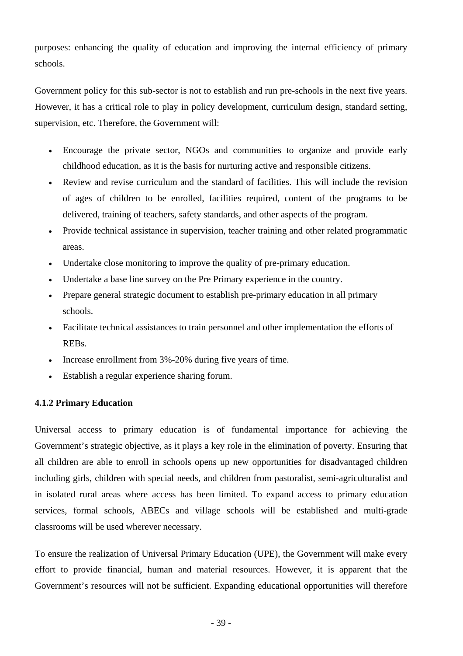purposes: enhancing the quality of education and improving the internal efficiency of primary schools.

Government policy for this sub-sector is not to establish and run pre-schools in the next five years. However, it has a critical role to play in policy development, curriculum design, standard setting, supervision, etc. Therefore, the Government will:

- Encourage the private sector, NGOs and communities to organize and provide early childhood education, as it is the basis for nurturing active and responsible citizens.
- Review and revise curriculum and the standard of facilities. This will include the revision of ages of children to be enrolled, facilities required, content of the programs to be delivered, training of teachers, safety standards, and other aspects of the program.
- Provide technical assistance in supervision, teacher training and other related programmatic areas.
- Undertake close monitoring to improve the quality of pre-primary education.
- Undertake a base line survey on the Pre Primary experience in the country.
- Prepare general strategic document to establish pre-primary education in all primary schools.
- Facilitate technical assistances to train personnel and other implementation the efforts of REBs.
- Increase enrollment from 3%-20% during five years of time.
- Establish a regular experience sharing forum.

#### **4.1.2 Primary Education**

Universal access to primary education is of fundamental importance for achieving the Government's strategic objective, as it plays a key role in the elimination of poverty. Ensuring that all children are able to enroll in schools opens up new opportunities for disadvantaged children including girls, children with special needs, and children from pastoralist, semi-agriculturalist and in isolated rural areas where access has been limited. To expand access to primary education services, formal schools, ABECs and village schools will be established and multi-grade classrooms will be used wherever necessary.

To ensure the realization of Universal Primary Education (UPE), the Government will make every effort to provide financial, human and material resources. However, it is apparent that the Government's resources will not be sufficient. Expanding educational opportunities will therefore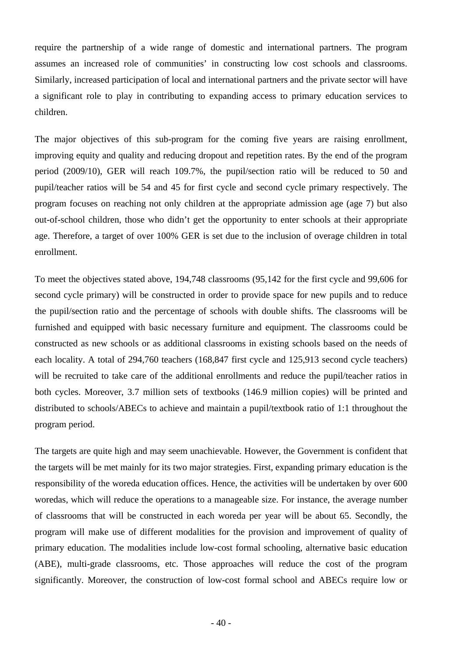require the partnership of a wide range of domestic and international partners. The program assumes an increased role of communities' in constructing low cost schools and classrooms. Similarly, increased participation of local and international partners and the private sector will have a significant role to play in contributing to expanding access to primary education services to children.

The major objectives of this sub-program for the coming five years are raising enrollment, improving equity and quality and reducing dropout and repetition rates. By the end of the program period (2009/10), GER will reach 109.7%, the pupil/section ratio will be reduced to 50 and pupil/teacher ratios will be 54 and 45 for first cycle and second cycle primary respectively. The program focuses on reaching not only children at the appropriate admission age (age 7) but also out-of-school children, those who didn't get the opportunity to enter schools at their appropriate age. Therefore, a target of over 100% GER is set due to the inclusion of overage children in total enrollment.

To meet the objectives stated above, 194,748 classrooms (95,142 for the first cycle and 99,606 for second cycle primary) will be constructed in order to provide space for new pupils and to reduce the pupil/section ratio and the percentage of schools with double shifts. The classrooms will be furnished and equipped with basic necessary furniture and equipment. The classrooms could be constructed as new schools or as additional classrooms in existing schools based on the needs of each locality. A total of 294,760 teachers (168,847 first cycle and 125,913 second cycle teachers) will be recruited to take care of the additional enrollments and reduce the pupil/teacher ratios in both cycles. Moreover, 3.7 million sets of textbooks (146.9 million copies) will be printed and distributed to schools/ABECs to achieve and maintain a pupil/textbook ratio of 1:1 throughout the program period.

The targets are quite high and may seem unachievable. However, the Government is confident that the targets will be met mainly for its two major strategies. First, expanding primary education is the responsibility of the woreda education offices. Hence, the activities will be undertaken by over 600 woredas, which will reduce the operations to a manageable size. For instance, the average number of classrooms that will be constructed in each woreda per year will be about 65. Secondly, the program will make use of different modalities for the provision and improvement of quality of primary education. The modalities include low-cost formal schooling, alternative basic education (ABE), multi-grade classrooms, etc. Those approaches will reduce the cost of the program significantly. Moreover, the construction of low-cost formal school and ABECs require low or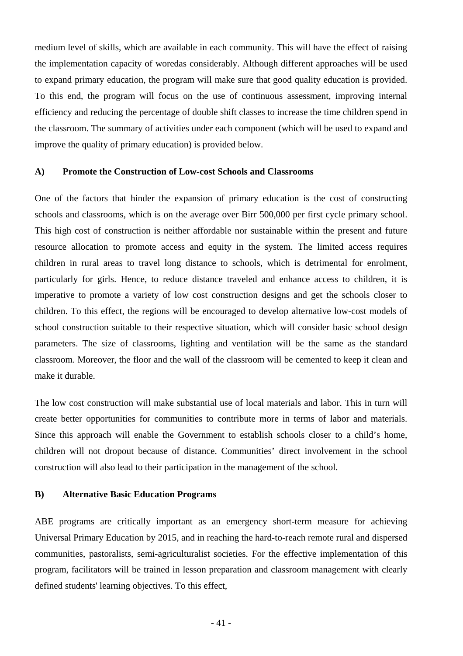medium level of skills, which are available in each community. This will have the effect of raising the implementation capacity of woredas considerably. Although different approaches will be used to expand primary education, the program will make sure that good quality education is provided. To this end, the program will focus on the use of continuous assessment, improving internal efficiency and reducing the percentage of double shift classes to increase the time children spend in the classroom. The summary of activities under each component (which will be used to expand and improve the quality of primary education) is provided below.

#### **A) Promote the Construction of Low-cost Schools and Classrooms**

One of the factors that hinder the expansion of primary education is the cost of constructing schools and classrooms, which is on the average over Birr 500,000 per first cycle primary school. This high cost of construction is neither affordable nor sustainable within the present and future resource allocation to promote access and equity in the system. The limited access requires children in rural areas to travel long distance to schools, which is detrimental for enrolment, particularly for girls. Hence, to reduce distance traveled and enhance access to children, it is imperative to promote a variety of low cost construction designs and get the schools closer to children. To this effect, the regions will be encouraged to develop alternative low-cost models of school construction suitable to their respective situation, which will consider basic school design parameters. The size of classrooms, lighting and ventilation will be the same as the standard classroom. Moreover, the floor and the wall of the classroom will be cemented to keep it clean and make it durable.

The low cost construction will make substantial use of local materials and labor. This in turn will create better opportunities for communities to contribute more in terms of labor and materials. Since this approach will enable the Government to establish schools closer to a child's home, children will not dropout because of distance. Communities' direct involvement in the school construction will also lead to their participation in the management of the school.

#### **B) Alternative Basic Education Programs**

ABE programs are critically important as an emergency short-term measure for achieving Universal Primary Education by 2015, and in reaching the hard-to-reach remote rural and dispersed communities, pastoralists, semi-agriculturalist societies. For the effective implementation of this program, facilitators will be trained in lesson preparation and classroom management with clearly defined students' learning objectives. To this effect,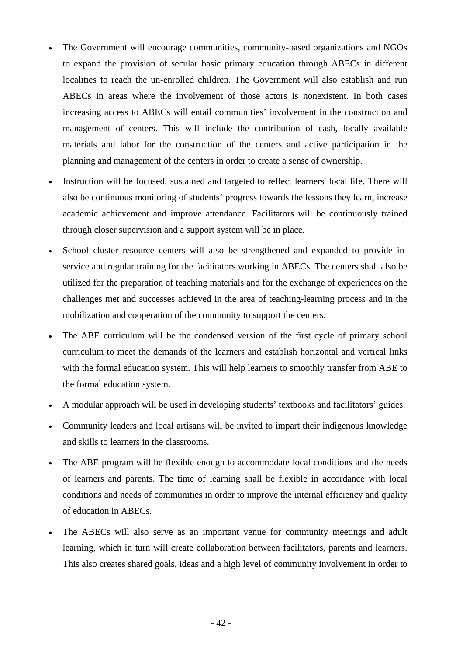- The Government will encourage communities, community-based organizations and NGOs to expand the provision of secular basic primary education through ABECs in different localities to reach the un-enrolled children. The Government will also establish and run ABECs in areas where the involvement of those actors is nonexistent. In both cases increasing access to ABECs will entail communities' involvement in the construction and management of centers. This will include the contribution of cash, locally available materials and labor for the construction of the centers and active participation in the planning and management of the centers in order to create a sense of ownership.
- Instruction will be focused, sustained and targeted to reflect learners' local life. There will also be continuous monitoring of students' progress towards the lessons they learn, increase academic achievement and improve attendance. Facilitators will be continuously trained through closer supervision and a support system will be in place.
- School cluster resource centers will also be strengthened and expanded to provide inservice and regular training for the facilitators working in ABECs. The centers shall also be utilized for the preparation of teaching materials and for the exchange of experiences on the challenges met and successes achieved in the area of teaching-learning process and in the mobilization and cooperation of the community to support the centers.
- The ABE curriculum will be the condensed version of the first cycle of primary school curriculum to meet the demands of the learners and establish horizontal and vertical links with the formal education system. This will help learners to smoothly transfer from ABE to the formal education system.
- A modular approach will be used in developing students' textbooks and facilitators' guides.
- Community leaders and local artisans will be invited to impart their indigenous knowledge and skills to learners in the classrooms.
- The ABE program will be flexible enough to accommodate local conditions and the needs of learners and parents. The time of learning shall be flexible in accordance with local conditions and needs of communities in order to improve the internal efficiency and quality of education in ABECs.
- The ABECs will also serve as an important venue for community meetings and adult learning, which in turn will create collaboration between facilitators, parents and learners. This also creates shared goals, ideas and a high level of community involvement in order to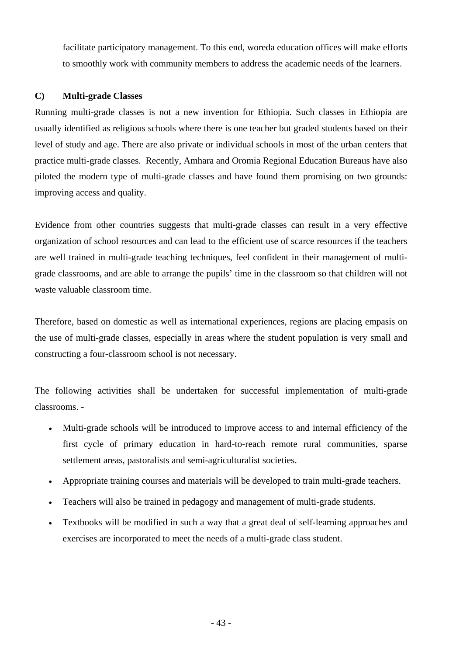facilitate participatory management. To this end, woreda education offices will make efforts to smoothly work with community members to address the academic needs of the learners.

### **C) Multi-grade Classes**

Running multi-grade classes is not a new invention for Ethiopia. Such classes in Ethiopia are usually identified as religious schools where there is one teacher but graded students based on their level of study and age. There are also private or individual schools in most of the urban centers that practice multi-grade classes. Recently, Amhara and Oromia Regional Education Bureaus have also piloted the modern type of multi-grade classes and have found them promising on two grounds: improving access and quality.

Evidence from other countries suggests that multi-grade classes can result in a very effective organization of school resources and can lead to the efficient use of scarce resources if the teachers are well trained in multi-grade teaching techniques, feel confident in their management of multigrade classrooms, and are able to arrange the pupils' time in the classroom so that children will not waste valuable classroom time.

Therefore, based on domestic as well as international experiences, regions are placing empasis on the use of multi-grade classes, especially in areas where the student population is very small and constructing a four-classroom school is not necessary.

The following activities shall be undertaken for successful implementation of multi-grade classrooms. -

- Multi-grade schools will be introduced to improve access to and internal efficiency of the first cycle of primary education in hard-to-reach remote rural communities, sparse settlement areas, pastoralists and semi-agriculturalist societies.
- Appropriate training courses and materials will be developed to train multi-grade teachers.
- Teachers will also be trained in pedagogy and management of multi-grade students.
- Textbooks will be modified in such a way that a great deal of self-learning approaches and exercises are incorporated to meet the needs of a multi-grade class student.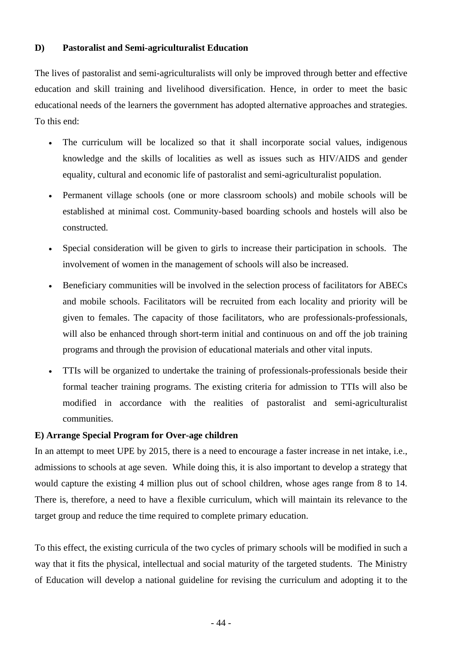### **D) Pastoralist and Semi-agriculturalist Education**

The lives of pastoralist and semi-agriculturalists will only be improved through better and effective education and skill training and livelihood diversification. Hence, in order to meet the basic educational needs of the learners the government has adopted alternative approaches and strategies. To this end:

- The curriculum will be localized so that it shall incorporate social values, indigenous knowledge and the skills of localities as well as issues such as HIV/AIDS and gender equality, cultural and economic life of pastoralist and semi-agriculturalist population.
- Permanent village schools (one or more classroom schools) and mobile schools will be established at minimal cost. Community-based boarding schools and hostels will also be constructed.
- Special consideration will be given to girls to increase their participation in schools. The involvement of women in the management of schools will also be increased.
- Beneficiary communities will be involved in the selection process of facilitators for ABECs and mobile schools. Facilitators will be recruited from each locality and priority will be given to females. The capacity of those facilitators, who are professionals-professionals, will also be enhanced through short-term initial and continuous on and off the job training programs and through the provision of educational materials and other vital inputs.
- TTIs will be organized to undertake the training of professionals-professionals beside their formal teacher training programs. The existing criteria for admission to TTIs will also be modified in accordance with the realities of pastoralist and semi-agriculturalist communities.

### **E) Arrange Special Program for Over-age children**

In an attempt to meet UPE by 2015, there is a need to encourage a faster increase in net intake, i.e., admissions to schools at age seven. While doing this, it is also important to develop a strategy that would capture the existing 4 million plus out of school children, whose ages range from 8 to 14. There is, therefore, a need to have a flexible curriculum, which will maintain its relevance to the target group and reduce the time required to complete primary education.

To this effect, the existing curricula of the two cycles of primary schools will be modified in such a way that it fits the physical, intellectual and social maturity of the targeted students. The Ministry of Education will develop a national guideline for revising the curriculum and adopting it to the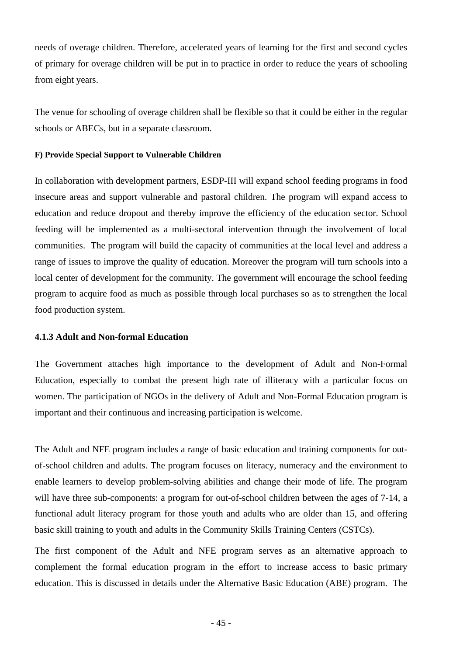needs of overage children. Therefore, accelerated years of learning for the first and second cycles of primary for overage children will be put in to practice in order to reduce the years of schooling from eight years.

The venue for schooling of overage children shall be flexible so that it could be either in the regular schools or ABECs, but in a separate classroom.

#### **F) Provide Special Support to Vulnerable Children**

In collaboration with development partners, ESDP-III will expand school feeding programs in food insecure areas and support vulnerable and pastoral children. The program will expand access to education and reduce dropout and thereby improve the efficiency of the education sector. School feeding will be implemented as a multi-sectoral intervention through the involvement of local communities. The program will build the capacity of communities at the local level and address a range of issues to improve the quality of education. Moreover the program will turn schools into a local center of development for the community. The government will encourage the school feeding program to acquire food as much as possible through local purchases so as to strengthen the local food production system.

#### **4.1.3 Adult and Non-formal Education**

The Government attaches high importance to the development of Adult and Non-Formal Education, especially to combat the present high rate of illiteracy with a particular focus on women. The participation of NGOs in the delivery of Adult and Non-Formal Education program is important and their continuous and increasing participation is welcome.

The Adult and NFE program includes a range of basic education and training components for outof-school children and adults. The program focuses on literacy, numeracy and the environment to enable learners to develop problem-solving abilities and change their mode of life. The program will have three sub-components: a program for out-of-school children between the ages of 7-14, a functional adult literacy program for those youth and adults who are older than 15, and offering basic skill training to youth and adults in the Community Skills Training Centers (CSTCs).

The first component of the Adult and NFE program serves as an alternative approach to complement the formal education program in the effort to increase access to basic primary education. This is discussed in details under the Alternative Basic Education (ABE) program. The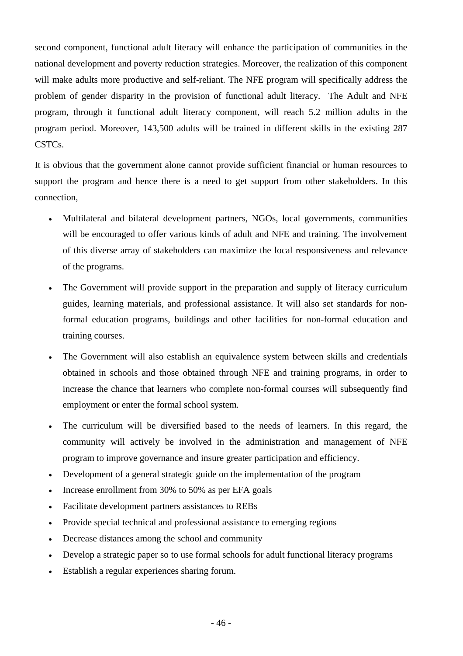second component, functional adult literacy will enhance the participation of communities in the national development and poverty reduction strategies. Moreover, the realization of this component will make adults more productive and self-reliant. The NFE program will specifically address the problem of gender disparity in the provision of functional adult literacy. The Adult and NFE program, through it functional adult literacy component, will reach 5.2 million adults in the program period. Moreover, 143,500 adults will be trained in different skills in the existing 287 CSTCs.

It is obvious that the government alone cannot provide sufficient financial or human resources to support the program and hence there is a need to get support from other stakeholders. In this connection,

- Multilateral and bilateral development partners, NGOs, local governments, communities will be encouraged to offer various kinds of adult and NFE and training. The involvement of this diverse array of stakeholders can maximize the local responsiveness and relevance of the programs.
- The Government will provide support in the preparation and supply of literacy curriculum guides, learning materials, and professional assistance. It will also set standards for nonformal education programs, buildings and other facilities for non-formal education and training courses.
- The Government will also establish an equivalence system between skills and credentials obtained in schools and those obtained through NFE and training programs, in order to increase the chance that learners who complete non-formal courses will subsequently find employment or enter the formal school system.
- The curriculum will be diversified based to the needs of learners. In this regard, the community will actively be involved in the administration and management of NFE program to improve governance and insure greater participation and efficiency.
- Development of a general strategic guide on the implementation of the program
- Increase enrollment from 30% to 50% as per EFA goals
- Facilitate development partners assistances to REBs
- Provide special technical and professional assistance to emerging regions
- Decrease distances among the school and community
- Develop a strategic paper so to use formal schools for adult functional literacy programs
- Establish a regular experiences sharing forum.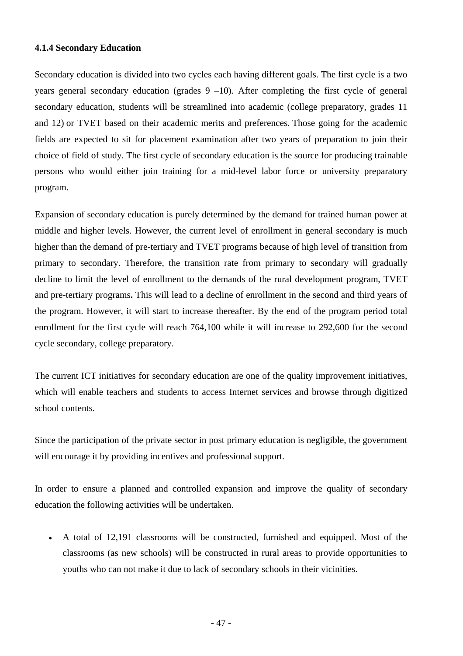#### **4.1.4 Secondary Education**

Secondary education is divided into two cycles each having different goals. The first cycle is a two years general secondary education (grades  $9 - 10$ ). After completing the first cycle of general secondary education, students will be streamlined into academic (college preparatory, grades 11 and 12) or TVET based on their academic merits and preferences. Those going for the academic fields are expected to sit for placement examination after two years of preparation to join their choice of field of study. The first cycle of secondary education is the source for producing trainable persons who would either join training for a mid-level labor force or university preparatory program.

Expansion of secondary education is purely determined by the demand for trained human power at middle and higher levels. However, the current level of enrollment in general secondary is much higher than the demand of pre-tertiary and TVET programs because of high level of transition from primary to secondary. Therefore, the transition rate from primary to secondary will gradually decline to limit the level of enrollment to the demands of the rural development program, TVET and pre-tertiary programs**.** This will lead to a decline of enrollment in the second and third years of the program. However, it will start to increase thereafter. By the end of the program period total enrollment for the first cycle will reach 764,100 while it will increase to 292,600 for the second cycle secondary, college preparatory.

The current ICT initiatives for secondary education are one of the quality improvement initiatives, which will enable teachers and students to access Internet services and browse through digitized school contents.

Since the participation of the private sector in post primary education is negligible, the government will encourage it by providing incentives and professional support.

In order to ensure a planned and controlled expansion and improve the quality of secondary education the following activities will be undertaken.

• A total of 12,191 classrooms will be constructed, furnished and equipped. Most of the classrooms (as new schools) will be constructed in rural areas to provide opportunities to youths who can not make it due to lack of secondary schools in their vicinities.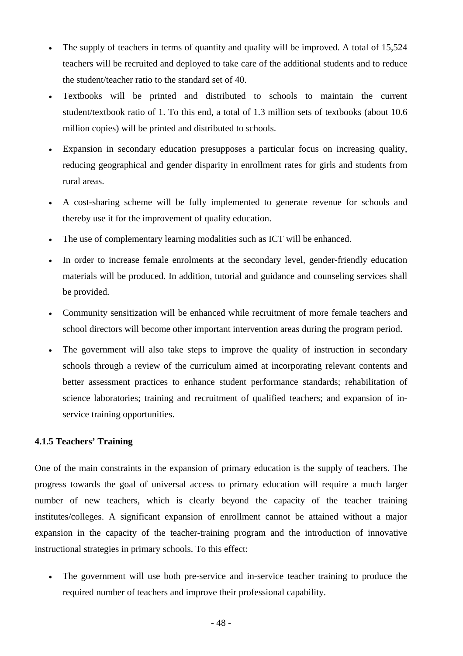- The supply of teachers in terms of quantity and quality will be improved. A total of 15,524 teachers will be recruited and deployed to take care of the additional students and to reduce the student/teacher ratio to the standard set of 40.
- Textbooks will be printed and distributed to schools to maintain the current student/textbook ratio of 1. To this end, a total of 1.3 million sets of textbooks (about 10.6 million copies) will be printed and distributed to schools.
- Expansion in secondary education presupposes a particular focus on increasing quality, reducing geographical and gender disparity in enrollment rates for girls and students from rural areas.
- A cost-sharing scheme will be fully implemented to generate revenue for schools and thereby use it for the improvement of quality education.
- The use of complementary learning modalities such as ICT will be enhanced.
- In order to increase female enrolments at the secondary level, gender-friendly education materials will be produced. In addition, tutorial and guidance and counseling services shall be provided.
- Community sensitization will be enhanced while recruitment of more female teachers and school directors will become other important intervention areas during the program period.
- The government will also take steps to improve the quality of instruction in secondary schools through a review of the curriculum aimed at incorporating relevant contents and better assessment practices to enhance student performance standards; rehabilitation of science laboratories; training and recruitment of qualified teachers; and expansion of inservice training opportunities.

#### **4.1.5 Teachers' Training**

One of the main constraints in the expansion of primary education is the supply of teachers. The progress towards the goal of universal access to primary education will require a much larger number of new teachers, which is clearly beyond the capacity of the teacher training institutes/colleges. A significant expansion of enrollment cannot be attained without a major expansion in the capacity of the teacher-training program and the introduction of innovative instructional strategies in primary schools. To this effect:

• The government will use both pre-service and in-service teacher training to produce the required number of teachers and improve their professional capability.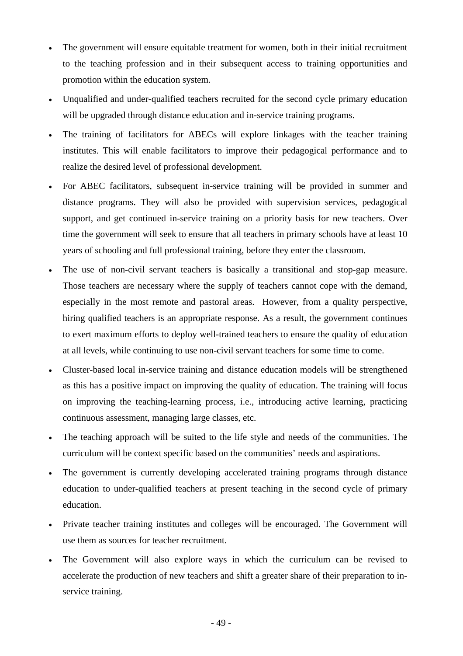- The government will ensure equitable treatment for women, both in their initial recruitment to the teaching profession and in their subsequent access to training opportunities and promotion within the education system.
- Unqualified and under-qualified teachers recruited for the second cycle primary education will be upgraded through distance education and in-service training programs.
- The training of facilitators for ABECs will explore linkages with the teacher training institutes. This will enable facilitators to improve their pedagogical performance and to realize the desired level of professional development.
- For ABEC facilitators, subsequent in-service training will be provided in summer and distance programs. They will also be provided with supervision services, pedagogical support, and get continued in-service training on a priority basis for new teachers. Over time the government will seek to ensure that all teachers in primary schools have at least 10 years of schooling and full professional training, before they enter the classroom.
- The use of non-civil servant teachers is basically a transitional and stop-gap measure. Those teachers are necessary where the supply of teachers cannot cope with the demand, especially in the most remote and pastoral areas. However, from a quality perspective, hiring qualified teachers is an appropriate response. As a result, the government continues to exert maximum efforts to deploy well-trained teachers to ensure the quality of education at all levels, while continuing to use non-civil servant teachers for some time to come.
- Cluster-based local in-service training and distance education models will be strengthened as this has a positive impact on improving the quality of education. The training will focus on improving the teaching-learning process, i.e., introducing active learning, practicing continuous assessment, managing large classes, etc.
- The teaching approach will be suited to the life style and needs of the communities. The curriculum will be context specific based on the communities' needs and aspirations.
- The government is currently developing accelerated training programs through distance education to under-qualified teachers at present teaching in the second cycle of primary education.
- Private teacher training institutes and colleges will be encouraged. The Government will use them as sources for teacher recruitment.
- The Government will also explore ways in which the curriculum can be revised to accelerate the production of new teachers and shift a greater share of their preparation to inservice training.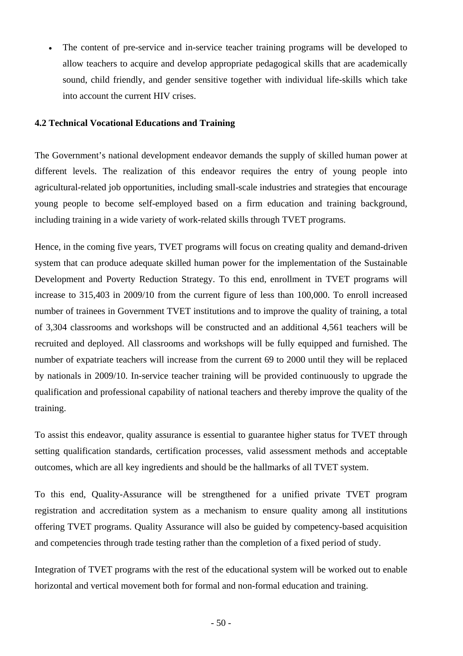• The content of pre-service and in-service teacher training programs will be developed to allow teachers to acquire and develop appropriate pedagogical skills that are academically sound, child friendly, and gender sensitive together with individual life-skills which take into account the current HIV crises.

### **4.2 Technical Vocational Educations and Training**

The Government's national development endeavor demands the supply of skilled human power at different levels. The realization of this endeavor requires the entry of young people into agricultural-related job opportunities, including small-scale industries and strategies that encourage young people to become self-employed based on a firm education and training background, including training in a wide variety of work-related skills through TVET programs.

Hence, in the coming five years, TVET programs will focus on creating quality and demand-driven system that can produce adequate skilled human power for the implementation of the Sustainable Development and Poverty Reduction Strategy. To this end, enrollment in TVET programs will increase to 315,403 in 2009/10 from the current figure of less than 100,000. To enroll increased number of trainees in Government TVET institutions and to improve the quality of training, a total of 3,304 classrooms and workshops will be constructed and an additional 4,561 teachers will be recruited and deployed. All classrooms and workshops will be fully equipped and furnished. The number of expatriate teachers will increase from the current 69 to 2000 until they will be replaced by nationals in 2009/10. In-service teacher training will be provided continuously to upgrade the qualification and professional capability of national teachers and thereby improve the quality of the training.

To assist this endeavor, quality assurance is essential to guarantee higher status for TVET through setting qualification standards, certification processes, valid assessment methods and acceptable outcomes, which are all key ingredients and should be the hallmarks of all TVET system.

To this end, Quality-Assurance will be strengthened for a unified private TVET program registration and accreditation system as a mechanism to ensure quality among all institutions offering TVET programs. Quality Assurance will also be guided by competency-based acquisition and competencies through trade testing rather than the completion of a fixed period of study.

Integration of TVET programs with the rest of the educational system will be worked out to enable horizontal and vertical movement both for formal and non-formal education and training.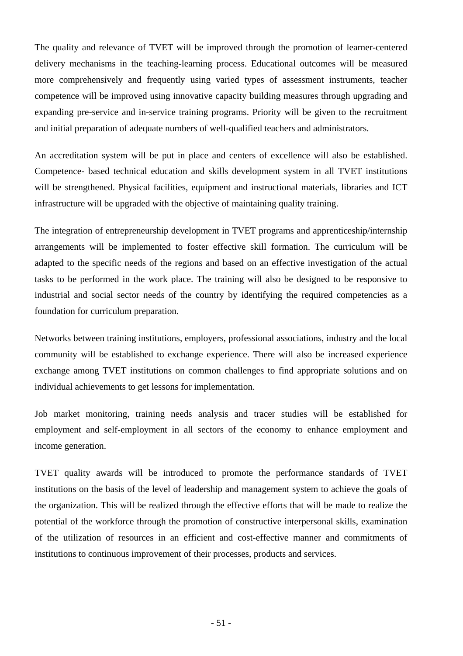The quality and relevance of TVET will be improved through the promotion of learner-centered delivery mechanisms in the teaching-learning process. Educational outcomes will be measured more comprehensively and frequently using varied types of assessment instruments, teacher competence will be improved using innovative capacity building measures through upgrading and expanding pre-service and in-service training programs. Priority will be given to the recruitment and initial preparation of adequate numbers of well-qualified teachers and administrators.

An accreditation system will be put in place and centers of excellence will also be established. Competence- based technical education and skills development system in all TVET institutions will be strengthened. Physical facilities, equipment and instructional materials, libraries and ICT infrastructure will be upgraded with the objective of maintaining quality training.

The integration of entrepreneurship development in TVET programs and apprenticeship/internship arrangements will be implemented to foster effective skill formation. The curriculum will be adapted to the specific needs of the regions and based on an effective investigation of the actual tasks to be performed in the work place. The training will also be designed to be responsive to industrial and social sector needs of the country by identifying the required competencies as a foundation for curriculum preparation.

Networks between training institutions, employers, professional associations, industry and the local community will be established to exchange experience. There will also be increased experience exchange among TVET institutions on common challenges to find appropriate solutions and on individual achievements to get lessons for implementation.

Job market monitoring, training needs analysis and tracer studies will be established for employment and self-employment in all sectors of the economy to enhance employment and income generation.

TVET quality awards will be introduced to promote the performance standards of TVET institutions on the basis of the level of leadership and management system to achieve the goals of the organization. This will be realized through the effective efforts that will be made to realize the potential of the workforce through the promotion of constructive interpersonal skills, examination of the utilization of resources in an efficient and cost-effective manner and commitments of institutions to continuous improvement of their processes, products and services.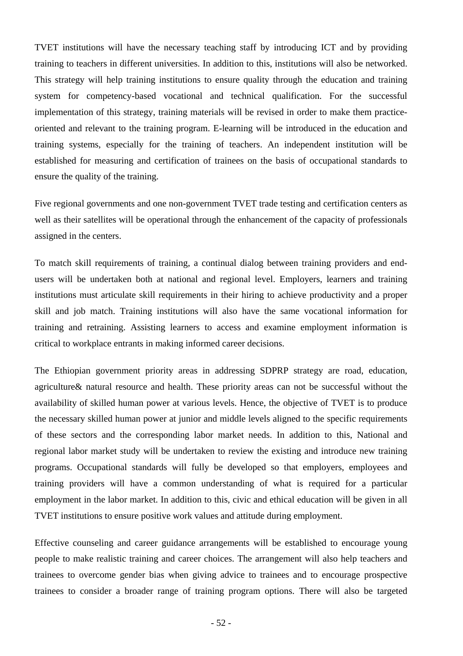TVET institutions will have the necessary teaching staff by introducing ICT and by providing training to teachers in different universities. In addition to this, institutions will also be networked. This strategy will help training institutions to ensure quality through the education and training system for competency-based vocational and technical qualification. For the successful implementation of this strategy, training materials will be revised in order to make them practiceoriented and relevant to the training program. E-learning will be introduced in the education and training systems, especially for the training of teachers. An independent institution will be established for measuring and certification of trainees on the basis of occupational standards to ensure the quality of the training.

Five regional governments and one non-government TVET trade testing and certification centers as well as their satellites will be operational through the enhancement of the capacity of professionals assigned in the centers.

To match skill requirements of training, a continual dialog between training providers and endusers will be undertaken both at national and regional level. Employers, learners and training institutions must articulate skill requirements in their hiring to achieve productivity and a proper skill and job match. Training institutions will also have the same vocational information for training and retraining. Assisting learners to access and examine employment information is critical to workplace entrants in making informed career decisions.

The Ethiopian government priority areas in addressing SDPRP strategy are road, education, agriculture& natural resource and health. These priority areas can not be successful without the availability of skilled human power at various levels. Hence, the objective of TVET is to produce the necessary skilled human power at junior and middle levels aligned to the specific requirements of these sectors and the corresponding labor market needs. In addition to this, National and regional labor market study will be undertaken to review the existing and introduce new training programs. Occupational standards will fully be developed so that employers, employees and training providers will have a common understanding of what is required for a particular employment in the labor market. In addition to this, civic and ethical education will be given in all TVET institutions to ensure positive work values and attitude during employment.

Effective counseling and career guidance arrangements will be established to encourage young people to make realistic training and career choices. The arrangement will also help teachers and trainees to overcome gender bias when giving advice to trainees and to encourage prospective trainees to consider a broader range of training program options. There will also be targeted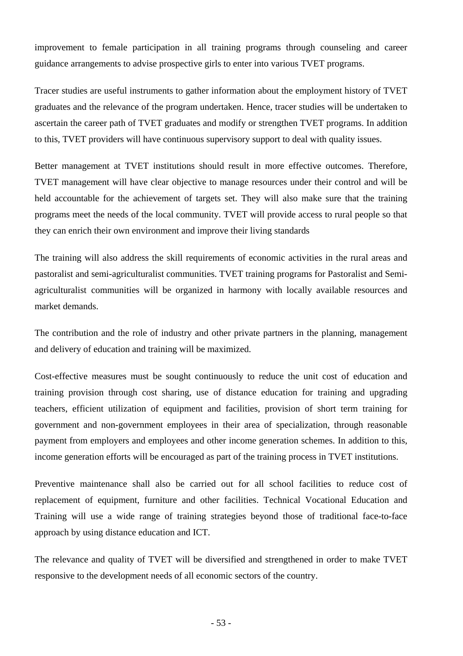improvement to female participation in all training programs through counseling and career guidance arrangements to advise prospective girls to enter into various TVET programs.

Tracer studies are useful instruments to gather information about the employment history of TVET graduates and the relevance of the program undertaken. Hence, tracer studies will be undertaken to ascertain the career path of TVET graduates and modify or strengthen TVET programs. In addition to this, TVET providers will have continuous supervisory support to deal with quality issues.

Better management at TVET institutions should result in more effective outcomes. Therefore, TVET management will have clear objective to manage resources under their control and will be held accountable for the achievement of targets set. They will also make sure that the training programs meet the needs of the local community. TVET will provide access to rural people so that they can enrich their own environment and improve their living standards

The training will also address the skill requirements of economic activities in the rural areas and pastoralist and semi-agriculturalist communities. TVET training programs for Pastoralist and Semiagriculturalist communities will be organized in harmony with locally available resources and market demands.

The contribution and the role of industry and other private partners in the planning, management and delivery of education and training will be maximized.

Cost-effective measures must be sought continuously to reduce the unit cost of education and training provision through cost sharing, use of distance education for training and upgrading teachers, efficient utilization of equipment and facilities, provision of short term training for government and non-government employees in their area of specialization, through reasonable payment from employers and employees and other income generation schemes. In addition to this, income generation efforts will be encouraged as part of the training process in TVET institutions.

Preventive maintenance shall also be carried out for all school facilities to reduce cost of replacement of equipment, furniture and other facilities. Technical Vocational Education and Training will use a wide range of training strategies beyond those of traditional face-to-face approach by using distance education and ICT.

The relevance and quality of TVET will be diversified and strengthened in order to make TVET responsive to the development needs of all economic sectors of the country.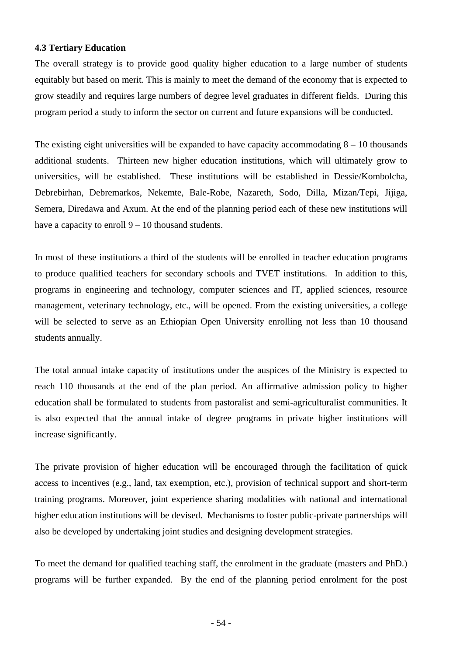#### **4.3 Tertiary Education**

The overall strategy is to provide good quality higher education to a large number of students equitably but based on merit. This is mainly to meet the demand of the economy that is expected to grow steadily and requires large numbers of degree level graduates in different fields. During this program period a study to inform the sector on current and future expansions will be conducted.

The existing eight universities will be expanded to have capacity accommodating  $8 - 10$  thousands additional students. Thirteen new higher education institutions, which will ultimately grow to universities, will be established. These institutions will be established in Dessie/Kombolcha, Debrebirhan, Debremarkos, Nekemte, Bale-Robe, Nazareth, Sodo, Dilla, Mizan/Tepi, Jijiga, Semera, Diredawa and Axum. At the end of the planning period each of these new institutions will have a capacity to enroll  $9 - 10$  thousand students.

In most of these institutions a third of the students will be enrolled in teacher education programs to produce qualified teachers for secondary schools and TVET institutions. In addition to this, programs in engineering and technology, computer sciences and IT, applied sciences, resource management, veterinary technology, etc., will be opened. From the existing universities, a college will be selected to serve as an Ethiopian Open University enrolling not less than 10 thousand students annually.

The total annual intake capacity of institutions under the auspices of the Ministry is expected to reach 110 thousands at the end of the plan period. An affirmative admission policy to higher education shall be formulated to students from pastoralist and semi-agriculturalist communities. It is also expected that the annual intake of degree programs in private higher institutions will increase significantly.

The private provision of higher education will be encouraged through the facilitation of quick access to incentives (e.g., land, tax exemption, etc.), provision of technical support and short-term training programs. Moreover, joint experience sharing modalities with national and international higher education institutions will be devised. Mechanisms to foster public-private partnerships will also be developed by undertaking joint studies and designing development strategies.

To meet the demand for qualified teaching staff, the enrolment in the graduate (masters and PhD.) programs will be further expanded. By the end of the planning period enrolment for the post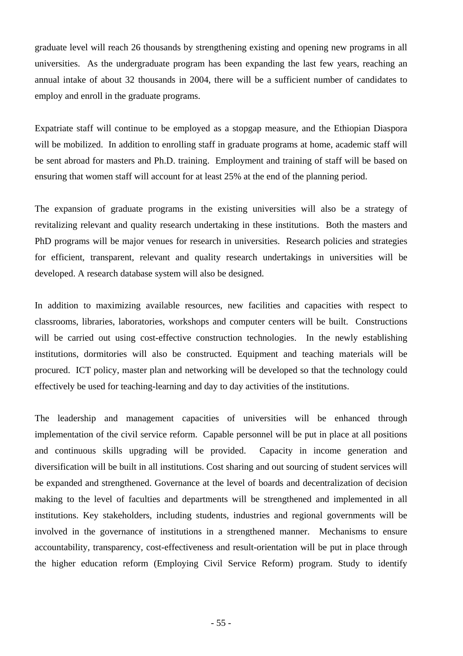graduate level will reach 26 thousands by strengthening existing and opening new programs in all universities. As the undergraduate program has been expanding the last few years, reaching an annual intake of about 32 thousands in 2004, there will be a sufficient number of candidates to employ and enroll in the graduate programs.

Expatriate staff will continue to be employed as a stopgap measure, and the Ethiopian Diaspora will be mobilized. In addition to enrolling staff in graduate programs at home, academic staff will be sent abroad for masters and Ph.D. training. Employment and training of staff will be based on ensuring that women staff will account for at least 25% at the end of the planning period.

The expansion of graduate programs in the existing universities will also be a strategy of revitalizing relevant and quality research undertaking in these institutions. Both the masters and PhD programs will be major venues for research in universities. Research policies and strategies for efficient, transparent, relevant and quality research undertakings in universities will be developed. A research database system will also be designed.

In addition to maximizing available resources, new facilities and capacities with respect to classrooms, libraries, laboratories, workshops and computer centers will be built. Constructions will be carried out using cost-effective construction technologies. In the newly establishing institutions, dormitories will also be constructed. Equipment and teaching materials will be procured. ICT policy, master plan and networking will be developed so that the technology could effectively be used for teaching-learning and day to day activities of the institutions.

The leadership and management capacities of universities will be enhanced through implementation of the civil service reform. Capable personnel will be put in place at all positions and continuous skills upgrading will be provided. Capacity in income generation and diversification will be built in all institutions. Cost sharing and out sourcing of student services will be expanded and strengthened. Governance at the level of boards and decentralization of decision making to the level of faculties and departments will be strengthened and implemented in all institutions. Key stakeholders, including students, industries and regional governments will be involved in the governance of institutions in a strengthened manner. Mechanisms to ensure accountability, transparency, cost-effectiveness and result-orientation will be put in place through the higher education reform (Employing Civil Service Reform) program. Study to identify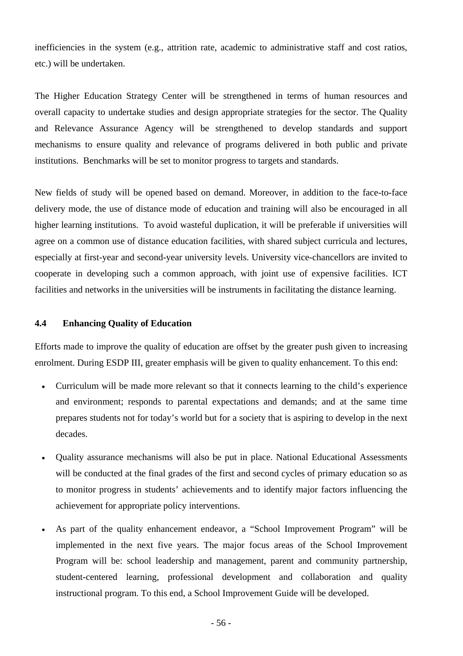inefficiencies in the system (e.g., attrition rate, academic to administrative staff and cost ratios, etc.) will be undertaken.

The Higher Education Strategy Center will be strengthened in terms of human resources and overall capacity to undertake studies and design appropriate strategies for the sector. The Quality and Relevance Assurance Agency will be strengthened to develop standards and support mechanisms to ensure quality and relevance of programs delivered in both public and private institutions. Benchmarks will be set to monitor progress to targets and standards.

New fields of study will be opened based on demand. Moreover, in addition to the face-to-face delivery mode, the use of distance mode of education and training will also be encouraged in all higher learning institutions. To avoid wasteful duplication, it will be preferable if universities will agree on a common use of distance education facilities, with shared subject curricula and lectures, especially at first-year and second-year university levels. University vice-chancellors are invited to cooperate in developing such a common approach, with joint use of expensive facilities. ICT facilities and networks in the universities will be instruments in facilitating the distance learning.

### **4.4 Enhancing Quality of Education**

Efforts made to improve the quality of education are offset by the greater push given to increasing enrolment. During ESDP III, greater emphasis will be given to quality enhancement. To this end:

- Curriculum will be made more relevant so that it connects learning to the child's experience and environment; responds to parental expectations and demands; and at the same time prepares students not for today's world but for a society that is aspiring to develop in the next decades.
- Quality assurance mechanisms will also be put in place. National Educational Assessments will be conducted at the final grades of the first and second cycles of primary education so as to monitor progress in students' achievements and to identify major factors influencing the achievement for appropriate policy interventions.
- As part of the quality enhancement endeavor, a "School Improvement Program" will be implemented in the next five years. The major focus areas of the School Improvement Program will be: school leadership and management, parent and community partnership, student-centered learning, professional development and collaboration and quality instructional program. To this end, a School Improvement Guide will be developed.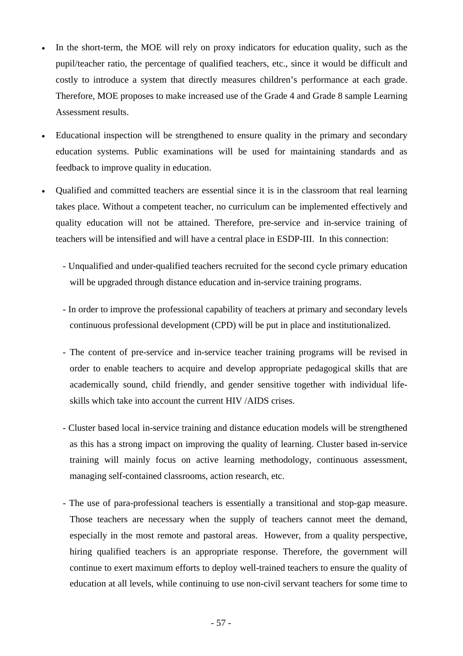- In the short-term, the MOE will rely on proxy indicators for education quality, such as the pupil/teacher ratio, the percentage of qualified teachers, etc., since it would be difficult and costly to introduce a system that directly measures children's performance at each grade. Therefore, MOE proposes to make increased use of the Grade 4 and Grade 8 sample Learning Assessment results.
- Educational inspection will be strengthened to ensure quality in the primary and secondary education systems. Public examinations will be used for maintaining standards and as feedback to improve quality in education.
- Qualified and committed teachers are essential since it is in the classroom that real learning takes place. Without a competent teacher, no curriculum can be implemented effectively and quality education will not be attained. Therefore, pre-service and in-service training of teachers will be intensified and will have a central place in ESDP-III. In this connection:
	- Unqualified and under-qualified teachers recruited for the second cycle primary education will be upgraded through distance education and in-service training programs.
	- In order to improve the professional capability of teachers at primary and secondary levels continuous professional development (CPD) will be put in place and institutionalized.
	- The content of pre-service and in-service teacher training programs will be revised in order to enable teachers to acquire and develop appropriate pedagogical skills that are academically sound, child friendly, and gender sensitive together with individual lifeskills which take into account the current HIV /AIDS crises.
	- Cluster based local in-service training and distance education models will be strengthened as this has a strong impact on improving the quality of learning. Cluster based in-service training will mainly focus on active learning methodology, continuous assessment, managing self-contained classrooms, action research, etc.
	- The use of para-professional teachers is essentially a transitional and stop-gap measure. Those teachers are necessary when the supply of teachers cannot meet the demand, especially in the most remote and pastoral areas. However, from a quality perspective, hiring qualified teachers is an appropriate response. Therefore, the government will continue to exert maximum efforts to deploy well-trained teachers to ensure the quality of education at all levels, while continuing to use non-civil servant teachers for some time to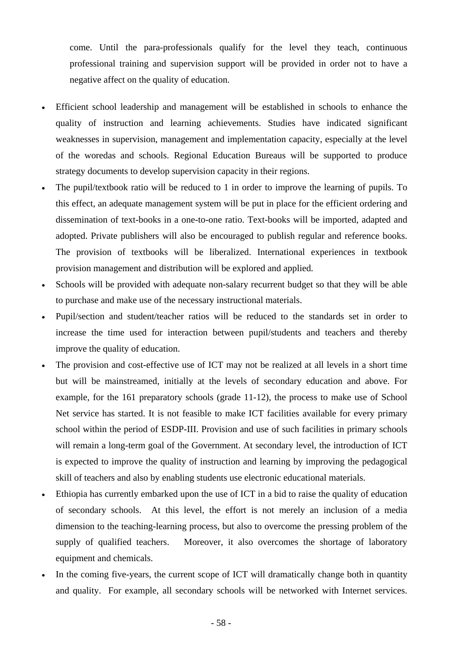come. Until the para-professionals qualify for the level they teach, continuous professional training and supervision support will be provided in order not to have a negative affect on the quality of education.

- Efficient school leadership and management will be established in schools to enhance the quality of instruction and learning achievements. Studies have indicated significant weaknesses in supervision, management and implementation capacity, especially at the level of the woredas and schools. Regional Education Bureaus will be supported to produce strategy documents to develop supervision capacity in their regions.
- The pupil/textbook ratio will be reduced to 1 in order to improve the learning of pupils. To this effect, an adequate management system will be put in place for the efficient ordering and dissemination of text-books in a one-to-one ratio. Text-books will be imported, adapted and adopted. Private publishers will also be encouraged to publish regular and reference books. The provision of textbooks will be liberalized. International experiences in textbook provision management and distribution will be explored and applied.
- Schools will be provided with adequate non-salary recurrent budget so that they will be able to purchase and make use of the necessary instructional materials.
- Pupil/section and student/teacher ratios will be reduced to the standards set in order to increase the time used for interaction between pupil/students and teachers and thereby improve the quality of education.
- The provision and cost-effective use of ICT may not be realized at all levels in a short time but will be mainstreamed, initially at the levels of secondary education and above. For example, for the 161 preparatory schools (grade 11-12), the process to make use of School Net service has started. It is not feasible to make ICT facilities available for every primary school within the period of ESDP-III. Provision and use of such facilities in primary schools will remain a long-term goal of the Government. At secondary level, the introduction of ICT is expected to improve the quality of instruction and learning by improving the pedagogical skill of teachers and also by enabling students use electronic educational materials.
- Ethiopia has currently embarked upon the use of ICT in a bid to raise the quality of education of secondary schools. At this level, the effort is not merely an inclusion of a media dimension to the teaching-learning process, but also to overcome the pressing problem of the supply of qualified teachers. Moreover, it also overcomes the shortage of laboratory equipment and chemicals.
- In the coming five-years, the current scope of ICT will dramatically change both in quantity and quality. For example, all secondary schools will be networked with Internet services.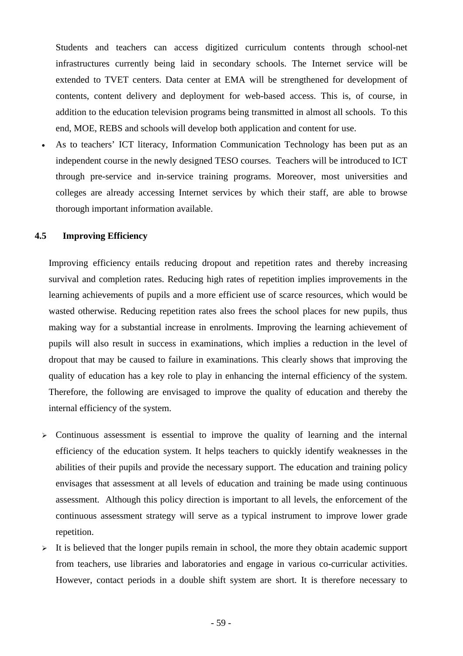Students and teachers can access digitized curriculum contents through school-net infrastructures currently being laid in secondary schools. The Internet service will be extended to TVET centers. Data center at EMA will be strengthened for development of contents, content delivery and deployment for web-based access. This is, of course, in addition to the education television programs being transmitted in almost all schools. To this end, MOE, REBS and schools will develop both application and content for use.

As to teachers' ICT literacy, Information Communication Technology has been put as an independent course in the newly designed TESO courses. Teachers will be introduced to ICT through pre-service and in-service training programs. Moreover, most universities and colleges are already accessing Internet services by which their staff, are able to browse thorough important information available.

## **4.5 Improving Efficiency**

Improving efficiency entails reducing dropout and repetition rates and thereby increasing survival and completion rates. Reducing high rates of repetition implies improvements in the learning achievements of pupils and a more efficient use of scarce resources, which would be wasted otherwise. Reducing repetition rates also frees the school places for new pupils, thus making way for a substantial increase in enrolments. Improving the learning achievement of pupils will also result in success in examinations, which implies a reduction in the level of dropout that may be caused to failure in examinations. This clearly shows that improving the quality of education has a key role to play in enhancing the internal efficiency of the system. Therefore, the following are envisaged to improve the quality of education and thereby the internal efficiency of the system.

- $\geq$  Continuous assessment is essential to improve the quality of learning and the internal efficiency of the education system. It helps teachers to quickly identify weaknesses in the abilities of their pupils and provide the necessary support. The education and training policy envisages that assessment at all levels of education and training be made using continuous assessment. Although this policy direction is important to all levels, the enforcement of the continuous assessment strategy will serve as a typical instrument to improve lower grade repetition.
- $\triangleright$  It is believed that the longer pupils remain in school, the more they obtain academic support from teachers, use libraries and laboratories and engage in various co-curricular activities. However, contact periods in a double shift system are short. It is therefore necessary to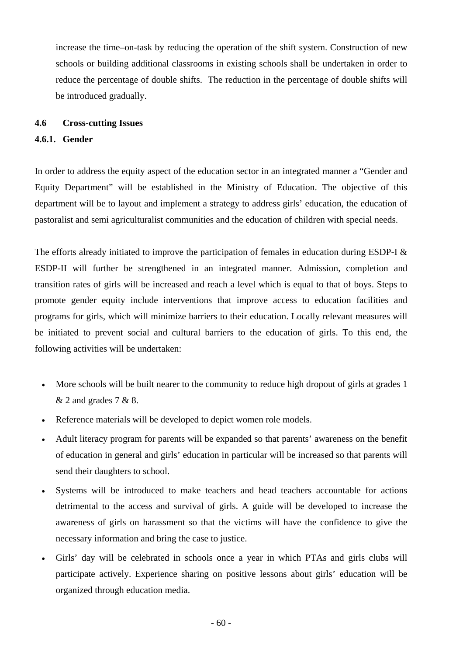increase the time–on-task by reducing the operation of the shift system. Construction of new schools or building additional classrooms in existing schools shall be undertaken in order to reduce the percentage of double shifts. The reduction in the percentage of double shifts will be introduced gradually.

### **4.6 Cross-cutting Issues**

### **4.6.1. Gender**

In order to address the equity aspect of the education sector in an integrated manner a "Gender and Equity Department" will be established in the Ministry of Education. The objective of this department will be to layout and implement a strategy to address girls' education, the education of pastoralist and semi agriculturalist communities and the education of children with special needs.

The efforts already initiated to improve the participation of females in education during ESDP-I & ESDP-II will further be strengthened in an integrated manner. Admission, completion and transition rates of girls will be increased and reach a level which is equal to that of boys. Steps to promote gender equity include interventions that improve access to education facilities and programs for girls, which will minimize barriers to their education. Locally relevant measures will be initiated to prevent social and cultural barriers to the education of girls. To this end, the following activities will be undertaken:

- More schools will be built nearer to the community to reduce high dropout of girls at grades 1 & 2 and grades 7 & 8.
- Reference materials will be developed to depict women role models.
- Adult literacy program for parents will be expanded so that parents' awareness on the benefit of education in general and girls' education in particular will be increased so that parents will send their daughters to school.
- Systems will be introduced to make teachers and head teachers accountable for actions detrimental to the access and survival of girls. A guide will be developed to increase the awareness of girls on harassment so that the victims will have the confidence to give the necessary information and bring the case to justice.
- Girls' day will be celebrated in schools once a year in which PTAs and girls clubs will participate actively. Experience sharing on positive lessons about girls' education will be organized through education media.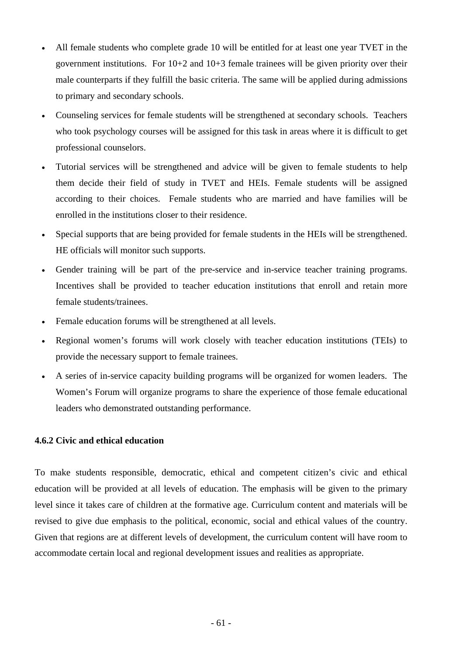- All female students who complete grade 10 will be entitled for at least one year TVET in the government institutions. For 10+2 and 10+3 female trainees will be given priority over their male counterparts if they fulfill the basic criteria. The same will be applied during admissions to primary and secondary schools.
- Counseling services for female students will be strengthened at secondary schools. Teachers who took psychology courses will be assigned for this task in areas where it is difficult to get professional counselors.
- Tutorial services will be strengthened and advice will be given to female students to help them decide their field of study in TVET and HEIs. Female students will be assigned according to their choices. Female students who are married and have families will be enrolled in the institutions closer to their residence.
- Special supports that are being provided for female students in the HEIs will be strengthened. HE officials will monitor such supports.
- Gender training will be part of the pre-service and in-service teacher training programs. Incentives shall be provided to teacher education institutions that enroll and retain more female students/trainees.
- Female education forums will be strengthened at all levels.
- Regional women's forums will work closely with teacher education institutions (TEIs) to provide the necessary support to female trainees.
- A series of in-service capacity building programs will be organized for women leaders. The Women's Forum will organize programs to share the experience of those female educational leaders who demonstrated outstanding performance.

### **4.6.2 Civic and ethical education**

To make students responsible, democratic, ethical and competent citizen's civic and ethical education will be provided at all levels of education. The emphasis will be given to the primary level since it takes care of children at the formative age. Curriculum content and materials will be revised to give due emphasis to the political, economic, social and ethical values of the country. Given that regions are at different levels of development, the curriculum content will have room to accommodate certain local and regional development issues and realities as appropriate.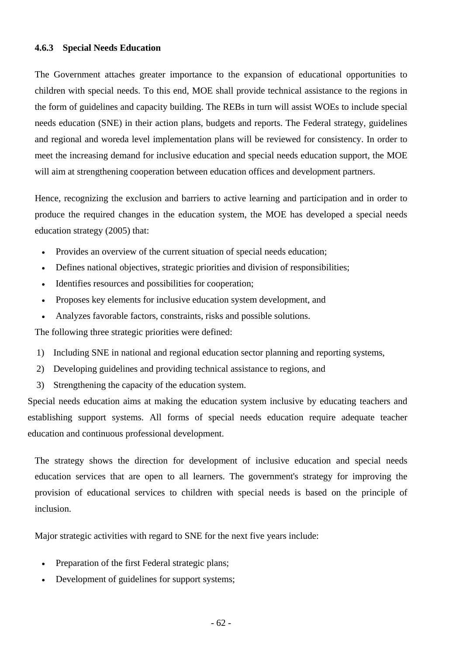#### **4.6.3 Special Needs Education**

The Government attaches greater importance to the expansion of educational opportunities to children with special needs. To this end, MOE shall provide technical assistance to the regions in the form of guidelines and capacity building. The REBs in turn will assist WOEs to include special needs education (SNE) in their action plans, budgets and reports. The Federal strategy, guidelines and regional and woreda level implementation plans will be reviewed for consistency. In order to meet the increasing demand for inclusive education and special needs education support, the MOE will aim at strengthening cooperation between education offices and development partners.

Hence, recognizing the exclusion and barriers to active learning and participation and in order to produce the required changes in the education system, the MOE has developed a special needs education strategy (2005) that:

- Provides an overview of the current situation of special needs education;
- Defines national objectives, strategic priorities and division of responsibilities;
- Identifies resources and possibilities for cooperation;
- Proposes key elements for inclusive education system development, and
- Analyzes favorable factors, constraints, risks and possible solutions.

The following three strategic priorities were defined:

- 1) Including SNE in national and regional education sector planning and reporting systems,
- 2) Developing guidelines and providing technical assistance to regions, and
- 3) Strengthening the capacity of the education system.

Special needs education aims at making the education system inclusive by educating teachers and establishing support systems. All forms of special needs education require adequate teacher education and continuous professional development.

The strategy shows the direction for development of inclusive education and special needs education services that are open to all learners. The government's strategy for improving the provision of educational services to children with special needs is based on the principle of inclusion.

Major strategic activities with regard to SNE for the next five years include:

- Preparation of the first Federal strategic plans;
- Development of guidelines for support systems;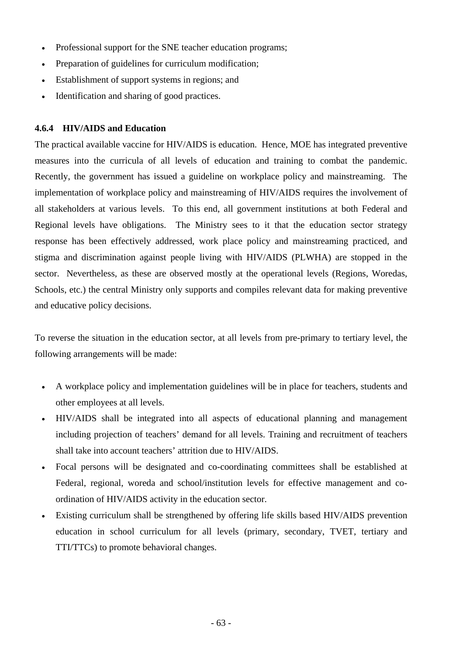- Professional support for the SNE teacher education programs;
- Preparation of guidelines for curriculum modification;
- Establishment of support systems in regions; and
- Identification and sharing of good practices.

### **4.6.4 HIV/AIDS and Education**

The practical available vaccine for HIV/AIDS is education. Hence, MOE has integrated preventive measures into the curricula of all levels of education and training to combat the pandemic. Recently, the government has issued a guideline on workplace policy and mainstreaming. The implementation of workplace policy and mainstreaming of HIV/AIDS requires the involvement of all stakeholders at various levels. To this end, all government institutions at both Federal and Regional levels have obligations. The Ministry sees to it that the education sector strategy response has been effectively addressed, work place policy and mainstreaming practiced, and stigma and discrimination against people living with HIV/AIDS (PLWHA) are stopped in the sector. Nevertheless, as these are observed mostly at the operational levels (Regions, Woredas, Schools, etc.) the central Ministry only supports and compiles relevant data for making preventive and educative policy decisions.

To reverse the situation in the education sector, at all levels from pre-primary to tertiary level, the following arrangements will be made:

- A workplace policy and implementation guidelines will be in place for teachers, students and other employees at all levels.
- HIV/AIDS shall be integrated into all aspects of educational planning and management including projection of teachers' demand for all levels. Training and recruitment of teachers shall take into account teachers' attrition due to HIV/AIDS.
- Focal persons will be designated and co-coordinating committees shall be established at Federal, regional, woreda and school/institution levels for effective management and coordination of HIV/AIDS activity in the education sector.
- Existing curriculum shall be strengthened by offering life skills based HIV/AIDS prevention education in school curriculum for all levels (primary, secondary, TVET, tertiary and TTI/TTCs) to promote behavioral changes.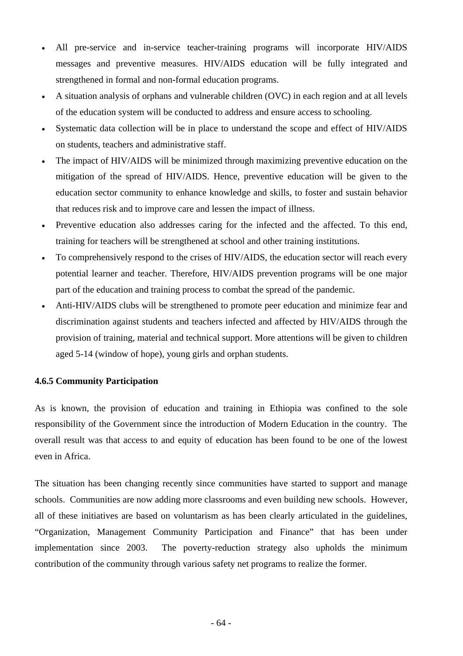- All pre-service and in-service teacher-training programs will incorporate HIV/AIDS messages and preventive measures. HIV/AIDS education will be fully integrated and strengthened in formal and non-formal education programs.
- A situation analysis of orphans and vulnerable children (OVC) in each region and at all levels of the education system will be conducted to address and ensure access to schooling.
- Systematic data collection will be in place to understand the scope and effect of HIV/AIDS on students, teachers and administrative staff.
- The impact of HIV/AIDS will be minimized through maximizing preventive education on the mitigation of the spread of HIV/AIDS. Hence, preventive education will be given to the education sector community to enhance knowledge and skills, to foster and sustain behavior that reduces risk and to improve care and lessen the impact of illness.
- Preventive education also addresses caring for the infected and the affected. To this end, training for teachers will be strengthened at school and other training institutions.
- To comprehensively respond to the crises of HIV/AIDS, the education sector will reach every potential learner and teacher. Therefore, HIV/AIDS prevention programs will be one major part of the education and training process to combat the spread of the pandemic.
- Anti-HIV/AIDS clubs will be strengthened to promote peer education and minimize fear and discrimination against students and teachers infected and affected by HIV/AIDS through the provision of training, material and technical support. More attentions will be given to children aged 5-14 (window of hope), young girls and orphan students.

### **4.6.5 Community Participation**

As is known, the provision of education and training in Ethiopia was confined to the sole responsibility of the Government since the introduction of Modern Education in the country. The overall result was that access to and equity of education has been found to be one of the lowest even in Africa.

The situation has been changing recently since communities have started to support and manage schools. Communities are now adding more classrooms and even building new schools. However, all of these initiatives are based on voluntarism as has been clearly articulated in the guidelines, "Organization, Management Community Participation and Finance" that has been under implementation since 2003. The poverty-reduction strategy also upholds the minimum contribution of the community through various safety net programs to realize the former.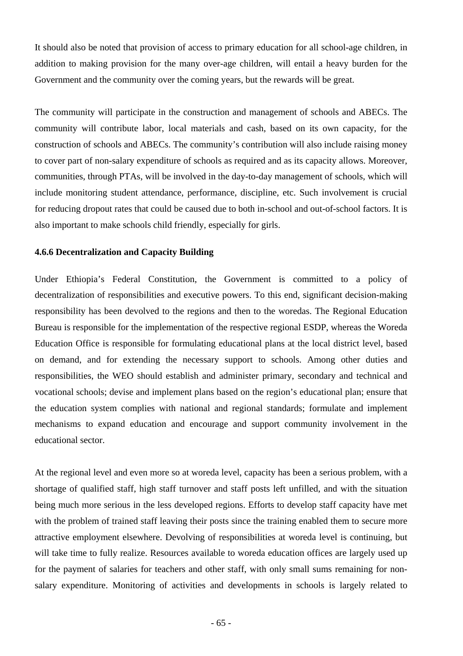It should also be noted that provision of access to primary education for all school-age children, in addition to making provision for the many over-age children, will entail a heavy burden for the Government and the community over the coming years, but the rewards will be great.

The community will participate in the construction and management of schools and ABECs. The community will contribute labor, local materials and cash, based on its own capacity, for the construction of schools and ABECs. The community's contribution will also include raising money to cover part of non-salary expenditure of schools as required and as its capacity allows. Moreover, communities, through PTAs, will be involved in the day-to-day management of schools, which will include monitoring student attendance, performance, discipline, etc. Such involvement is crucial for reducing dropout rates that could be caused due to both in-school and out-of-school factors. It is also important to make schools child friendly, especially for girls.

#### **4.6.6 Decentralization and Capacity Building**

Under Ethiopia's Federal Constitution, the Government is committed to a policy of decentralization of responsibilities and executive powers. To this end, significant decision-making responsibility has been devolved to the regions and then to the woredas. The Regional Education Bureau is responsible for the implementation of the respective regional ESDP, whereas the Woreda Education Office is responsible for formulating educational plans at the local district level, based on demand, and for extending the necessary support to schools. Among other duties and responsibilities, the WEO should establish and administer primary, secondary and technical and vocational schools; devise and implement plans based on the region's educational plan; ensure that the education system complies with national and regional standards; formulate and implement mechanisms to expand education and encourage and support community involvement in the educational sector.

At the regional level and even more so at woreda level, capacity has been a serious problem, with a shortage of qualified staff, high staff turnover and staff posts left unfilled, and with the situation being much more serious in the less developed regions. Efforts to develop staff capacity have met with the problem of trained staff leaving their posts since the training enabled them to secure more attractive employment elsewhere. Devolving of responsibilities at woreda level is continuing, but will take time to fully realize. Resources available to woreda education offices are largely used up for the payment of salaries for teachers and other staff, with only small sums remaining for nonsalary expenditure. Monitoring of activities and developments in schools is largely related to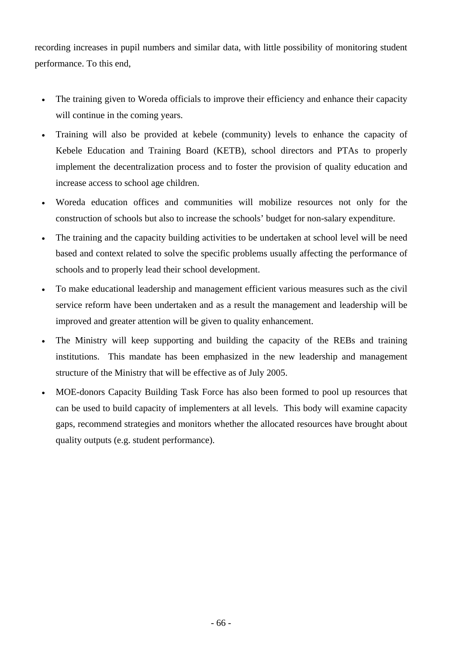recording increases in pupil numbers and similar data, with little possibility of monitoring student performance. To this end,

- The training given to Woreda officials to improve their efficiency and enhance their capacity will continue in the coming years.
- Training will also be provided at kebele (community) levels to enhance the capacity of Kebele Education and Training Board (KETB), school directors and PTAs to properly implement the decentralization process and to foster the provision of quality education and increase access to school age children.
- Woreda education offices and communities will mobilize resources not only for the construction of schools but also to increase the schools' budget for non-salary expenditure.
- The training and the capacity building activities to be undertaken at school level will be need based and context related to solve the specific problems usually affecting the performance of schools and to properly lead their school development.
- To make educational leadership and management efficient various measures such as the civil service reform have been undertaken and as a result the management and leadership will be improved and greater attention will be given to quality enhancement.
- The Ministry will keep supporting and building the capacity of the REBs and training institutions. This mandate has been emphasized in the new leadership and management structure of the Ministry that will be effective as of July 2005.
- MOE-donors Capacity Building Task Force has also been formed to pool up resources that can be used to build capacity of implementers at all levels. This body will examine capacity gaps, recommend strategies and monitors whether the allocated resources have brought about quality outputs (e.g. student performance).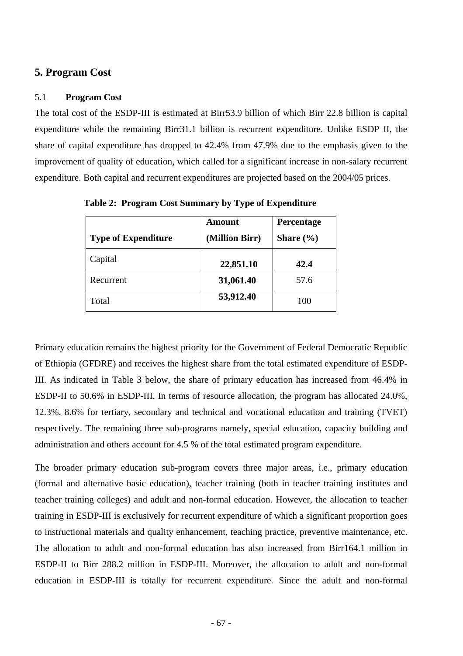### **5. Program Cost**

#### 5.1 **Program Cost**

The total cost of the ESDP-III is estimated at Birr53.9 billion of which Birr 22.8 billion is capital expenditure while the remaining Birr31.1 billion is recurrent expenditure. Unlike ESDP II, the share of capital expenditure has dropped to 42.4% from 47.9% due to the emphasis given to the improvement of quality of education, which called for a significant increase in non-salary recurrent expenditure. Both capital and recurrent expenditures are projected based on the 2004/05 prices.

|                            | <b>Amount</b>  | Percentage    |  |
|----------------------------|----------------|---------------|--|
| <b>Type of Expenditure</b> | (Million Birr) | Share $(\% )$ |  |
| Capital                    | 22,851.10      | 42.4          |  |
| Recurrent                  | 31,061.40      | 57.6          |  |
| Total                      | 53,912.40      | 100           |  |

**Table 2: Program Cost Summary by Type of Expenditure** 

Primary education remains the highest priority for the Government of Federal Democratic Republic of Ethiopia (GFDRE) and receives the highest share from the total estimated expenditure of ESDP-III. As indicated in Table 3 below, the share of primary education has increased from 46.4% in ESDP-II to 50.6% in ESDP-III. In terms of resource allocation, the program has allocated 24.0%, 12.3%, 8.6% for tertiary, secondary and technical and vocational education and training (TVET) respectively. The remaining three sub-programs namely, special education, capacity building and administration and others account for 4.5 % of the total estimated program expenditure.

The broader primary education sub-program covers three major areas, i.e., primary education (formal and alternative basic education), teacher training (both in teacher training institutes and teacher training colleges) and adult and non-formal education. However, the allocation to teacher training in ESDP-III is exclusively for recurrent expenditure of which a significant proportion goes to instructional materials and quality enhancement, teaching practice, preventive maintenance, etc. The allocation to adult and non-formal education has also increased from Birr164.1 million in ESDP-II to Birr 288.2 million in ESDP-III. Moreover, the allocation to adult and non-formal education in ESDP-III is totally for recurrent expenditure. Since the adult and non-formal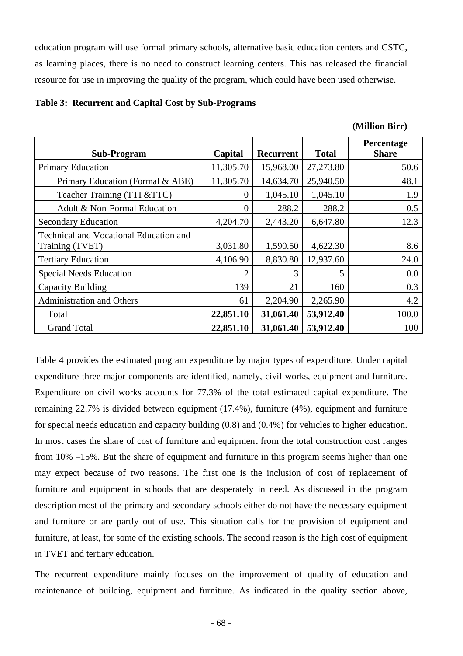education program will use formal primary schools, alternative basic education centers and CSTC, as learning places, there is no need to construct learning centers. This has released the financial resource for use in improving the quality of the program, which could have been used otherwise.

#### **Table 3: Recurrent and Capital Cost by Sub-Programs**

| (Million Birr) |  |
|----------------|--|
|                |  |

| <b>Sub-Program</b>                                        | Capital        | Recurrent | <b>Total</b> | Percentage<br><b>Share</b> |
|-----------------------------------------------------------|----------------|-----------|--------------|----------------------------|
| <b>Primary Education</b>                                  | 11,305.70      | 15,968.00 | 27,273.80    | 50.6                       |
| Primary Education (Formal & ABE)                          | 11,305.70      | 14,634.70 | 25,940.50    | 48.1                       |
| Teacher Training (TTI &TTC)                               | $\theta$       | 1,045.10  | 1,045.10     | 1.9                        |
| Adult & Non-Formal Education                              | 0              | 288.2     | 288.2        | 0.5                        |
| <b>Secondary Education</b>                                | 4,204.70       | 2,443.20  | 6,647.80     | 12.3                       |
| Technical and Vocational Education and<br>Training (TVET) | 3,031.80       | 1,590.50  | 4,622.30     | 8.6                        |
| <b>Tertiary Education</b>                                 | 4,106.90       | 8,830.80  | 12,937.60    | 24.0                       |
| <b>Special Needs Education</b>                            | $\overline{2}$ | 3         | 5            | $0.0\,$                    |
| Capacity Building                                         | 139            | 21        | 160          | 0.3                        |
| <b>Administration and Others</b>                          | 61             | 2,204.90  | 2,265.90     | 4.2                        |
| Total                                                     | 22,851.10      | 31,061.40 | 53,912.40    | 100.0                      |
| <b>Grand Total</b>                                        | 22,851.10      | 31,061.40 | 53,912.40    | 100                        |

Table 4 provides the estimated program expenditure by major types of expenditure. Under capital expenditure three major components are identified, namely, civil works, equipment and furniture. Expenditure on civil works accounts for 77.3% of the total estimated capital expenditure. The remaining 22.7% is divided between equipment (17.4%), furniture (4%), equipment and furniture for special needs education and capacity building (0.8) and (0.4%) for vehicles to higher education. In most cases the share of cost of furniture and equipment from the total construction cost ranges from 10% –15%. But the share of equipment and furniture in this program seems higher than one may expect because of two reasons. The first one is the inclusion of cost of replacement of furniture and equipment in schools that are desperately in need. As discussed in the program description most of the primary and secondary schools either do not have the necessary equipment and furniture or are partly out of use. This situation calls for the provision of equipment and furniture, at least, for some of the existing schools. The second reason is the high cost of equipment in TVET and tertiary education.

The recurrent expenditure mainly focuses on the improvement of quality of education and maintenance of building, equipment and furniture. As indicated in the quality section above,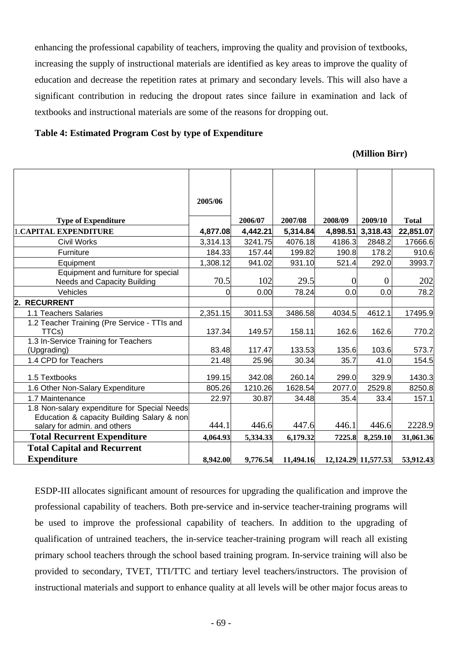enhancing the professional capability of teachers, improving the quality and provision of textbooks, increasing the supply of instructional materials are identified as key areas to improve the quality of education and decrease the repetition rates at primary and secondary levels. This will also have a significant contribution in reducing the dropout rates since failure in examination and lack of textbooks and instructional materials are some of the reasons for dropping out.

#### **Table 4: Estimated Program Cost by type of Expenditure**

#### **(Million Birr)**

|                                                                                            | 2005/06  |          |           |                |                     |              |
|--------------------------------------------------------------------------------------------|----------|----------|-----------|----------------|---------------------|--------------|
| <b>Type of Expenditure</b>                                                                 |          | 2006/07  | 2007/08   | 2008/09        | 2009/10             | <b>Total</b> |
| <b>1.CAPITAL EXPENDITURE</b>                                                               | 4,877.08 | 4,442.21 | 5,314.84  | 4,898.51       | 3,318.43            | 22,851.07    |
| <b>Civil Works</b>                                                                         | 3,314.13 | 3241.75  | 4076.18   | 4186.3         | 2848.2              | 17666.6      |
| Furniture                                                                                  | 184.33   | 157.44   | 199.82    | 190.8          | 178.2               | 910.6        |
| Equipment                                                                                  | 1,308.12 | 941.02   | 931.10    | 521.4          | 292.0               | 3993.7       |
| Equipment and furniture for special<br><b>Needs and Capacity Building</b>                  | 70.5     | 102      | 29.5      | $\overline{0}$ | $\boldsymbol{0}$    | 202          |
| Vehicles                                                                                   | $\Omega$ | 0.00     | 78.24     | 0.0            | 0.0                 | 78.2         |
| 2. RECURRENT                                                                               |          |          |           |                |                     |              |
| 1.1 Teachers Salaries                                                                      | 2,351.15 | 3011.53  | 3486.58   | 4034.5         | 4612.1              | 17495.9      |
| 1.2 Teacher Training (Pre Service - TTIs and<br>TTCs)                                      | 137.34   | 149.57   | 158.11    | 162.6          | 162.6               | 770.2        |
| 1.3 In-Service Training for Teachers                                                       |          |          |           |                |                     |              |
| (Upgrading)                                                                                | 83.48    | 117.47   | 133.53    | 135.6          | 103.6               | 573.7        |
| 1.4 CPD for Teachers                                                                       | 21.48    | 25.96    | 30.34     | 35.7           | 41.0                | 154.5        |
| 1.5 Textbooks                                                                              | 199.15   | 342.08   | 260.14    | 299.0          | 329.9               | 1430.3       |
| 1.6 Other Non-Salary Expenditure                                                           | 805.26   | 1210.26  | 1628.54   | 2077.0         | 2529.8              | 8250.8       |
| 1.7 Maintenance                                                                            | 22.97    | 30.87    | 34.48     | 35.4           | 33.4                | 157.1        |
| 1.8 Non-salary expenditure for Special Needs<br>Education & capacity Building Salary & non | 444.1    | 446.6    | 447.6     | 446.1          | 446.6               | 2228.9       |
| salary for admin. and others                                                               |          |          |           |                |                     |              |
| <b>Total Recurrent Expenditure</b>                                                         | 4,064.93 | 5,334.33 | 6,179.32  | 7225.8         | 8,259.10            | 31,061.36    |
| <b>Total Capital and Recurrent</b>                                                         |          |          |           |                |                     |              |
| <b>Expenditure</b>                                                                         | 8,942.00 | 9,776.54 | 11,494.16 |                | 12,124.29 11,577.53 | 53,912.43    |

ESDP-III allocates significant amount of resources for upgrading the qualification and improve the professional capability of teachers. Both pre-service and in-service teacher-training programs will be used to improve the professional capability of teachers. In addition to the upgrading of qualification of untrained teachers, the in-service teacher-training program will reach all existing primary school teachers through the school based training program. In-service training will also be provided to secondary, TVET, TTI/TTC and tertiary level teachers/instructors. The provision of instructional materials and support to enhance quality at all levels will be other major focus areas to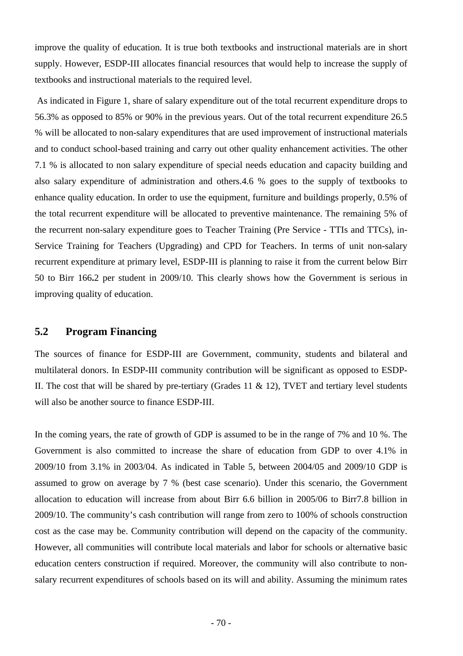improve the quality of education. It is true both textbooks and instructional materials are in short supply. However, ESDP-III allocates financial resources that would help to increase the supply of textbooks and instructional materials to the required level.

 As indicated in Figure 1, share of salary expenditure out of the total recurrent expenditure drops to 56.3% as opposed to 85% or 90% in the previous years. Out of the total recurrent expenditure 26.5 % will be allocated to non-salary expenditures that are used improvement of instructional materials and to conduct school-based training and carry out other quality enhancement activities. The other 7.1 % is allocated to non salary expenditure of special needs education and capacity building and also salary expenditure of administration and others.4.6 % goes to the supply of textbooks to enhance quality education. In order to use the equipment, furniture and buildings properly, 0.5% of the total recurrent expenditure will be allocated to preventive maintenance. The remaining 5% of the recurrent non-salary expenditure goes to Teacher Training (Pre Service - TTIs and TTCs), in-Service Training for Teachers (Upgrading) and CPD for Teachers. In terms of unit non-salary recurrent expenditure at primary level, ESDP-III is planning to raise it from the current below Birr 50 to Birr 166**.**2 per student in 2009/10. This clearly shows how the Government is serious in improving quality of education.

# **5.2 Program Financing**

The sources of finance for ESDP-III are Government, community, students and bilateral and multilateral donors. In ESDP-III community contribution will be significant as opposed to ESDP-II. The cost that will be shared by pre-tertiary (Grades 11  $\&$  12), TVET and tertiary level students will also be another source to finance ESDP-III.

In the coming years, the rate of growth of GDP is assumed to be in the range of 7% and 10%. The Government is also committed to increase the share of education from GDP to over 4.1% in 2009/10 from 3.1% in 2003/04. As indicated in Table 5, between 2004/05 and 2009/10 GDP is assumed to grow on average by 7 % (best case scenario). Under this scenario, the Government allocation to education will increase from about Birr 6.6 billion in 2005/06 to Birr7.8 billion in 2009/10. The community's cash contribution will range from zero to 100% of schools construction cost as the case may be. Community contribution will depend on the capacity of the community. However, all communities will contribute local materials and labor for schools or alternative basic education centers construction if required. Moreover, the community will also contribute to nonsalary recurrent expenditures of schools based on its will and ability. Assuming the minimum rates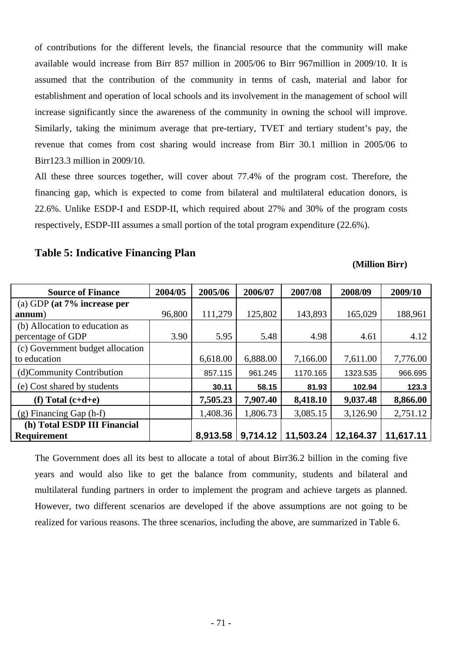of contributions for the different levels, the financial resource that the community will make available would increase from Birr 857 million in 2005/06 to Birr 967million in 2009/10. It is assumed that the contribution of the community in terms of cash, material and labor for establishment and operation of local schools and its involvement in the management of school will increase significantly since the awareness of the community in owning the school will improve. Similarly, taking the minimum average that pre-tertiary, TVET and tertiary student's pay, the revenue that comes from cost sharing would increase from Birr 30.1 million in 2005/06 to Birr123.3 million in 2009/10.

All these three sources together, will cover about 77.4% of the program cost. Therefore, the financing gap, which is expected to come from bilateral and multilateral education donors, is 22.6%. Unlike ESDP-I and ESDP-II, which required about 27% and 30% of the program costs respectively, ESDP-III assumes a small portion of the total program expenditure (22.6%).

# **Table 5: Indicative Financing Plan**

#### **(Million Birr)**

| <b>Source of Finance</b>         | 2004/05 | 2005/06  | 2006/07  | 2007/08   | 2008/09   | 2009/10   |
|----------------------------------|---------|----------|----------|-----------|-----------|-----------|
| (a) GDP (at $7\%$ increase per   |         |          |          |           |           |           |
| annum)                           | 96,800  | 111,279  | 125,802  | 143,893   | 165,029   | 188,961   |
| (b) Allocation to education as   |         |          |          |           |           |           |
| percentage of GDP                | 3.90    | 5.95     | 5.48     | 4.98      | 4.61      | 4.12      |
| (c) Government budget allocation |         |          |          |           |           |           |
| to education                     |         | 6,618.00 | 6,888.00 | 7,166.00  | 7,611.00  | 7,776.00  |
| (d)Community Contribution        |         | 857.115  | 961.245  | 1170.165  | 1323.535  | 966.695   |
| (e) Cost shared by students      |         | 30.11    | 58.15    | 81.93     | 102.94    | 123.3     |
| (f) Total $(c+d+e)$              |         | 7,505.23 | 7,907.40 | 8,418.10  | 9,037.48  | 8,866.00  |
| $(g)$ Financing Gap $(h-f)$      |         | 1,408.36 | 1,806.73 | 3,085.15  | 3,126.90  | 2,751.12  |
| (h) Total ESDP III Financial     |         |          |          |           |           |           |
| <b>Requirement</b>               |         | 8,913.58 | 9,714.12 | 11,503.24 | 12,164.37 | 11,617.11 |

The Government does all its best to allocate a total of about Birr36.2 billion in the coming five years and would also like to get the balance from community, students and bilateral and multilateral funding partners in order to implement the program and achieve targets as planned. However, two different scenarios are developed if the above assumptions are not going to be realized for various reasons. The three scenarios, including the above, are summarized in Table 6.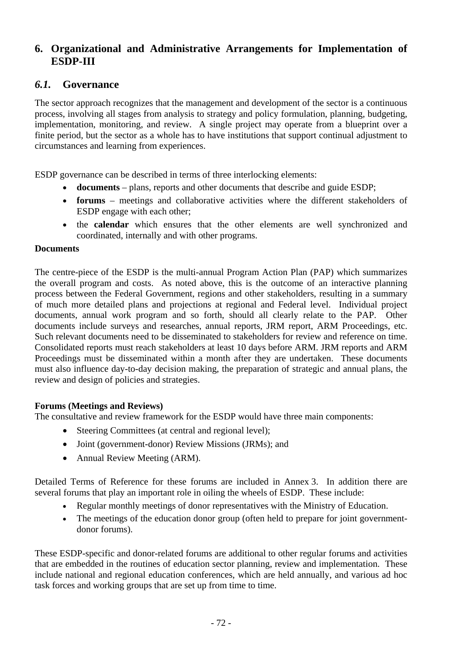# **6. Organizational and Administrative Arrangements for Implementation of ESDP-III**

# *6.1.* **Governance**

The sector approach recognizes that the management and development of the sector is a continuous process, involving all stages from analysis to strategy and policy formulation, planning, budgeting, implementation, monitoring, and review. A single project may operate from a blueprint over a finite period, but the sector as a whole has to have institutions that support continual adjustment to circumstances and learning from experiences.

ESDP governance can be described in terms of three interlocking elements:

- **documents** plans, reports and other documents that describe and guide ESDP;
- **forums** meetings and collaborative activities where the different stakeholders of ESDP engage with each other;
- the **calendar** which ensures that the other elements are well synchronized and coordinated, internally and with other programs.

### **Documents**

The centre-piece of the ESDP is the multi-annual Program Action Plan (PAP) which summarizes the overall program and costs. As noted above, this is the outcome of an interactive planning process between the Federal Government, regions and other stakeholders, resulting in a summary of much more detailed plans and projections at regional and Federal level. Individual project documents, annual work program and so forth, should all clearly relate to the PAP. Other documents include surveys and researches, annual reports, JRM report, ARM Proceedings, etc. Such relevant documents need to be disseminated to stakeholders for review and reference on time. Consolidated reports must reach stakeholders at least 10 days before ARM. JRM reports and ARM Proceedings must be disseminated within a month after they are undertaken. These documents must also influence day-to-day decision making, the preparation of strategic and annual plans, the review and design of policies and strategies.

### **Forums (Meetings and Reviews)**

The consultative and review framework for the ESDP would have three main components:

- Steering Committees (at central and regional level);
- Joint (government-donor) Review Missions (JRMs); and
- Annual Review Meeting (ARM).

Detailed Terms of Reference for these forums are included in Annex 3. In addition there are several forums that play an important role in oiling the wheels of ESDP. These include:

- Regular monthly meetings of donor representatives with the Ministry of Education.
- The meetings of the education donor group (often held to prepare for joint governmentdonor forums).

These ESDP-specific and donor-related forums are additional to other regular forums and activities that are embedded in the routines of education sector planning, review and implementation. These include national and regional education conferences, which are held annually, and various ad hoc task forces and working groups that are set up from time to time.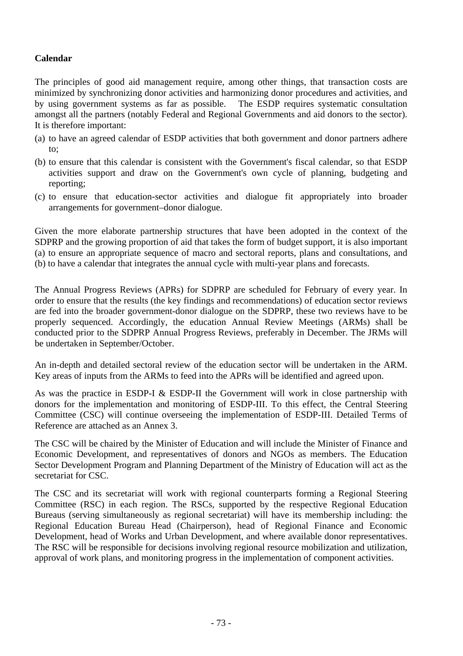### **Calendar**

The principles of good aid management require, among other things, that transaction costs are minimized by synchronizing donor activities and harmonizing donor procedures and activities, and by using government systems as far as possible. The ESDP requires systematic consultation amongst all the partners (notably Federal and Regional Governments and aid donors to the sector). It is therefore important:

- (a) to have an agreed calendar of ESDP activities that both government and donor partners adhere to;
- (b) to ensure that this calendar is consistent with the Government's fiscal calendar, so that ESDP activities support and draw on the Government's own cycle of planning, budgeting and reporting;
- (c) to ensure that education-sector activities and dialogue fit appropriately into broader arrangements for government–donor dialogue.

Given the more elaborate partnership structures that have been adopted in the context of the SDPRP and the growing proportion of aid that takes the form of budget support, it is also important (a) to ensure an appropriate sequence of macro and sectoral reports, plans and consultations, and (b) to have a calendar that integrates the annual cycle with multi-year plans and forecasts.

The Annual Progress Reviews (APRs) for SDPRP are scheduled for February of every year. In order to ensure that the results (the key findings and recommendations) of education sector reviews are fed into the broader government-donor dialogue on the SDPRP, these two reviews have to be properly sequenced. Accordingly, the education Annual Review Meetings (ARMs) shall be conducted prior to the SDPRP Annual Progress Reviews, preferably in December. The JRMs will be undertaken in September/October.

An in-depth and detailed sectoral review of the education sector will be undertaken in the ARM. Key areas of inputs from the ARMs to feed into the APRs will be identified and agreed upon.

As was the practice in ESDP-I & ESDP-II the Government will work in close partnership with donors for the implementation and monitoring of ESDP-III. To this effect, the Central Steering Committee (CSC) will continue overseeing the implementation of ESDP-III. Detailed Terms of Reference are attached as an Annex 3.

The CSC will be chaired by the Minister of Education and will include the Minister of Finance and Economic Development, and representatives of donors and NGOs as members. The Education Sector Development Program and Planning Department of the Ministry of Education will act as the secretariat for CSC.

The CSC and its secretariat will work with regional counterparts forming a Regional Steering Committee (RSC) in each region. The RSCs, supported by the respective Regional Education Bureaus (serving simultaneously as regional secretariat) will have its membership including: the Regional Education Bureau Head (Chairperson), head of Regional Finance and Economic Development, head of Works and Urban Development, and where available donor representatives. The RSC will be responsible for decisions involving regional resource mobilization and utilization, approval of work plans, and monitoring progress in the implementation of component activities.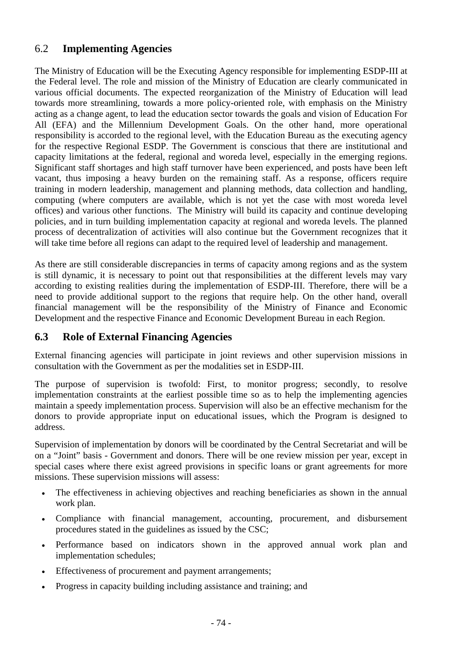## 6.2 **Implementing Agencies**

The Ministry of Education will be the Executing Agency responsible for implementing ESDP-III at the Federal level. The role and mission of the Ministry of Education are clearly communicated in various official documents. The expected reorganization of the Ministry of Education will lead towards more streamlining, towards a more policy-oriented role, with emphasis on the Ministry acting as a change agent, to lead the education sector towards the goals and vision of Education For All (EFA) and the Millennium Development Goals. On the other hand, more operational responsibility is accorded to the regional level, with the Education Bureau as the executing agency for the respective Regional ESDP. The Government is conscious that there are institutional and capacity limitations at the federal, regional and woreda level, especially in the emerging regions. Significant staff shortages and high staff turnover have been experienced, and posts have been left vacant, thus imposing a heavy burden on the remaining staff. As a response, officers require training in modern leadership, management and planning methods, data collection and handling, computing (where computers are available, which is not yet the case with most woreda level offices) and various other functions. The Ministry will build its capacity and continue developing policies, and in turn building implementation capacity at regional and woreda levels. The planned process of decentralization of activities will also continue but the Government recognizes that it will take time before all regions can adapt to the required level of leadership and management.

As there are still considerable discrepancies in terms of capacity among regions and as the system is still dynamic, it is necessary to point out that responsibilities at the different levels may vary according to existing realities during the implementation of ESDP-III. Therefore, there will be a need to provide additional support to the regions that require help. On the other hand, overall financial management will be the responsibility of the Ministry of Finance and Economic Development and the respective Finance and Economic Development Bureau in each Region.

### **6.3 Role of External Financing Agencies**

External financing agencies will participate in joint reviews and other supervision missions in consultation with the Government as per the modalities set in ESDP-III.

The purpose of supervision is twofold: First, to monitor progress; secondly, to resolve implementation constraints at the earliest possible time so as to help the implementing agencies maintain a speedy implementation process. Supervision will also be an effective mechanism for the donors to provide appropriate input on educational issues, which the Program is designed to address.

Supervision of implementation by donors will be coordinated by the Central Secretariat and will be on a "Joint" basis - Government and donors. There will be one review mission per year, except in special cases where there exist agreed provisions in specific loans or grant agreements for more missions. These supervision missions will assess:

- The effectiveness in achieving objectives and reaching beneficiaries as shown in the annual work plan.
- Compliance with financial management, accounting, procurement, and disbursement procedures stated in the guidelines as issued by the CSC;
- Performance based on indicators shown in the approved annual work plan and implementation schedules;
- Effectiveness of procurement and payment arrangements;
- Progress in capacity building including assistance and training; and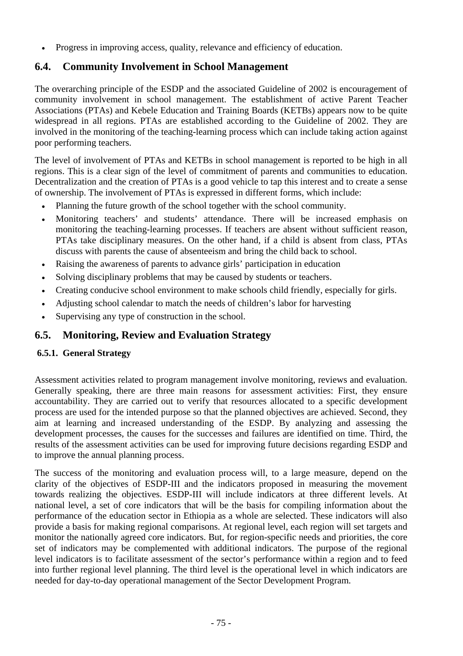• Progress in improving access, quality, relevance and efficiency of education.

## **6.4. Community Involvement in School Management**

The overarching principle of the ESDP and the associated Guideline of 2002 is encouragement of community involvement in school management. The establishment of active Parent Teacher Associations (PTAs) and Kebele Education and Training Boards (KETBs) appears now to be quite widespread in all regions. PTAs are established according to the Guideline of 2002. They are involved in the monitoring of the teaching-learning process which can include taking action against poor performing teachers.

The level of involvement of PTAs and KETBs in school management is reported to be high in all regions. This is a clear sign of the level of commitment of parents and communities to education. Decentralization and the creation of PTAs is a good vehicle to tap this interest and to create a sense of ownership. The involvement of PTAs is expressed in different forms, which include:

- Planning the future growth of the school together with the school community.
- Monitoring teachers' and students' attendance. There will be increased emphasis on monitoring the teaching-learning processes. If teachers are absent without sufficient reason, PTAs take disciplinary measures. On the other hand, if a child is absent from class, PTAs discuss with parents the cause of absenteeism and bring the child back to school.
- Raising the awareness of parents to advance girls' participation in education
- Solving disciplinary problems that may be caused by students or teachers.
- Creating conducive school environment to make schools child friendly, especially for girls.
- Adjusting school calendar to match the needs of children's labor for harvesting
- Supervising any type of construction in the school.

### **6.5. Monitoring, Review and Evaluation Strategy**

### **6.5.1. General Strategy**

Assessment activities related to program management involve monitoring, reviews and evaluation. Generally speaking, there are three main reasons for assessment activities: First, they ensure accountability. They are carried out to verify that resources allocated to a specific development process are used for the intended purpose so that the planned objectives are achieved. Second, they aim at learning and increased understanding of the ESDP. By analyzing and assessing the development processes, the causes for the successes and failures are identified on time. Third, the results of the assessment activities can be used for improving future decisions regarding ESDP and to improve the annual planning process.

The success of the monitoring and evaluation process will, to a large measure, depend on the clarity of the objectives of ESDP-III and the indicators proposed in measuring the movement towards realizing the objectives. ESDP-III will include indicators at three different levels. At national level, a set of core indicators that will be the basis for compiling information about the performance of the education sector in Ethiopia as a whole are selected. These indicators will also provide a basis for making regional comparisons. At regional level, each region will set targets and monitor the nationally agreed core indicators. But, for region-specific needs and priorities, the core set of indicators may be complemented with additional indicators. The purpose of the regional level indicators is to facilitate assessment of the sector's performance within a region and to feed into further regional level planning. The third level is the operational level in which indicators are needed for day-to-day operational management of the Sector Development Program.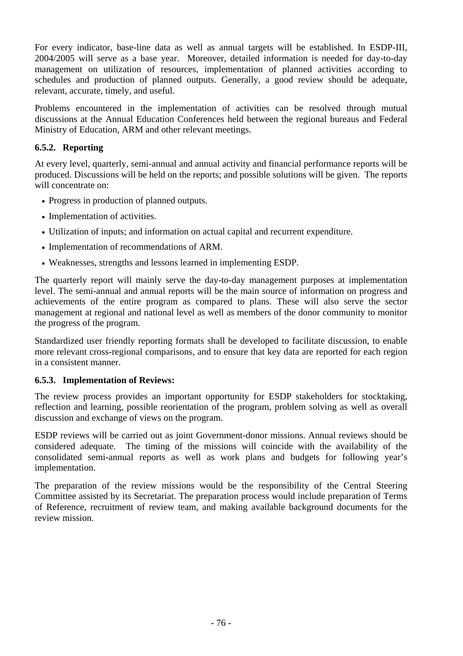For every indicator, base-line data as well as annual targets will be established. In ESDP-III, 2004/2005 will serve as a base year. Moreover, detailed information is needed for day-to-day management on utilization of resources, implementation of planned activities according to schedules and production of planned outputs. Generally, a good review should be adequate, relevant, accurate, timely, and useful.

Problems encountered in the implementation of activities can be resolved through mutual discussions at the Annual Education Conferences held between the regional bureaus and Federal Ministry of Education, ARM and other relevant meetings.

### **6.5.2. Reporting**

At every level, quarterly, semi-annual and annual activity and financial performance reports will be produced. Discussions will be held on the reports; and possible solutions will be given. The reports will concentrate on:

- Progress in production of planned outputs.
- Implementation of activities.
- Utilization of inputs; and information on actual capital and recurrent expenditure.
- Implementation of recommendations of ARM.
- Weaknesses, strengths and lessons learned in implementing ESDP.

The quarterly report will mainly serve the day-to-day management purposes at implementation level. The semi-annual and annual reports will be the main source of information on progress and achievements of the entire program as compared to plans. These will also serve the sector management at regional and national level as well as members of the donor community to monitor the progress of the program.

Standardized user friendly reporting formats shall be developed to facilitate discussion, to enable more relevant cross-regional comparisons, and to ensure that key data are reported for each region in a consistent manner.

### **6.5.3. Implementation of Reviews:**

The review process provides an important opportunity for ESDP stakeholders for stocktaking, reflection and learning, possible reorientation of the program, problem solving as well as overall discussion and exchange of views on the program.

ESDP reviews will be carried out as joint Government-donor missions. Annual reviews should be considered adequate. The timing of the missions will coincide with the availability of the consolidated semi-annual reports as well as work plans and budgets for following year's implementation.

The preparation of the review missions would be the responsibility of the Central Steering Committee assisted by its Secretariat. The preparation process would include preparation of Terms of Reference, recruitment of review team, and making available background documents for the review mission.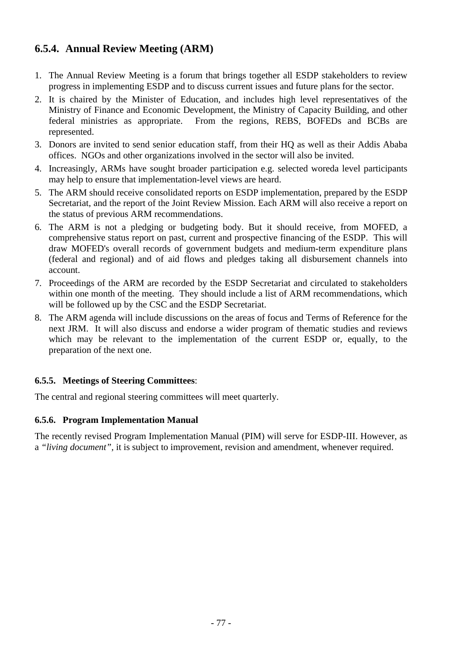## **6.5.4. Annual Review Meeting (ARM)**

- 1. The Annual Review Meeting is a forum that brings together all ESDP stakeholders to review progress in implementing ESDP and to discuss current issues and future plans for the sector.
- 2. It is chaired by the Minister of Education, and includes high level representatives of the Ministry of Finance and Economic Development, the Ministry of Capacity Building, and other federal ministries as appropriate. From the regions, REBS, BOFEDs and BCBs are represented.
- 3. Donors are invited to send senior education staff, from their HQ as well as their Addis Ababa offices. NGOs and other organizations involved in the sector will also be invited.
- 4. Increasingly, ARMs have sought broader participation e.g. selected woreda level participants may help to ensure that implementation-level views are heard.
- 5. The ARM should receive consolidated reports on ESDP implementation, prepared by the ESDP Secretariat, and the report of the Joint Review Mission. Each ARM will also receive a report on the status of previous ARM recommendations.
- 6. The ARM is not a pledging or budgeting body. But it should receive, from MOFED, a comprehensive status report on past, current and prospective financing of the ESDP. This will draw MOFED's overall records of government budgets and medium-term expenditure plans (federal and regional) and of aid flows and pledges taking all disbursement channels into account.
- 7. Proceedings of the ARM are recorded by the ESDP Secretariat and circulated to stakeholders within one month of the meeting. They should include a list of ARM recommendations, which will be followed up by the CSC and the ESDP Secretariat.
- 8. The ARM agenda will include discussions on the areas of focus and Terms of Reference for the next JRM. It will also discuss and endorse a wider program of thematic studies and reviews which may be relevant to the implementation of the current ESDP or, equally, to the preparation of the next one.

### **6.5.5. Meetings of Steering Committees**:

The central and regional steering committees will meet quarterly.

### **6.5.6. Program Implementation Manual**

The recently revised Program Implementation Manual (PIM) will serve for ESDP-III. However, as a *"living document",* it is subject to improvement, revision and amendment, whenever required.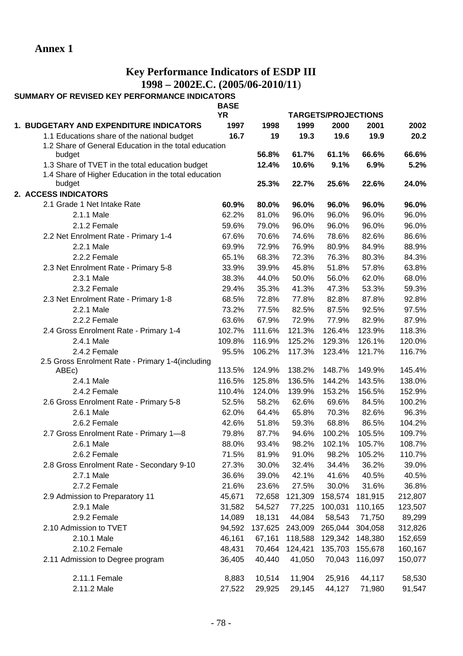## **Key Performance Indicators of ESDP III 1998 – 2002E.C. (2005/06-2010/11**)

#### **SUMMARY OF REVISED KEY PERFORMANCE INDICATORS BASE**

|                                                       | DAJL<br><b>YR</b> |         |                | <b>TARGETS/PROJECTIONS</b> |                 |         |
|-------------------------------------------------------|-------------------|---------|----------------|----------------------------|-----------------|---------|
| 1. BUDGETARY AND EXPENDITURE INDICATORS               | 1997              | 1998    | 1999           | 2000                       | 2001            | 2002    |
| 1.1 Educations share of the national budget           | 16.7              | 19      | 19.3           | 19.6                       | 19.9            | 20.2    |
| 1.2 Share of General Education in the total education |                   |         |                |                            |                 |         |
| budget                                                |                   | 56.8%   | 61.7%          | 61.1%                      | 66.6%           | 66.6%   |
| 1.3 Share of TVET in the total education budget       |                   | 12.4%   | 10.6%          | 9.1%                       | 6.9%            | 5.2%    |
| 1.4 Share of Higher Education in the total education  |                   |         |                |                            |                 |         |
| budget                                                |                   | 25.3%   | 22.7%          | 25.6%                      | 22.6%           | 24.0%   |
| 2. ACCESS INDICATORS                                  |                   |         |                |                            |                 |         |
| 2.1 Grade 1 Net Intake Rate                           | 60.9%             | 80.0%   | 96.0%          | 96.0%                      | 96.0%           | 96.0%   |
| 2.1.1 Male                                            | 62.2%             | 81.0%   | 96.0%          | 96.0%                      | 96.0%           | 96.0%   |
| 2.1.2 Female                                          | 59.6%             | 79.0%   | 96.0%          | 96.0%                      | 96.0%           | 96.0%   |
| 2.2 Net Enrolment Rate - Primary 1-4                  | 67.6%             | 70.6%   | 74.6%          | 78.6%                      | 82.6%           | 86.6%   |
| 2.2.1 Male                                            | 69.9%             | 72.9%   | 76.9%          | 80.9%                      | 84.9%           | 88.9%   |
| 2.2.2 Female                                          | 65.1%             | 68.3%   | 72.3%          | 76.3%                      | 80.3%           | 84.3%   |
| 2.3 Net Enrolment Rate - Primary 5-8                  | 33.9%             | 39.9%   | 45.8%          | 51.8%                      | 57.8%           | 63.8%   |
| 2.3.1 Male                                            | 38.3%             | 44.0%   | 50.0%          | 56.0%                      | 62.0%           | 68.0%   |
| 2.3.2 Female                                          | 29.4%             | 35.3%   | 41.3%          | 47.3%                      | 53.3%           | 59.3%   |
| 2.3 Net Enrolment Rate - Primary 1-8                  | 68.5%             | 72.8%   | 77.8%          | 82.8%                      | 87.8%           | 92.8%   |
| 2.2.1 Male                                            | 73.2%             | 77.5%   | 82.5%          | 87.5%                      | 92.5%           | 97.5%   |
| 2.2.2 Female                                          | 63.6%             | 67.9%   | 72.9%          | 77.9%                      | 82.9%           | 87.9%   |
| 2.4 Gross Enrolment Rate - Primary 1-4                | 102.7%            | 111.6%  | 121.3%         | 126.4%                     | 123.9%          | 118.3%  |
| 2.4.1 Male                                            | 109.8%            | 116.9%  | 125.2%         | 129.3%                     | 126.1%          | 120.0%  |
| 2.4.2 Female                                          | 95.5%             | 106.2%  | 117.3%         | 123.4%                     | 121.7%          | 116.7%  |
| 2.5 Gross Enrolment Rate - Primary 1-4(including      |                   |         |                |                            |                 |         |
| ABEc)                                                 | 113.5%            | 124.9%  | 138.2%         | 148.7%                     | 149.9%          | 145.4%  |
| 2.4.1 Male                                            | 116.5%            | 125.8%  | 136.5%         | 144.2%                     | 143.5%          | 138.0%  |
| 2.4.2 Female                                          | 110.4%            | 124.0%  | 139.9%         | 153.2%                     | 156.5%          | 152.9%  |
| 2.6 Gross Enrolment Rate - Primary 5-8                | 52.5%             | 58.2%   | 62.6%          | 69.6%                      | 84.5%           | 100.2%  |
| 2.6.1 Male                                            | 62.0%             | 64.4%   | 65.8%          | 70.3%                      | 82.6%           | 96.3%   |
| 2.6.2 Female                                          | 42.6%             | 51.8%   | 59.3%          | 68.8%                      | 86.5%           | 104.2%  |
| 2.7 Gross Enrolment Rate - Primary 1-8                | 79.8%             | 87.7%   | 94.6%          | 100.2%                     | 105.5%          | 109.7%  |
| 2.6.1 Male                                            | 88.0%             | 93.4%   | 98.2%          | 102.1%                     | 105.7%          | 108.7%  |
| 2.6.2 Female                                          | 71.5%             | 81.9%   | 91.0%          | 98.2%                      | 105.2%          | 110.7%  |
| 2.8 Gross Enrolment Rate - Secondary 9-10             | 27.3%             | 30.0%   | 32.4%          | 34.4%                      | 36.2%           | 39.0%   |
| 2.7.1 Male                                            | 36.6%             | 39.0%   | 42.1%          | 41.6%                      | 40.5%           | 40.5%   |
| 2.7.2 Female                                          | 21.6%             | 23.6%   | 27.5%          | 30.0%                      | 31.6%           | 36.8%   |
| 2.9 Admission to Preparatory 11                       | 45,671            | 72,658  | 121,309        | 158,574                    | 181,915         | 212,807 |
| 2.9.1 Male                                            | 31,582            | 54,527  | 77,225         | 100,031                    | 110,165         | 123,507 |
| 2.9.2 Female                                          | 14,089            | 18,131  | 44,084         | 58,543                     | 71,750          | 89,299  |
| 2.10 Admission to TVET                                | 94,592            | 137,625 | 243,009        | 265,044                    | 304,058         | 312,826 |
| 2.10.1 Male                                           | 46,161            | 67,161  | 118,588        | 129,342                    | 148,380         | 152,659 |
| 2.10.2 Female                                         | 48,431            |         | 70,464 124,421 |                            | 135,703 155,678 | 160,167 |
| 2.11 Admission to Degree program                      | 36,405            | 40,440  | 41,050         | 70,043                     | 116,097         | 150,077 |
| 2.11.1 Female                                         | 8,883             | 10,514  | 11,904         | 25,916                     | 44,117          | 58,530  |
| 2.11.2 Male                                           | 27,522            | 29,925  | 29,145         | 44,127                     | 71,980          | 91,547  |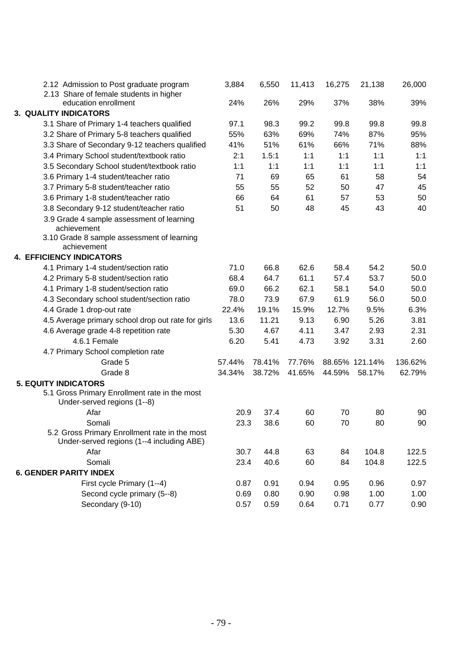| 2.12 Admission to Post graduate program<br>2.13 Share of female students in higher         | 3,884  | 6,550  | 11,413 | 16,275 | 21,138         | 26,000  |
|--------------------------------------------------------------------------------------------|--------|--------|--------|--------|----------------|---------|
| education enrollment                                                                       | 24%    | 26%    | 29%    | 37%    | 38%            | 39%     |
| <b>3. QUALITY INDICATORS</b>                                                               |        |        |        |        |                |         |
| 3.1 Share of Primary 1-4 teachers qualified                                                | 97.1   | 98.3   | 99.2   | 99.8   | 99.8           | 99.8    |
| 3.2 Share of Primary 5-8 teachers qualified                                                | 55%    | 63%    | 69%    | 74%    | 87%            | 95%     |
| 3.3 Share of Secondary 9-12 teachers qualified                                             | 41%    | 51%    | 61%    | 66%    | 71%            | 88%     |
| 3.4 Primary School student/textbook ratio                                                  | 2:1    | 1.5:1  | 1:1    | 1:1    | 1:1            | 1:1     |
| 3.5 Secondary School student/textbook ratio                                                | 1:1    | 1:1    | 1:1    | 1:1    | 1:1            | 1:1     |
| 3.6 Primary 1-4 student/teacher ratio                                                      | 71     | 69     | 65     | 61     | 58             | 54      |
| 3.7 Primary 5-8 student/teacher ratio                                                      | 55     | 55     | 52     | 50     | 47             | 45      |
| 3.6 Primary 1-8 student/teacher ratio                                                      | 66     | 64     | 61     | 57     | 53             | 50      |
| 3.8 Secondary 9-12 student/teacher ratio                                                   | 51     | 50     | 48     | 45     | 43             | 40      |
| 3.9 Grade 4 sample assessment of learning<br>achievement                                   |        |        |        |        |                |         |
| 3.10 Grade 8 sample assessment of learning<br>achievement                                  |        |        |        |        |                |         |
| <b>4. EFFICIENCY INDICATORS</b>                                                            |        |        |        |        |                |         |
| 4.1 Primary 1-4 student/section ratio                                                      | 71.0   | 66.8   | 62.6   | 58.4   | 54.2           | 50.0    |
| 4.2 Primary 5-8 student/section ratio                                                      | 68.4   | 64.7   | 61.1   | 57.4   | 53.7           | 50.0    |
| 4.1 Primary 1-8 student/section ratio                                                      | 69.0   | 66.2   | 62.1   | 58.1   | 54.0           | 50.0    |
| 4.3 Secondary school student/section ratio                                                 | 78.0   | 73.9   | 67.9   | 61.9   | 56.0           | 50.0    |
| 4.4 Grade 1 drop-out rate                                                                  | 22.4%  | 19.1%  | 15.9%  | 12.7%  | 9.5%           | 6.3%    |
| 4.5 Average primary school drop out rate for girls                                         | 13.6   | 11.21  | 9.13   | 6.90   | 5.26           | 3.81    |
| 4.6 Average grade 4-8 repetition rate                                                      | 5.30   | 4.67   | 4.11   | 3.47   | 2.93           | 2.31    |
| 4.6.1 Female                                                                               | 6.20   | 5.41   | 4.73   | 3.92   | 3.31           | 2.60    |
| 4.7 Primary School completion rate                                                         |        |        |        |        |                |         |
| Grade 5                                                                                    | 57.44% | 78.41% | 77.76% |        | 88.65% 121.14% | 136.62% |
| Grade 8                                                                                    | 34.34% | 38.72% | 41.65% | 44.59% | 58.17%         | 62.79%  |
| <b>5. EQUITY INDICATORS</b>                                                                |        |        |        |        |                |         |
| 5.1 Gross Primary Enrollment rate in the most<br>Under-served regions (1--8)               |        |        |        |        |                |         |
| Afar                                                                                       | 20.9   | 37.4   | 60     | 70     | 80             | 90      |
| Somali                                                                                     | 23.3   | 38.6   | 60     | 70     | 80             | 90      |
| 5.2 Gross Primary Enrollment rate in the most<br>Under-served regions (1--4 including ABE) |        |        |        |        |                |         |
| Afar                                                                                       | 30.7   | 44.8   | 63     | 84     | 104.8          | 122.5   |
| Somali                                                                                     | 23.4   | 40.6   | 60     | 84     | 104.8          | 122.5   |
| <b>6. GENDER PARITY INDEX</b>                                                              |        |        |        |        |                |         |
| First cycle Primary (1--4)                                                                 | 0.87   | 0.91   | 0.94   | 0.95   | 0.96           | 0.97    |
| Second cycle primary (5--8)                                                                | 0.69   | 0.80   | 0.90   | 0.98   | 1.00           | 1.00    |
| Secondary (9-10)                                                                           | 0.57   | 0.59   | 0.64   | 0.71   | 0.77           | 0.90    |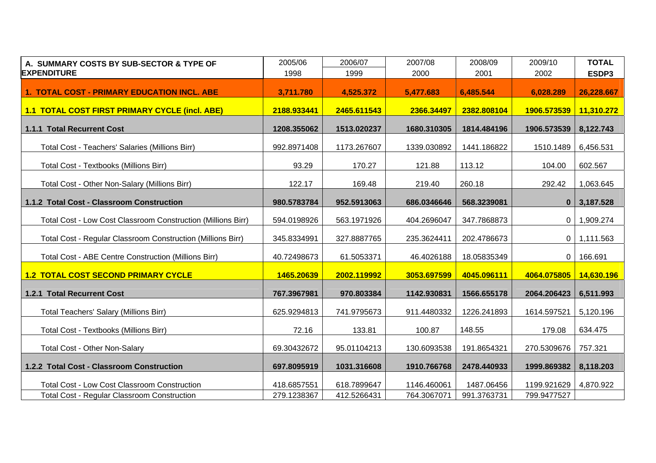| A. SUMMARY COSTS BY SUB-SECTOR & TYPE OF                     | 2005/06     | 2006/07     | 2007/08     | 2008/09     | 2009/10      | <b>TOTAL</b> |
|--------------------------------------------------------------|-------------|-------------|-------------|-------------|--------------|--------------|
| <b>EXPENDITURE</b>                                           | 1998        | 1999        | 2000        | 2001        | 2002         | ESDP3        |
| <b>1. TOTAL COST - PRIMARY EDUCATION INCL. ABE</b>           | 3,711.780   | 4,525.372   | 5,477.683   | 6,485.544   | 6,028.289    | 26,228.667   |
| <b>1.1 TOTAL COST FIRST PRIMARY CYCLE (incl. ABE)</b>        | 2188.933441 | 2465.611543 | 2366.34497  | 2382.808104 | 1906.573539  | 11,310.272   |
| 1.1.1 Total Recurrent Cost                                   | 1208.355062 | 1513.020237 | 1680.310305 | 1814.484196 | 1906.573539  | 8,122.743    |
| Total Cost - Teachers' Salaries (Millions Birr)              | 992.8971408 | 1173.267607 | 1339.030892 | 1441.186822 | 1510.1489    | 6,456.531    |
| Total Cost - Textbooks (Millions Birr)                       | 93.29       | 170.27      | 121.88      | 113.12      | 104.00       | 602.567      |
| Total Cost - Other Non-Salary (Millions Birr)                | 122.17      | 169.48      | 219.40      | 260.18      | 292.42       | 1,063.645    |
| 1.1.2 Total Cost - Classroom Construction                    | 980.5783784 | 952.5913063 | 686.0346646 | 568.3239081 | $\bf{0}$     | 3,187.528    |
| Total Cost - Low Cost Classroom Construction (Millions Birr) | 594.0198926 | 563.1971926 | 404.2696047 | 347.7868873 | 0            | 1,909.274    |
| Total Cost - Regular Classroom Construction (Millions Birr)  | 345.8334991 | 327.8887765 | 235.3624411 | 202.4786673 | 0            | 1,111.563    |
| Total Cost - ABE Centre Construction (Millions Birr)         | 40.72498673 | 61.5053371  | 46.4026188  | 18.05835349 | $\mathbf{0}$ | 166.691      |
| <b>1.2 TOTAL COST SECOND PRIMARY CYCLE</b>                   | 1465.20639  | 2002.119992 | 3053.697599 | 4045.096111 | 4064.075805  | 14,630.196   |
| 1.2.1 Total Recurrent Cost                                   | 767.3967981 | 970.803384  | 1142.930831 | 1566.655178 | 2064.206423  | 6,511.993    |
| <b>Total Teachers' Salary (Millions Birr)</b>                | 625.9294813 | 741.9795673 | 911.4480332 | 1226.241893 | 1614.597521  | 5,120.196    |
| <b>Total Cost - Textbooks (Millions Birr)</b>                | 72.16       | 133.81      | 100.87      | 148.55      | 179.08       | 634.475      |
| <b>Total Cost - Other Non-Salary</b>                         | 69.30432672 | 95.01104213 | 130.6093538 | 191.8654321 | 270.5309676  | 757.321      |
| 1.2.2 Total Cost - Classroom Construction                    | 697.8095919 | 1031.316608 | 1910.766768 | 2478.440933 | 1999.869382  | 8,118.203    |
| <b>Total Cost - Low Cost Classroom Construction</b>          | 418.6857551 | 618.7899647 | 1146.460061 | 1487.06456  | 1199.921629  | 4,870.922    |
| <b>Total Cost - Regular Classroom Construction</b>           | 279.1238367 | 412.5266431 | 764.3067071 | 991.3763731 | 799.9477527  |              |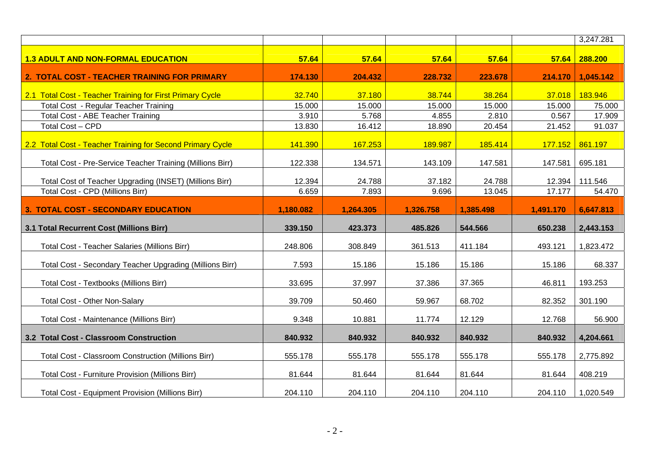|                                                            |           |           |           |           |           | 3,247.281 |
|------------------------------------------------------------|-----------|-----------|-----------|-----------|-----------|-----------|
| <b>1.3 ADULT AND NON-FORMAL EDUCATION</b>                  | 57.64     | 57.64     | 57.64     | 57.64     | 57.64     | 288.200   |
| 2. TOTAL COST - TEACHER TRAINING FOR PRIMARY               | 174.130   | 204.432   | 228.732   | 223.678   | 214.170   | 1,045.142 |
| 2.1 Total Cost - Teacher Training for First Primary Cycle  | 32.740    | 37.180    | 38.744    | 38.264    | 37.018    | 183.946   |
| <b>Total Cost - Regular Teacher Training</b>               | 15.000    | 15.000    | 15.000    | 15.000    | 15.000    | 75.000    |
| <b>Total Cost - ABE Teacher Training</b>                   | 3.910     | 5.768     | 4.855     | 2.810     | 0.567     | 17.909    |
| Total Cost - CPD                                           | 13.830    | 16.412    | 18.890    | 20.454    | 21.452    | 91.037    |
| 2.2 Total Cost - Teacher Training for Second Primary Cycle | 141.390   | 167.253   | 189.987   | 185.414   | 177.152   | 861.197   |
| Total Cost - Pre-Service Teacher Training (Millions Birr)  | 122.338   | 134.571   | 143.109   | 147.581   | 147.581   | 695.181   |
| Total Cost of Teacher Upgrading (INSET) (Millions Birr)    | 12.394    | 24.788    | 37.182    | 24.788    | 12.394    | 111.546   |
| Total Cost - CPD (Millions Birr)                           | 6.659     | 7.893     | 9.696     | 13.045    | 17.177    | 54.470    |
| 3. TOTAL COST - SECONDARY EDUCATION                        | 1,180.082 | 1,264.305 | 1,326.758 | 1,385.498 | 1,491.170 | 6,647.813 |
|                                                            |           |           |           |           |           |           |
| 3.1 Total Recurrent Cost (Millions Birr)                   | 339.150   | 423.373   | 485.826   | 544.566   | 650.238   | 2,443.153 |
| <b>Total Cost - Teacher Salaries (Millions Birr)</b>       | 248.806   | 308.849   | 361.513   | 411.184   | 493.121   | 1,823.472 |
| Total Cost - Secondary Teacher Upgrading (Millions Birr)   | 7.593     | 15.186    | 15.186    | 15.186    | 15.186    | 68.337    |
| Total Cost - Textbooks (Millions Birr)                     | 33.695    | 37.997    | 37.386    | 37.365    | 46.811    | 193.253   |
| <b>Total Cost - Other Non-Salary</b>                       | 39.709    | 50.460    | 59.967    | 68.702    | 82.352    | 301.190   |
| Total Cost - Maintenance (Millions Birr)                   | 9.348     | 10.881    | 11.774    | 12.129    | 12.768    | 56.900    |
| 3.2 Total Cost - Classroom Construction                    | 840.932   | 840.932   | 840.932   | 840.932   | 840.932   | 4,204.661 |
| Total Cost - Classroom Construction (Millions Birr)        | 555.178   | 555.178   | 555.178   | 555.178   | 555.178   | 2,775.892 |
| <b>Total Cost - Furniture Provision (Millions Birr)</b>    | 81.644    | 81.644    | 81.644    | 81.644    | 81.644    | 408.219   |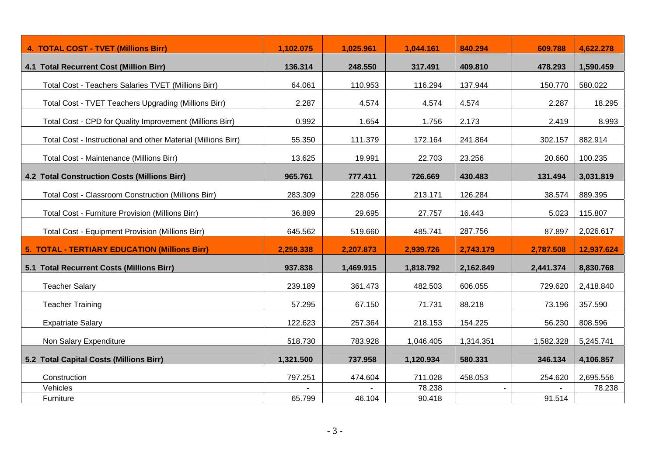| <b>4. TOTAL COST - TVET (Millions Birr)</b>                   | 1,102.075 | 1,025.961 | 1,044.161 | 840.294   | 609.788   | 4,622.278  |
|---------------------------------------------------------------|-----------|-----------|-----------|-----------|-----------|------------|
| 4.1 Total Recurrent Cost (Million Birr)                       | 136.314   | 248.550   | 317.491   | 409.810   | 478.293   | 1,590.459  |
| Total Cost - Teachers Salaries TVET (Millions Birr)           | 64.061    | 110.953   | 116.294   | 137.944   | 150.770   | 580.022    |
| Total Cost - TVET Teachers Upgrading (Millions Birr)          | 2.287     | 4.574     | 4.574     | 4.574     | 2.287     | 18.295     |
| Total Cost - CPD for Quality Improvement (Millions Birr)      | 0.992     | 1.654     | 1.756     | 2.173     | 2.419     | 8.993      |
| Total Cost - Instructional and other Material (Millions Birr) | 55.350    | 111.379   | 172.164   | 241.864   | 302.157   | 882.914    |
| Total Cost - Maintenance (Millions Birr)                      | 13.625    | 19.991    | 22.703    | 23.256    | 20.660    | 100.235    |
| <b>4.2 Total Construction Costs (Millions Birr)</b>           | 965.761   | 777.411   | 726.669   | 430.483   | 131.494   | 3,031.819  |
| <b>Total Cost - Classroom Construction (Millions Birr)</b>    | 283.309   | 228.056   | 213.171   | 126.284   | 38.574    | 889.395    |
| <b>Total Cost - Furniture Provision (Millions Birr)</b>       | 36.889    | 29.695    | 27.757    | 16.443    | 5.023     | 115.807    |
| <b>Total Cost - Equipment Provision (Millions Birr)</b>       | 645.562   | 519.660   | 485.741   | 287.756   | 87.897    | 2,026.617  |
| <b>5. TOTAL - TERTIARY EDUCATION (Millions Birr)</b>          | 2,259.338 | 2,207.873 | 2,939.726 | 2,743.179 | 2,787.508 | 12,937.624 |
| 5.1 Total Recurrent Costs (Millions Birr)                     | 937.838   | 1,469.915 | 1,818.792 | 2,162.849 | 2,441.374 | 8,830.768  |
| <b>Teacher Salary</b>                                         | 239.189   | 361.473   | 482.503   | 606.055   | 729.620   | 2,418.840  |
| <b>Teacher Training</b>                                       | 57.295    | 67.150    | 71.731    | 88.218    | 73.196    | 357.590    |
| <b>Expatriate Salary</b>                                      | 122.623   | 257.364   | 218.153   | 154.225   | 56.230    | 808.596    |
| Non Salary Expenditure                                        | 518.730   | 783.928   | 1,046.405 | 1,314.351 | 1,582.328 | 5,245.741  |
| 5.2 Total Capital Costs (Millions Birr)                       | 1,321.500 | 737.958   | 1,120.934 | 580.331   | 346.134   | 4,106.857  |
| Construction                                                  | 797.251   | 474.604   | 711.028   | 458.053   | 254.620   | 2,695.556  |
| Vehicles                                                      |           |           | 78.238    |           |           | 78.238     |
| Furniture                                                     | 65.799    | 46.104    | 90.418    |           | 91.514    |            |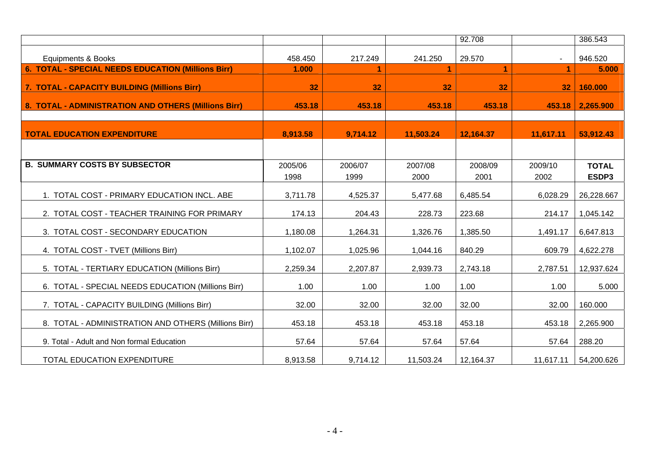|                                                      |                 |                 |                 | 92.708          |                 | 386.543               |
|------------------------------------------------------|-----------------|-----------------|-----------------|-----------------|-----------------|-----------------------|
| <b>Equipments &amp; Books</b>                        | 458.450         | 217.249         | 241.250         | 29.570          |                 | 946.520               |
| 6. TOTAL - SPECIAL NEEDS EDUCATION (Millions Birr)   | 1.000           | 1               |                 | 1               | 1               | 5.000                 |
| 7. TOTAL - CAPACITY BUILDING (Millions Birr)         | 32              | 32              | 32              | 32              | 32              | 160.000               |
| 8. TOTAL - ADMINISTRATION AND OTHERS (Millions Birr) | 453.18          | 453.18          | 453.18          | 453.18          | 453.18          | 2,265.900             |
| <b>TOTAL EDUCATION EXPENDITURE</b>                   | 8,913.58        | 9,714.12        | 11,503.24       | 12,164.37       | 11,617.11       | 53,912.43             |
| <b>B. SUMMARY COSTS BY SUBSECTOR</b>                 | 2005/06<br>1998 | 2006/07<br>1999 | 2007/08<br>2000 | 2008/09<br>2001 | 2009/10<br>2002 | <b>TOTAL</b><br>ESDP3 |
| 1. TOTAL COST - PRIMARY EDUCATION INCL. ABE          | 3,711.78        | 4,525.37        | 5,477.68        | 6,485.54        | 6,028.29        | 26,228.667            |
| 2. TOTAL COST - TEACHER TRAINING FOR PRIMARY         | 174.13          | 204.43          | 228.73          | 223.68          | 214.17          | 1,045.142             |
| 3. TOTAL COST - SECONDARY EDUCATION                  | 1,180.08        | 1,264.31        | 1,326.76        | 1,385.50        | 1,491.17        | 6,647.813             |
| 4. TOTAL COST - TVET (Millions Birr)                 | 1,102.07        | 1,025.96        | 1,044.16        | 840.29          | 609.79          | 4,622.278             |
| 5. TOTAL - TERTIARY EDUCATION (Millions Birr)        | 2,259.34        | 2,207.87        | 2,939.73        | 2,743.18        | 2,787.51        | 12,937.624            |
| 6. TOTAL - SPECIAL NEEDS EDUCATION (Millions Birr)   | 1.00            | 1.00            | 1.00            | 1.00            | 1.00            | 5.000                 |
| 7. TOTAL - CAPACITY BUILDING (Millions Birr)         | 32.00           | 32.00           | 32.00           | 32.00           | 32.00           | 160.000               |
| 8. TOTAL - ADMINISTRATION AND OTHERS (Millions Birr) | 453.18          | 453.18          | 453.18          | 453.18          | 453.18          | 2,265.900             |
| 9. Total - Adult and Non formal Education            | 57.64           | 57.64           | 57.64           | 57.64           | 57.64           | 288.20                |
| TOTAL EDUCATION EXPENDITURE                          | 8,913.58        | 9,714.12        | 11,503.24       | 12,164.37       | 11,617.11       | 54,200.626            |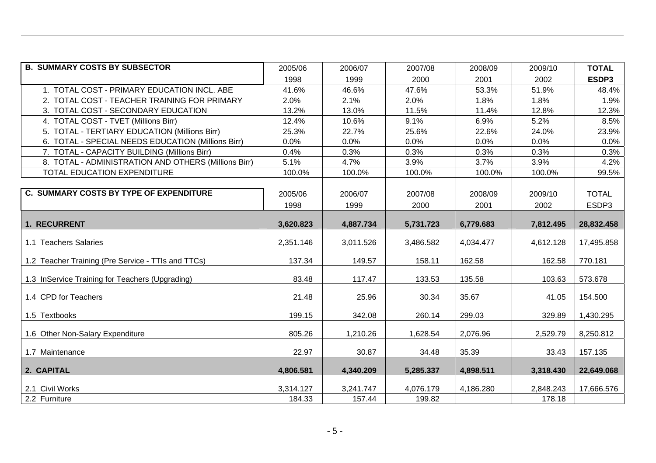| <b>B. SUMMARY COSTS BY SUBSECTOR</b>                 | 2005/06   | 2006/07   | 2007/08   | 2008/09   | 2009/10   | <b>TOTAL</b> |
|------------------------------------------------------|-----------|-----------|-----------|-----------|-----------|--------------|
|                                                      | 1998      | 1999      | 2000      | 2001      | 2002      | ESDP3        |
| 1. TOTAL COST - PRIMARY EDUCATION INCL. ABE          | 41.6%     | 46.6%     | 47.6%     | 53.3%     | 51.9%     | 48.4%        |
| 2. TOTAL COST - TEACHER TRAINING FOR PRIMARY         | 2.0%      | 2.1%      | 2.0%      | 1.8%      | 1.8%      | 1.9%         |
| 3. TOTAL COST - SECONDARY EDUCATION                  | 13.2%     | 13.0%     | 11.5%     | 11.4%     | 12.8%     | 12.3%        |
| 4. TOTAL COST - TVET (Millions Birr)                 | 12.4%     | 10.6%     | 9.1%      | 6.9%      | 5.2%      | 8.5%         |
| 5. TOTAL - TERTIARY EDUCATION (Millions Birr)        | 25.3%     | 22.7%     | 25.6%     | 22.6%     | 24.0%     | 23.9%        |
| 6. TOTAL - SPECIAL NEEDS EDUCATION (Millions Birr)   | 0.0%      | 0.0%      | 0.0%      | 0.0%      | 0.0%      | 0.0%         |
| 7. TOTAL - CAPACITY BUILDING (Millions Birr)         | 0.4%      | 0.3%      | 0.3%      | 0.3%      | 0.3%      | 0.3%         |
| 8. TOTAL - ADMINISTRATION AND OTHERS (Millions Birr) | 5.1%      | 4.7%      | 3.9%      | 3.7%      | 3.9%      | 4.2%         |
| TOTAL EDUCATION EXPENDITURE                          | 100.0%    | 100.0%    | 100.0%    | 100.0%    | 100.0%    | 99.5%        |
|                                                      |           |           |           |           |           |              |
| <b>C. SUMMARY COSTS BY TYPE OF EXPENDITURE</b>       | 2005/06   | 2006/07   | 2007/08   | 2008/09   | 2009/10   | <b>TOTAL</b> |
|                                                      | 1998      | 1999      | 2000      | 2001      | 2002      | ESDP3        |
|                                                      |           |           |           |           |           |              |
| 1. RECURRENT                                         | 3,620.823 | 4,887.734 | 5,731.723 | 6,779.683 | 7,812.495 | 28,832.458   |
| 1.1 Teachers Salaries                                | 2,351.146 | 3,011.526 | 3,486.582 | 4,034.477 | 4,612.128 | 17,495.858   |
| 1.2 Teacher Training (Pre Service - TTIs and TTCs)   | 137.34    | 149.57    | 158.11    | 162.58    | 162.58    | 770.181      |
| 1.3 InService Training for Teachers (Upgrading)      | 83.48     | 117.47    | 133.53    | 135.58    | 103.63    | 573.678      |
| 1.4 CPD for Teachers                                 | 21.48     | 25.96     | 30.34     | 35.67     | 41.05     | 154.500      |
| 1.5 Textbooks                                        | 199.15    | 342.08    | 260.14    | 299.03    | 329.89    | 1,430.295    |
| 1.6 Other Non-Salary Expenditure                     | 805.26    | 1,210.26  | 1,628.54  | 2,076.96  | 2,529.79  | 8,250.812    |
| 1.7 Maintenance                                      | 22.97     | 30.87     | 34.48     | 35.39     | 33.43     | 157.135      |
| 2. CAPITAL                                           | 4,806.581 | 4,340.209 | 5,285.337 | 4,898.511 | 3,318.430 | 22,649.068   |
| 2.1 Civil Works                                      | 3,314.127 | 3,241.747 | 4,076.179 | 4,186.280 | 2,848.243 | 17,666.576   |
| 2.2 Furniture                                        | 184.33    | 157.44    | 199.82    |           | 178.18    |              |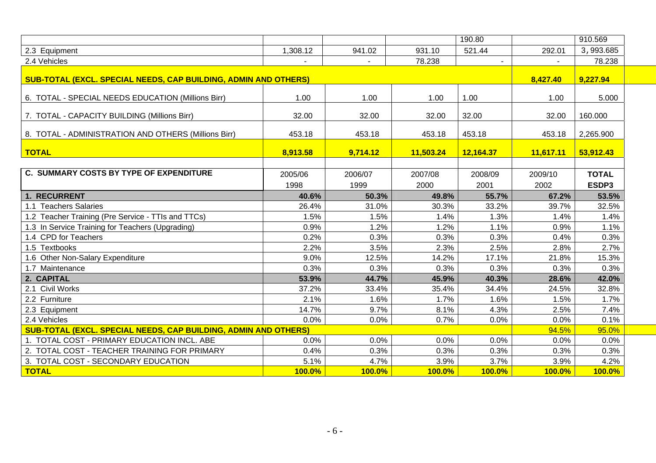|                                                                 |               |               |               | 190.80        |           | 910.569      |  |
|-----------------------------------------------------------------|---------------|---------------|---------------|---------------|-----------|--------------|--|
| 2.3 Equipment                                                   | 1,308.12      | 941.02        | 931.10        | 521.44        | 292.01    | 3,993.685    |  |
| 2.4 Vehicles                                                    |               |               | 78.238        |               |           | 78.238       |  |
| SUB-TOTAL (EXCL. SPECIAL NEEDS, CAP BUILDING, ADMIN AND OTHERS) |               |               |               |               | 8,427.40  | 9,227.94     |  |
|                                                                 |               |               |               |               |           |              |  |
| 6. TOTAL - SPECIAL NEEDS EDUCATION (Millions Birr)              | 1.00          | 1.00          | 1.00          | 1.00          | 1.00      | 5.000        |  |
| 7. TOTAL - CAPACITY BUILDING (Millions Birr)                    | 32.00         | 32.00         | 32.00         | 32.00         | 32.00     | 160.000      |  |
| 8. TOTAL - ADMINISTRATION AND OTHERS (Millions Birr)            | 453.18        | 453.18        | 453.18        | 453.18        | 453.18    | 2,265.900    |  |
|                                                                 |               |               |               |               |           |              |  |
| <b>TOTAL</b>                                                    | 8,913.58      | 9,714.12      | 11,503.24     | 12,164.37     | 11,617.11 | 53,912.43    |  |
|                                                                 |               |               |               |               |           |              |  |
| <b>C. SUMMARY COSTS BY TYPE OF EXPENDITURE</b>                  | 2005/06       | 2006/07       | 2007/08       | 2008/09       | 2009/10   | <b>TOTAL</b> |  |
|                                                                 | 1998          | 1999          | 2000          | 2001          | 2002      | ESDP3        |  |
| 1. RECURRENT                                                    | 40.6%         | 50.3%         | 49.8%         | 55.7%         | 67.2%     | 53.5%        |  |
| 1.1 Teachers Salaries                                           | 26.4%         | 31.0%         | 30.3%         | 33.2%         | 39.7%     | 32.5%        |  |
| 1.2 Teacher Training (Pre Service - TTIs and TTCs)              | 1.5%          | 1.5%          | 1.4%          | 1.3%          | 1.4%      | 1.4%         |  |
| 1.3 In Service Training for Teachers (Upgrading)                | 0.9%          | 1.2%          | 1.2%          | 1.1%          | 0.9%      | 1.1%         |  |
| 1.4 CPD for Teachers                                            | 0.2%          | 0.3%          | 0.3%          | 0.3%          | 0.4%      | 0.3%         |  |
| 1.5 Textbooks                                                   | 2.2%          | 3.5%          | 2.3%          | 2.5%          | 2.8%      | 2.7%         |  |
| 1.6 Other Non-Salary Expenditure                                | 9.0%          | 12.5%         | 14.2%         | 17.1%         | 21.8%     | 15.3%        |  |
| 1.7 Maintenance                                                 | 0.3%          | 0.3%          | 0.3%          | 0.3%          | 0.3%      | 0.3%         |  |
| 2. CAPITAL                                                      | 53.9%         | 44.7%         | 45.9%         | 40.3%         | 28.6%     | 42.0%        |  |
| 2.1 Civil Works                                                 | 37.2%         | 33.4%         | 35.4%         | 34.4%         | 24.5%     | 32.8%        |  |
| 2.2 Furniture                                                   | 2.1%          | 1.6%          | 1.7%          | 1.6%          | 1.5%      | 1.7%         |  |
| 2.3 Equipment                                                   | 14.7%         | 9.7%          | 8.1%          | 4.3%          | 2.5%      | 7.4%         |  |
| 2.4 Vehicles                                                    | 0.0%          | 0.0%          | 0.7%          | 0.0%          | 0.0%      | 0.1%         |  |
| SUB-TOTAL (EXCL. SPECIAL NEEDS, CAP BUILDING, ADMIN AND OTHERS) |               |               |               |               | 94.5%     | 95.0%        |  |
| 1. TOTAL COST - PRIMARY EDUCATION INCL. ABE                     | 0.0%          | 0.0%          | 0.0%          | 0.0%          | 0.0%      | 0.0%         |  |
| 2. TOTAL COST - TEACHER TRAINING FOR PRIMARY                    | 0.4%          | 0.3%          | 0.3%          | 0.3%          | 0.3%      | 0.3%         |  |
| 3. TOTAL COST - SECONDARY EDUCATION                             | 5.1%          | 4.7%          | 3.9%          | 3.7%          | 3.9%      | 4.2%         |  |
| <b>TOTAL</b>                                                    | <b>100.0%</b> | <b>100.0%</b> | <b>100.0%</b> | <b>100.0%</b> | 100.0%    | 100.0%       |  |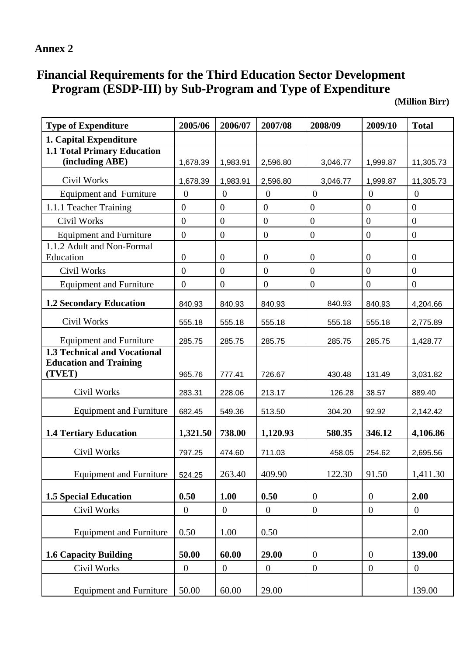## **Annex 2**

# **Financial Requirements for the Third Education Sector Development Program (ESDP-III) by Sub-Program and Type of Expenditure**

**(Million Birr)** 

| <b>Type of Expenditure</b>                                           | 2005/06          | 2006/07          | 2007/08        | 2008/09          | 2009/10          | <b>Total</b>     |
|----------------------------------------------------------------------|------------------|------------------|----------------|------------------|------------------|------------------|
| 1. Capital Expenditure                                               |                  |                  |                |                  |                  |                  |
| <b>1.1 Total Primary Education</b>                                   |                  |                  |                |                  |                  |                  |
| (including ABE)                                                      | 1,678.39         | 1,983.91         | 2,596.80       | 3,046.77         | 1,999.87         | 11,305.73        |
| Civil Works                                                          | 1,678.39         | 1,983.91         | 2,596.80       | 3,046.77         | 1,999.87         | 11,305.73        |
| <b>Equipment and Furniture</b>                                       | $\overline{0}$   | $\overline{0}$   | $\overline{0}$ | $\boldsymbol{0}$ | $\overline{0}$   | $\boldsymbol{0}$ |
| 1.1.1 Teacher Training                                               | $\overline{0}$   | $\overline{0}$   | $\overline{0}$ | $\overline{0}$   | $\overline{0}$   | $\overline{0}$   |
| <b>Civil Works</b>                                                   | $\overline{0}$   | $\overline{0}$   | $\overline{0}$ | $\overline{0}$   | $\overline{0}$   | $\overline{0}$   |
| <b>Equipment and Furniture</b>                                       | $\mathbf{0}$     | $\boldsymbol{0}$ | $\overline{0}$ | $\boldsymbol{0}$ | $\overline{0}$   | $\boldsymbol{0}$ |
| 1.1.2 Adult and Non-Formal<br>Education                              | $\overline{0}$   | $\overline{0}$   | $\overline{0}$ | $\boldsymbol{0}$ | $\boldsymbol{0}$ | $\overline{0}$   |
| Civil Works                                                          | $\mathbf{0}$     | $\overline{0}$   | $\overline{0}$ | $\boldsymbol{0}$ | $\overline{0}$   | $\boldsymbol{0}$ |
| <b>Equipment and Furniture</b>                                       | $\mathbf{0}$     | $\boldsymbol{0}$ | $\overline{0}$ | $\boldsymbol{0}$ | $\overline{0}$   | $\boldsymbol{0}$ |
| <b>1.2 Secondary Education</b>                                       | 840.93           | 840.93           | 840.93         | 840.93           | 840.93           | 4,204.66         |
| Civil Works                                                          | 555.18           | 555.18           | 555.18         | 555.18           | 555.18           | 2,775.89         |
| <b>Equipment and Furniture</b>                                       | 285.75           | 285.75           | 285.75         | 285.75           | 285.75           | 1,428.77         |
| <b>1.3 Technical and Vocational</b><br><b>Education and Training</b> |                  |                  |                |                  |                  |                  |
| (TVET)                                                               | 965.76           | 777.41           | 726.67         | 430.48           | 131.49           | 3,031.82         |
| Civil Works                                                          | 283.31           | 228.06           | 213.17         | 126.28           | 38.57            | 889.40           |
| <b>Equipment and Furniture</b>                                       | 682.45           | 549.36           | 513.50         | 304.20           | 92.92            | 2,142.42         |
| <b>1.4 Tertiary Education</b>                                        | 1,321.50         | 738.00           | 1,120.93       | 580.35           | 346.12           | 4,106.86         |
| Civil Works                                                          | 797.25           | 474.60           | 711.03         | 458.05           | 254.62           | 2,695.56         |
| <b>Equipment and Furniture</b>                                       | 524.25           | 263.40           | 409.90         | 122.30           | 91.50            | 1,411.30         |
| <b>1.5 Special Education</b>                                         | 0.50             | 1.00             | 0.50           | $\mathbf{0}$     | $\overline{0}$   | 2.00             |
| Civil Works                                                          | $\boldsymbol{0}$ | $\mathbf{0}$     | $\overline{0}$ | $\boldsymbol{0}$ | $\boldsymbol{0}$ | $\overline{0}$   |
| <b>Equipment and Furniture</b>                                       | 0.50             | 1.00             | 0.50           |                  |                  | 2.00             |
| <b>1.6 Capacity Building</b>                                         | 50.00            | 60.00            | 29.00          | $\overline{0}$   | $\overline{0}$   | 139.00           |
| Civil Works                                                          | $\boldsymbol{0}$ | $\boldsymbol{0}$ | $\overline{0}$ | $\boldsymbol{0}$ | $\mathbf{0}$     | $\overline{0}$   |
| <b>Equipment and Furniture</b>                                       | 50.00            | 60.00            | 29.00          |                  |                  | 139.00           |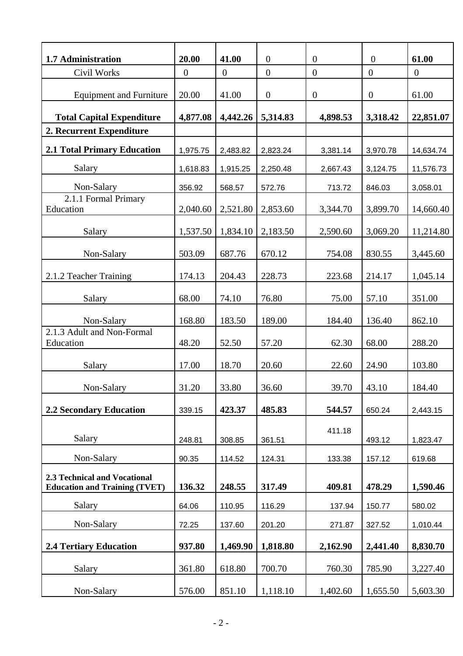| 1.7 Administration                                                   | 20.00          | 41.00          | $\boldsymbol{0}$ | $\boldsymbol{0}$ | $\boldsymbol{0}$ | 61.00     |
|----------------------------------------------------------------------|----------------|----------------|------------------|------------------|------------------|-----------|
| Civil Works                                                          | $\overline{0}$ | $\overline{0}$ | $\boldsymbol{0}$ | $\overline{0}$   | $\overline{0}$   | $\theta$  |
| <b>Equipment and Furniture</b>                                       | 20.00          | 41.00          | $\boldsymbol{0}$ | $\boldsymbol{0}$ | $\overline{0}$   | 61.00     |
| <b>Total Capital Expenditure</b>                                     | 4,877.08       | 4,442.26       | 5,314.83         | 4,898.53         | 3,318.42         | 22,851.07 |
| 2. Recurrent Expenditure                                             |                |                |                  |                  |                  |           |
| <b>2.1 Total Primary Education</b>                                   | 1,975.75       | 2,483.82       | 2,823.24         | 3,381.14         | 3,970.78         | 14,634.74 |
| Salary                                                               | 1,618.83       | 1,915.25       | 2,250.48         | 2,667.43         | 3,124.75         | 11,576.73 |
| Non-Salary                                                           | 356.92         | 568.57         | 572.76           | 713.72           | 846.03           | 3,058.01  |
| 2.1.1 Formal Primary<br>Education                                    | 2,040.60       | 2,521.80       | 2,853.60         | 3,344.70         | 3,899.70         | 14,660.40 |
|                                                                      |                |                |                  |                  |                  |           |
| Salary                                                               | 1,537.50       | 1,834.10       | 2,183.50         | 2,590.60         | 3,069.20         | 11,214.80 |
| Non-Salary                                                           | 503.09         | 687.76         | 670.12           | 754.08           | 830.55           | 3,445.60  |
| 2.1.2 Teacher Training                                               | 174.13         | 204.43         | 228.73           | 223.68           | 214.17           | 1,045.14  |
| Salary                                                               | 68.00          | 74.10          | 76.80            | 75.00            | 57.10            | 351.00    |
| Non-Salary                                                           | 168.80         | 183.50         | 189.00           | 184.40           | 136.40           | 862.10    |
| 2.1.3 Adult and Non-Formal<br>Education                              | 48.20          | 52.50          | 57.20            | 62.30            | 68.00            | 288.20    |
| Salary                                                               | 17.00          | 18.70          | 20.60            | 22.60            | 24.90            | 103.80    |
| Non-Salary                                                           | 31.20          | 33.80          | 36.60            | 39.70            | 43.10            | 184.40    |
| <b>2.2 Secondary Education</b>                                       | 339.15         | 423.37         | 485.83           | 544.57           | 650.24           | 2,443.15  |
| Salary                                                               | 248.81         | 308.85         | 361.51           | 411.18           | 493.12           | 1,823.47  |
| Non-Salary                                                           | 90.35          | 114.52         | 124.31           | 133.38           | 157.12           | 619.68    |
| 2.3 Technical and Vocational<br><b>Education and Training (TVET)</b> | 136.32         | 248.55         | 317.49           | 409.81           | 478.29           | 1,590.46  |
| Salary                                                               | 64.06          | 110.95         | 116.29           | 137.94           | 150.77           | 580.02    |
| Non-Salary                                                           | 72.25          | 137.60         | 201.20           | 271.87           | 327.52           | 1,010.44  |
| <b>2.4 Tertiary Education</b>                                        | 937.80         | 1,469.90       | 1,818.80         | 2,162.90         | 2,441.40         | 8,830.70  |
| Salary                                                               | 361.80         | 618.80         | 700.70           | 760.30           | 785.90           | 3,227.40  |
| Non-Salary                                                           | 576.00         | 851.10         | 1,118.10         | 1,402.60         | 1,655.50         | 5,603.30  |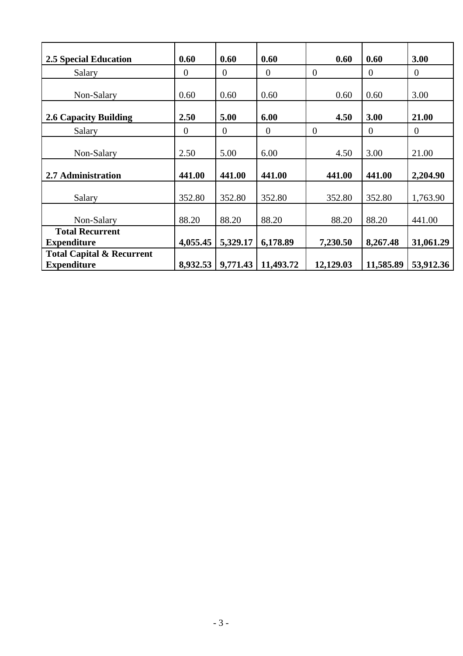| <b>2.5 Special Education</b>                               | 0.60           | 0.60           | 0.60           | 0.60           | 0.60           | 3.00           |
|------------------------------------------------------------|----------------|----------------|----------------|----------------|----------------|----------------|
| Salary                                                     | $\theta$       | $\overline{0}$ | $\overline{0}$ | $\overline{0}$ | $\overline{0}$ | $\overline{0}$ |
| Non-Salary                                                 | 0.60           | 0.60           | 0.60           | 0.60           | 0.60           | 3.00           |
| <b>2.6 Capacity Building</b>                               | 2.50           | 5.00           | 6.00           | 4.50           | 3.00           | 21.00          |
| Salary                                                     | $\overline{0}$ | $\overline{0}$ | $\theta$       | $\theta$       | $\theta$       | $\overline{0}$ |
| Non-Salary                                                 | 2.50           | 5.00           | 6.00           | 4.50           | 3.00           | 21.00          |
| 2.7 Administration                                         | 441.00         | 441.00         | 441.00         | 441.00         | 441.00         | 2,204.90       |
| Salary                                                     | 352.80         | 352.80         | 352.80         | 352.80         | 352.80         | 1,763.90       |
| Non-Salary                                                 | 88.20          | 88.20          | 88.20          | 88.20          | 88.20          | 441.00         |
| <b>Total Recurrent</b><br><b>Expenditure</b>               | 4,055.45       | 5,329.17       | 6,178.89       | 7,230.50       | 8,267.48       | 31,061.29      |
| <b>Total Capital &amp; Recurrent</b><br><b>Expenditure</b> | 8,932.53       | 9,771.43       | 11,493.72      | 12,129.03      | 11,585.89      | 53,912.36      |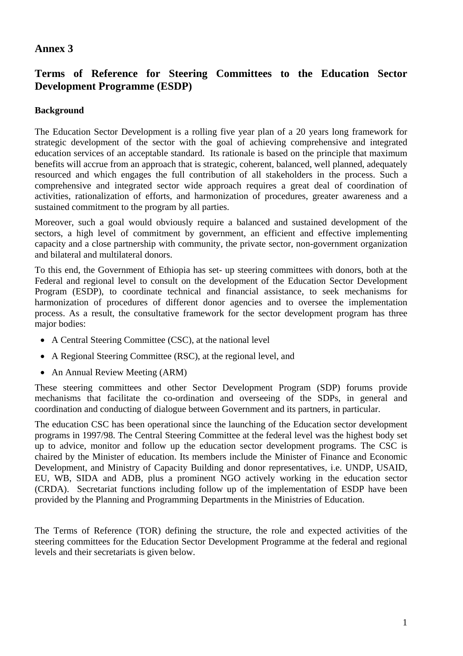### **Annex 3**

## **Terms of Reference for Steering Committees to the Education Sector Development Programme (ESDP)**

### **Background**

The Education Sector Development is a rolling five year plan of a 20 years long framework for strategic development of the sector with the goal of achieving comprehensive and integrated education services of an acceptable standard. Its rationale is based on the principle that maximum benefits will accrue from an approach that is strategic, coherent, balanced, well planned, adequately resourced and which engages the full contribution of all stakeholders in the process. Such a comprehensive and integrated sector wide approach requires a great deal of coordination of activities, rationalization of efforts, and harmonization of procedures, greater awareness and a sustained commitment to the program by all parties.

Moreover, such a goal would obviously require a balanced and sustained development of the sectors, a high level of commitment by government, an efficient and effective implementing capacity and a close partnership with community, the private sector, non-government organization and bilateral and multilateral donors.

To this end, the Government of Ethiopia has set- up steering committees with donors, both at the Federal and regional level to consult on the development of the Education Sector Development Program (ESDP), to coordinate technical and financial assistance, to seek mechanisms for harmonization of procedures of different donor agencies and to oversee the implementation process. As a result, the consultative framework for the sector development program has three major bodies:

- A Central Steering Committee (CSC), at the national level
- A Regional Steering Committee (RSC), at the regional level, and
- An Annual Review Meeting (ARM)

These steering committees and other Sector Development Program (SDP) forums provide mechanisms that facilitate the co-ordination and overseeing of the SDPs, in general and coordination and conducting of dialogue between Government and its partners, in particular.

The education CSC has been operational since the launching of the Education sector development programs in 1997/98. The Central Steering Committee at the federal level was the highest body set up to advice, monitor and follow up the education sector development programs. The CSC is chaired by the Minister of education. Its members include the Minister of Finance and Economic Development, and Ministry of Capacity Building and donor representatives, i.e. UNDP, USAID, EU, WB, SIDA and ADB, plus a prominent NGO actively working in the education sector (CRDA). Secretariat functions including follow up of the implementation of ESDP have been provided by the Planning and Programming Departments in the Ministries of Education.

The Terms of Reference (TOR) defining the structure, the role and expected activities of the steering committees for the Education Sector Development Programme at the federal and regional levels and their secretariats is given below.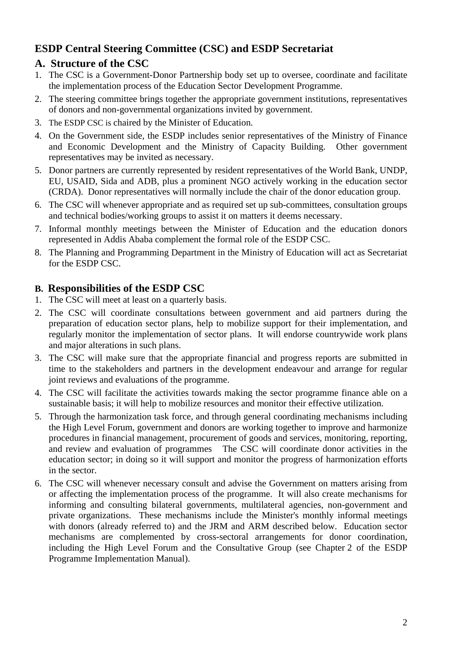## **ESDP Central Steering Committee (CSC) and ESDP Secretariat**

## **A. Structure of the CSC**

- 1. The CSC is a Government-Donor Partnership body set up to oversee, coordinate and facilitate the implementation process of the Education Sector Development Programme.
- 2. The steering committee brings together the appropriate government institutions, representatives of donors and non-governmental organizations invited by government.
- 3. The ESDP CSC is chaired by the Minister of Education.
- 4. On the Government side, the ESDP includes senior representatives of the Ministry of Finance and Economic Development and the Ministry of Capacity Building. Other government representatives may be invited as necessary.
- 5. Donor partners are currently represented by resident representatives of the World Bank, UNDP, EU, USAID, Sida and ADB, plus a prominent NGO actively working in the education sector (CRDA). Donor representatives will normally include the chair of the donor education group.
- 6. The CSC will whenever appropriate and as required set up sub-committees, consultation groups and technical bodies/working groups to assist it on matters it deems necessary.
- 7. Informal monthly meetings between the Minister of Education and the education donors represented in Addis Ababa complement the formal role of the ESDP CSC.
- 8. The Planning and Programming Department in the Ministry of Education will act as Secretariat for the ESDP CSC.

### **B. Responsibilities of the ESDP CSC**

- 1. The CSC will meet at least on a quarterly basis.
- 2. The CSC will coordinate consultations between government and aid partners during the preparation of education sector plans, help to mobilize support for their implementation, and regularly monitor the implementation of sector plans. It will endorse countrywide work plans and major alterations in such plans.
- 3. The CSC will make sure that the appropriate financial and progress reports are submitted in time to the stakeholders and partners in the development endeavour and arrange for regular joint reviews and evaluations of the programme.
- 4. The CSC will facilitate the activities towards making the sector programme finance able on a sustainable basis; it will help to mobilize resources and monitor their effective utilization.
- 5. Through the harmonization task force, and through general coordinating mechanisms including the High Level Forum, government and donors are working together to improve and harmonize procedures in financial management, procurement of goods and services, monitoring, reporting, and review and evaluation of programmes The CSC will coordinate donor activities in the education sector; in doing so it will support and monitor the progress of harmonization efforts in the sector.
- 6. The CSC will whenever necessary consult and advise the Government on matters arising from or affecting the implementation process of the programme. It will also create mechanisms for informing and consulting bilateral governments, multilateral agencies, non-government and private organizations. These mechanisms include the Minister's monthly informal meetings with donors (already referred to) and the JRM and ARM described below. Education sector mechanisms are complemented by cross-sectoral arrangements for donor coordination, including the High Level Forum and the Consultative Group (see Chapter 2 of the ESDP Programme Implementation Manual).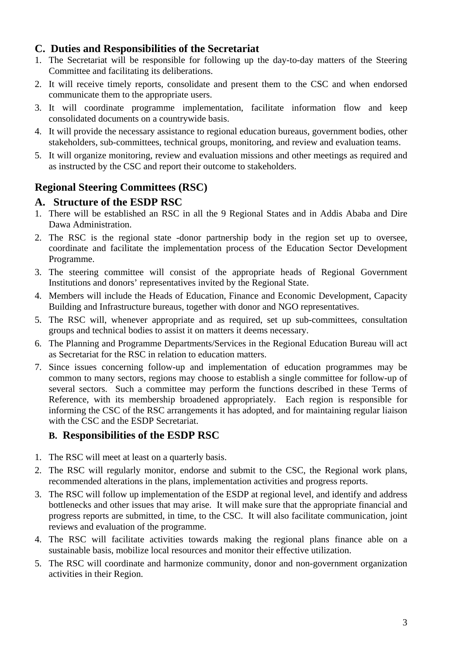### **C. Duties and Responsibilities of the Secretariat**

- 1. The Secretariat will be responsible for following up the day-to-day matters of the Steering Committee and facilitating its deliberations.
- 2. It will receive timely reports, consolidate and present them to the CSC and when endorsed communicate them to the appropriate users.
- 3. It will coordinate programme implementation, facilitate information flow and keep consolidated documents on a countrywide basis.
- 4. It will provide the necessary assistance to regional education bureaus, government bodies, other stakeholders, sub-committees, technical groups, monitoring, and review and evaluation teams.
- 5. It will organize monitoring, review and evaluation missions and other meetings as required and as instructed by the CSC and report their outcome to stakeholders.

## **Regional Steering Committees (RSC)**

### **A. Structure of the ESDP RSC**

- 1. There will be established an RSC in all the 9 Regional States and in Addis Ababa and Dire Dawa Administration.
- 2. The RSC is the regional state -donor partnership body in the region set up to oversee, coordinate and facilitate the implementation process of the Education Sector Development Programme.
- 3. The steering committee will consist of the appropriate heads of Regional Government Institutions and donors' representatives invited by the Regional State.
- 4. Members will include the Heads of Education, Finance and Economic Development, Capacity Building and Infrastructure bureaus, together with donor and NGO representatives.
- 5. The RSC will, whenever appropriate and as required, set up sub-committees, consultation groups and technical bodies to assist it on matters it deems necessary.
- 6. The Planning and Programme Departments/Services in the Regional Education Bureau will act as Secretariat for the RSC in relation to education matters.
- 7. Since issues concerning follow-up and implementation of education programmes may be common to many sectors, regions may choose to establish a single committee for follow-up of several sectors. Such a committee may perform the functions described in these Terms of Reference, with its membership broadened appropriately. Each region is responsible for informing the CSC of the RSC arrangements it has adopted, and for maintaining regular liaison with the CSC and the ESDP Secretariat.

### **B. Responsibilities of the ESDP RSC**

- 1. The RSC will meet at least on a quarterly basis.
- 2. The RSC will regularly monitor, endorse and submit to the CSC, the Regional work plans, recommended alterations in the plans, implementation activities and progress reports.
- 3. The RSC will follow up implementation of the ESDP at regional level, and identify and address bottlenecks and other issues that may arise. It will make sure that the appropriate financial and progress reports are submitted, in time, to the CSC. It will also facilitate communication, joint reviews and evaluation of the programme.
- 4. The RSC will facilitate activities towards making the regional plans finance able on a sustainable basis, mobilize local resources and monitor their effective utilization.
- 5. The RSC will coordinate and harmonize community, donor and non-government organization activities in their Region.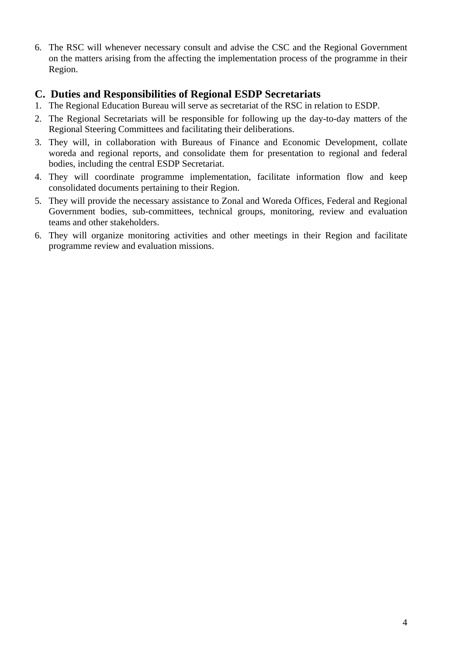6. The RSC will whenever necessary consult and advise the CSC and the Regional Government on the matters arising from the affecting the implementation process of the programme in their Region.

### **C. Duties and Responsibilities of Regional ESDP Secretariats**

- 1. The Regional Education Bureau will serve as secretariat of the RSC in relation to ESDP.
- 2. The Regional Secretariats will be responsible for following up the day-to-day matters of the Regional Steering Committees and facilitating their deliberations.
- 3. They will, in collaboration with Bureaus of Finance and Economic Development, collate woreda and regional reports, and consolidate them for presentation to regional and federal bodies, including the central ESDP Secretariat.
- 4. They will coordinate programme implementation, facilitate information flow and keep consolidated documents pertaining to their Region.
- 5. They will provide the necessary assistance to Zonal and Woreda Offices, Federal and Regional Government bodies, sub-committees, technical groups, monitoring, review and evaluation teams and other stakeholders.
- 6. They will organize monitoring activities and other meetings in their Region and facilitate programme review and evaluation missions.